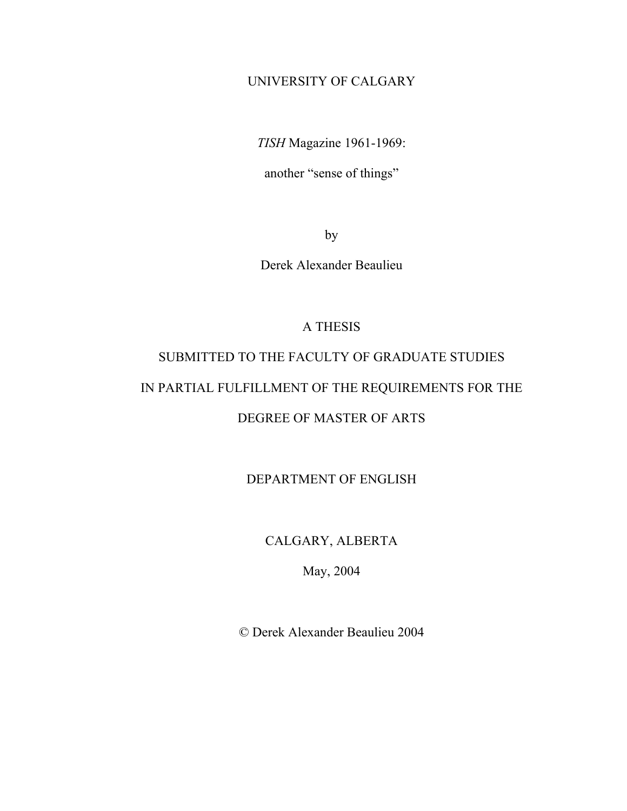## UNIVERSITY OF CALGARY

*TISH* Magazine 1961-1969:

another "sense of things"

by

Derek Alexander Beaulieu

### A THESIS

# SUBMITTED TO THE FACULTY OF GRADUATE STUDIES IN PARTIAL FULFILLMENT OF THE REQUIREMENTS FOR THE DEGREE OF MASTER OF ARTS

## DEPARTMENT OF ENGLISH

## CALGARY, ALBERTA

May, 2004

© Derek Alexander Beaulieu 2004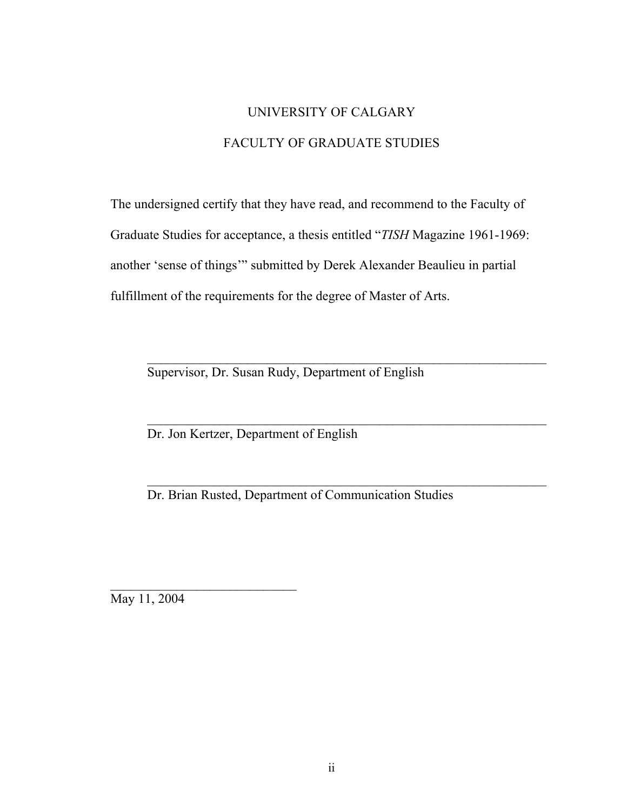## UNIVERSITY OF CALGARY FACULTY OF GRADUATE STUDIES

The undersigned certify that they have read, and recommend to the Faculty of Graduate Studies for acceptance, a thesis entitled "*TISH* Magazine 1961-1969: another 'sense of things'" submitted by Derek Alexander Beaulieu in partial fulfillment of the requirements for the degree of Master of Arts.

\_\_\_\_\_\_\_\_\_\_\_\_\_\_\_\_\_\_\_\_\_\_\_\_\_\_\_\_\_\_\_\_\_\_\_\_\_\_\_\_\_\_\_\_\_\_\_\_\_\_\_\_\_\_\_\_\_\_\_\_

Supervisor, Dr. Susan Rudy, Department of English

Dr. Jon Kertzer, Department of English

Dr. Brian Rusted, Department of Communication Studies

May 11, 2004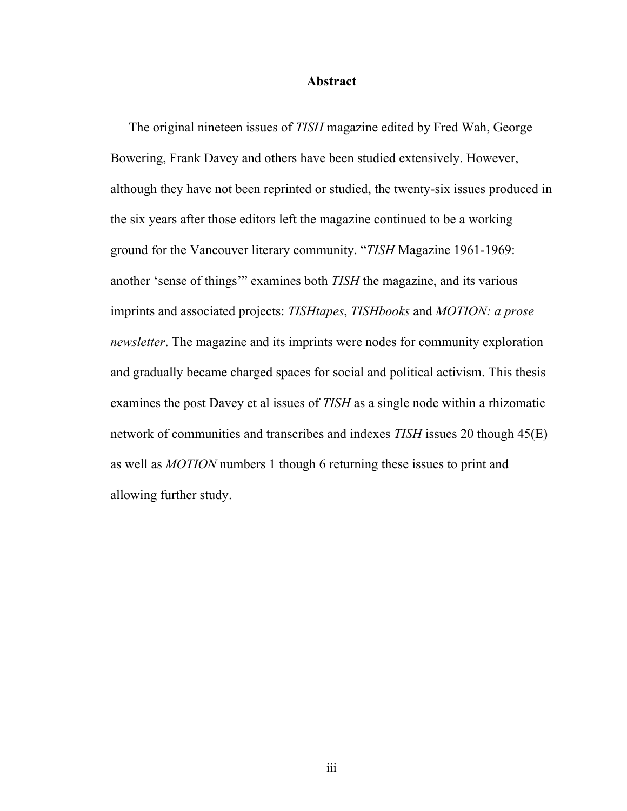#### **Abstract**

The original nineteen issues of *TISH* magazine edited by Fred Wah, George Bowering, Frank Davey and others have been studied extensively. However, although they have not been reprinted or studied, the twenty-six issues produced in the six years after those editors left the magazine continued to be a working ground for the Vancouver literary community. "*TISH* Magazine 1961-1969: another 'sense of things'" examines both *TISH* the magazine, and its various imprints and associated projects: *TISHtapes*, *TISHbooks* and *MOTION: a prose newsletter*. The magazine and its imprints were nodes for community exploration and gradually became charged spaces for social and political activism. This thesis examines the post Davey et al issues of *TISH* as a single node within a rhizomatic network of communities and transcribes and indexes *TISH* issues 20 though 45(E) as well as *MOTION* numbers 1 though 6 returning these issues to print and allowing further study.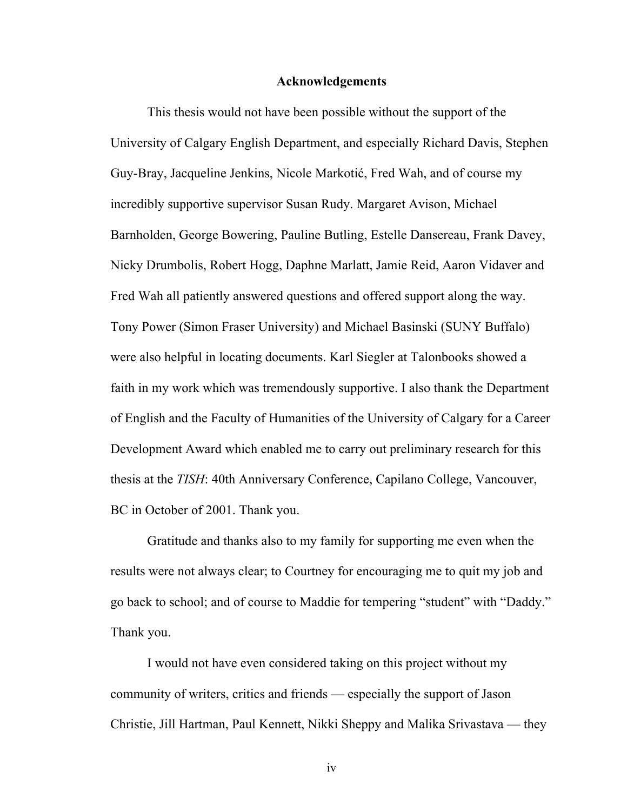#### **Acknowledgements**

This thesis would not have been possible without the support of the University of Calgary English Department, and especially Richard Davis, Stephen Guy-Bray, Jacqueline Jenkins, Nicole Markotić, Fred Wah, and of course my incredibly supportive supervisor Susan Rudy. Margaret Avison, Michael Barnholden, George Bowering, Pauline Butling, Estelle Dansereau, Frank Davey, Nicky Drumbolis, Robert Hogg, Daphne Marlatt, Jamie Reid, Aaron Vidaver and Fred Wah all patiently answered questions and offered support along the way. Tony Power (Simon Fraser University) and Michael Basinski (SUNY Buffalo) were also helpful in locating documents. Karl Siegler at Talonbooks showed a faith in my work which was tremendously supportive. I also thank the Department of English and the Faculty of Humanities of the University of Calgary for a Career Development Award which enabled me to carry out preliminary research for this thesis at the *TISH*: 40th Anniversary Conference, Capilano College, Vancouver, BC in October of 2001. Thank you.

Gratitude and thanks also to my family for supporting me even when the results were not always clear; to Courtney for encouraging me to quit my job and go back to school; and of course to Maddie for tempering "student" with "Daddy." Thank you.

I would not have even considered taking on this project without my community of writers, critics and friends — especially the support of Jason Christie, Jill Hartman, Paul Kennett, Nikki Sheppy and Malika Srivastava — they

iv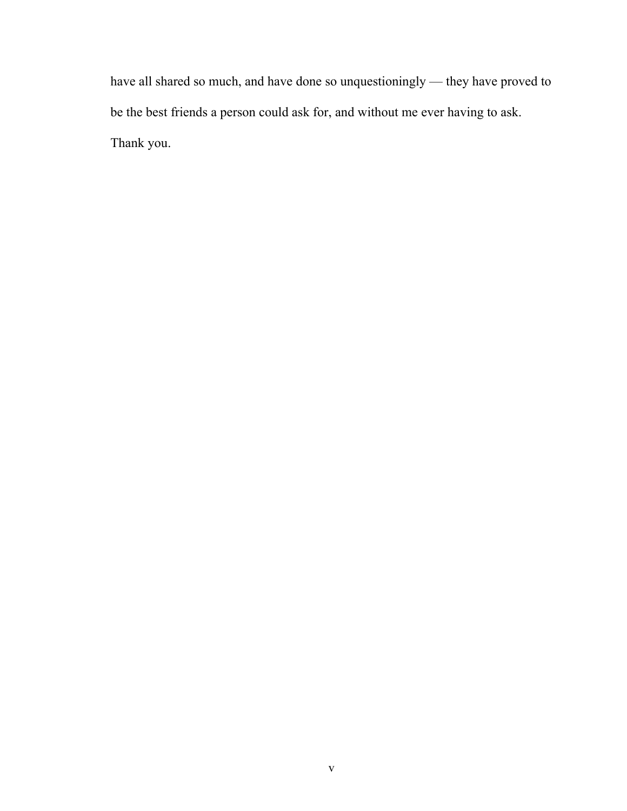have all shared so much, and have done so unquestioningly — they have proved to be the best friends a person could ask for, and without me ever having to ask. Thank you.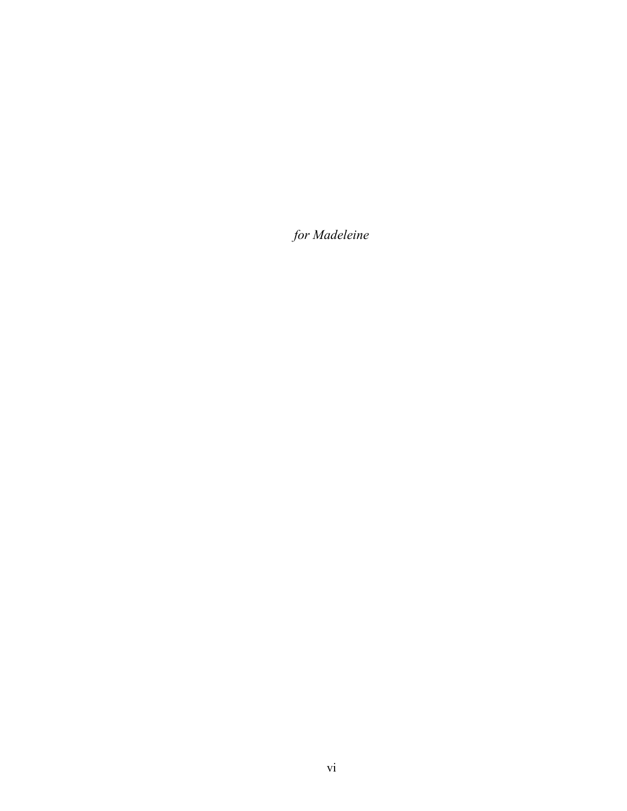*for Madeleine*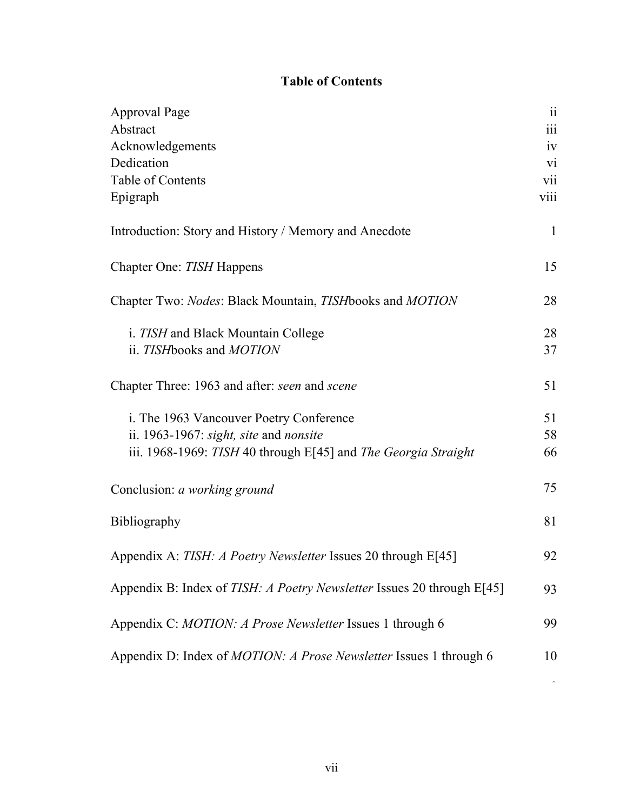## **Table of Contents**

| Approval Page                                                             | 11                   |
|---------------------------------------------------------------------------|----------------------|
| Abstract                                                                  | $\dddot{\mathbf{i}}$ |
| Acknowledgements                                                          | iv                   |
| Dedication                                                                | V1                   |
| Table of Contents                                                         | vii                  |
| Epigraph                                                                  | viii                 |
| Introduction: Story and History / Memory and Anecdote                     | $\mathbf{1}$         |
| Chapter One: TISH Happens                                                 | 15                   |
| Chapter Two: Nodes: Black Mountain, TISH books and MOTION                 | 28                   |
| <i>i. TISH</i> and Black Mountain College                                 | 28                   |
| ii. TISH books and MOTION                                                 | 37                   |
| Chapter Three: 1963 and after: seen and scene                             | 51                   |
| i. The 1963 Vancouver Poetry Conference                                   | 51                   |
| ii. 1963-1967: <i>sight, site and nonsite</i>                             | 58                   |
| iii. 1968-1969: TISH 40 through E[45] and The Georgia Straight            | 66                   |
| Conclusion: a working ground                                              | 75                   |
| Bibliography                                                              | 81                   |
| Appendix A: <i>TISH: A Poetry Newsletter</i> Issues 20 through E[45]      | 92                   |
| Appendix B: Index of TISH: A Poetry Newsletter Issues 20 through E[45]    | 93                   |
| Appendix C: MOTION: A Prose Newsletter Issues 1 through 6                 | 99                   |
| Appendix D: Index of <i>MOTION: A Prose Newsletter</i> Issues 1 through 6 | 10                   |

 $\tilde{\mathcal{C}}$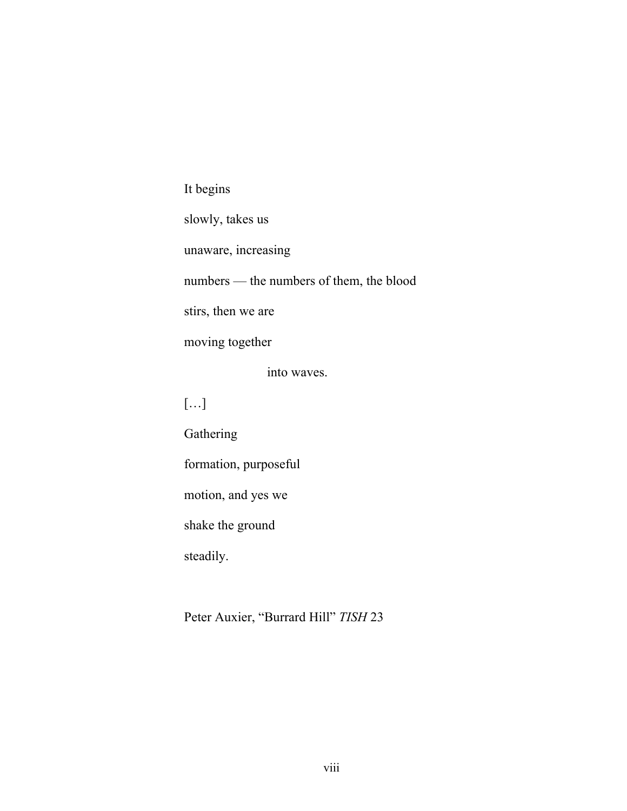It begins

slowly, takes us unaware, increasing numbers — the numbers of them, the blood stirs, then we are moving together into waves. […]

**Gathering** formation, purposeful motion, and yes we shake the ground steadily.

Peter Auxier, "Burrard Hill" *TISH* 23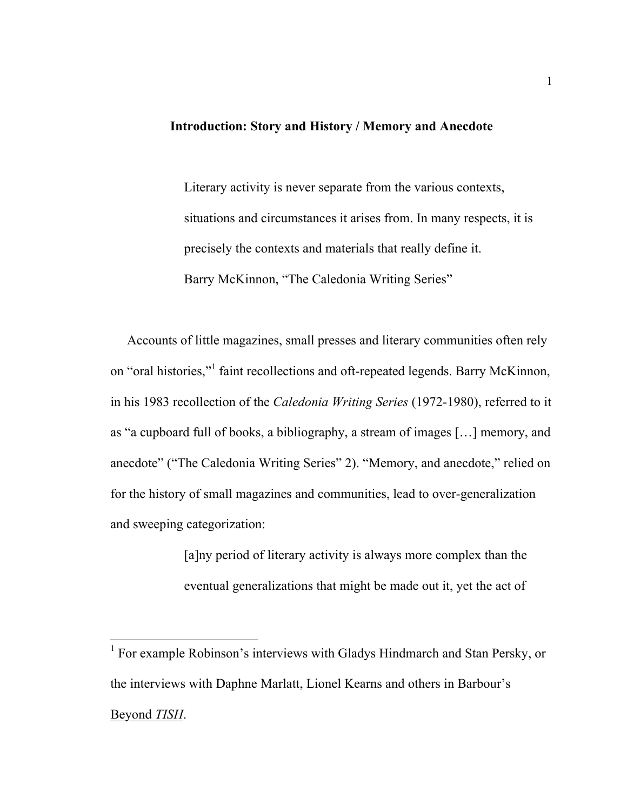## **Introduction: Story and History / Memory and Anecdote**

Literary activity is never separate from the various contexts, situations and circumstances it arises from. In many respects, it is precisely the contexts and materials that really define it. Barry McKinnon, "The Caledonia Writing Series"

 Accounts of little magazines, small presses and literary communities often rely on "oral histories,"<sup>1</sup> faint recollections and oft-repeated legends. Barry McKinnon, in his 1983 recollection of the *Caledonia Writing Series* (1972-1980), referred to it as "a cupboard full of books, a bibliography, a stream of images […] memory, and anecdote" ("The Caledonia Writing Series" 2). "Memory, and anecdote," relied on for the history of small magazines and communities, lead to over-generalization and sweeping categorization:

> [a]ny period of literary activity is always more complex than the eventual generalizations that might be made out it, yet the act of

<sup>1</sup> For example Robinson's interviews with Gladys Hindmarch and Stan Persky, or the interviews with Daphne Marlatt, Lionel Kearns and others in Barbour's Beyond *TISH*.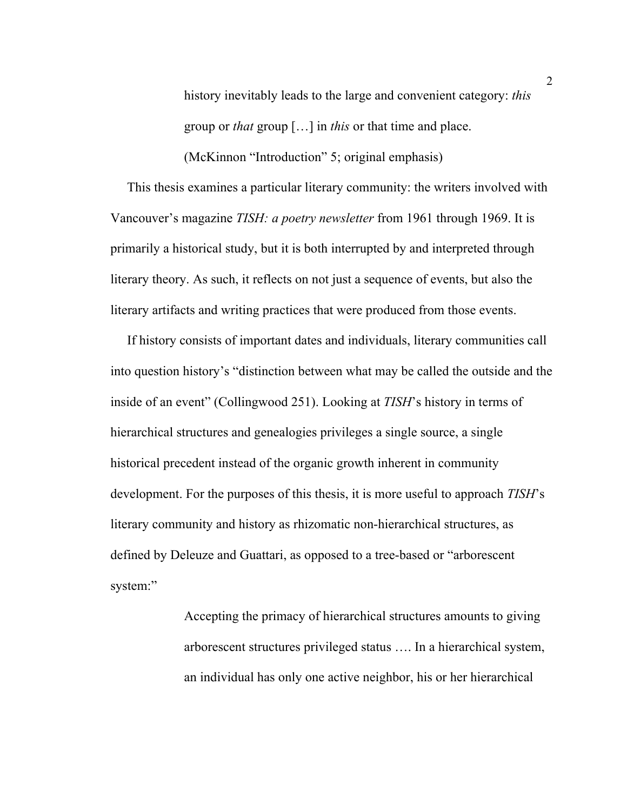history inevitably leads to the large and convenient category: *this* group or *that* group […] in *this* or that time and place.

(McKinnon "Introduction" 5; original emphasis)

 This thesis examines a particular literary community: the writers involved with Vancouver's magazine *TISH: a poetry newsletter* from 1961 through 1969. It is primarily a historical study, but it is both interrupted by and interpreted through literary theory. As such, it reflects on not just a sequence of events, but also the literary artifacts and writing practices that were produced from those events.

 If history consists of important dates and individuals, literary communities call into question history's "distinction between what may be called the outside and the inside of an event" (Collingwood 251). Looking at *TISH*'s history in terms of hierarchical structures and genealogies privileges a single source, a single historical precedent instead of the organic growth inherent in community development. For the purposes of this thesis, it is more useful to approach *TISH*'s literary community and history as rhizomatic non-hierarchical structures, as defined by Deleuze and Guattari, as opposed to a tree-based or "arborescent system:"

> Accepting the primacy of hierarchical structures amounts to giving arborescent structures privileged status …. In a hierarchical system, an individual has only one active neighbor, his or her hierarchical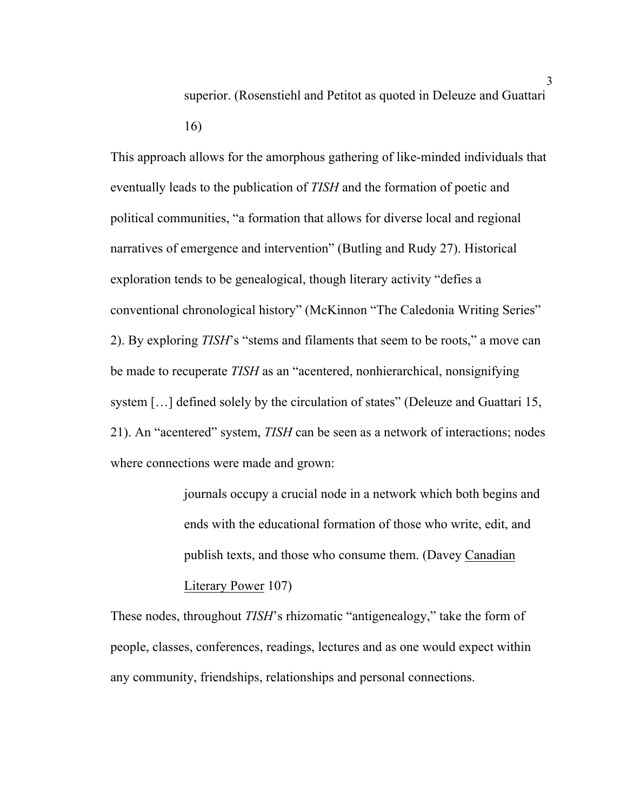superior. (Rosenstiehl and Petitot as quoted in Deleuze and Guattari 16)

This approach allows for the amorphous gathering of like-minded individuals that eventually leads to the publication of *TISH* and the formation of poetic and political communities, "a formation that allows for diverse local and regional narratives of emergence and intervention" (Butling and Rudy 27). Historical exploration tends to be genealogical, though literary activity "defies a conventional chronological history" (McKinnon "The Caledonia Writing Series" 2). By exploring *TISH*'s "stems and filaments that seem to be roots," a move can be made to recuperate *TISH* as an "acentered, nonhierarchical, nonsignifying system […] defined solely by the circulation of states" (Deleuze and Guattari 15, 21). An "acentered" system, *TISH* can be seen as a network of interactions; nodes where connections were made and grown:

> journals occupy a crucial node in a network which both begins and ends with the educational formation of those who write, edit, and publish texts, and those who consume them. (Davey Canadian Literary Power 107)

These nodes, throughout *TISH*'s rhizomatic "antigenealogy," take the form of people, classes, conferences, readings, lectures and as one would expect within any community, friendships, relationships and personal connections.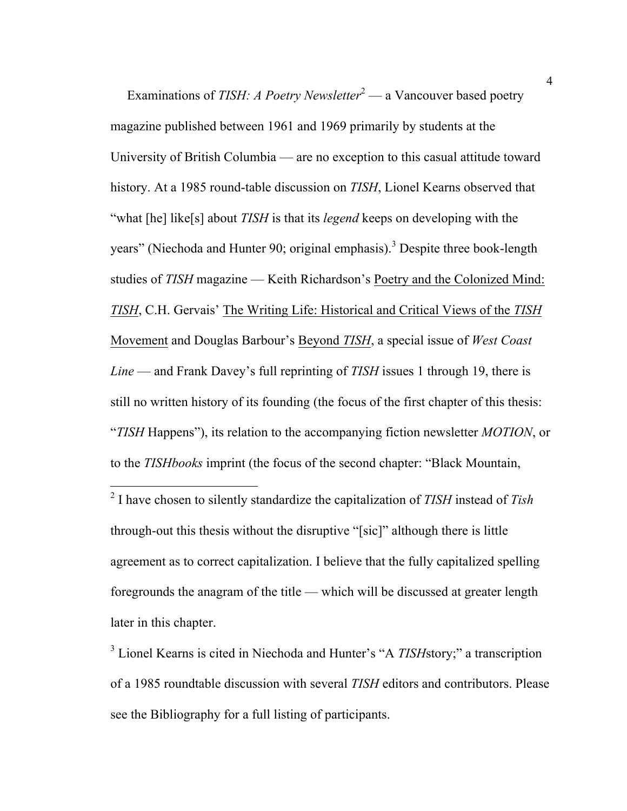Examinations of *TISH: A Poetry Newsletter*<sup>2</sup> — a Vancouver based poetry magazine published between 1961 and 1969 primarily by students at the University of British Columbia — are no exception to this casual attitude toward history. At a 1985 round-table discussion on *TISH*, Lionel Kearns observed that "what [he] like[s] about *TISH* is that its *legend* keeps on developing with the years" (Niechoda and Hunter 90; original emphasis).<sup>3</sup> Despite three book-length studies of *TISH* magazine — Keith Richardson's Poetry and the Colonized Mind: *TISH*, C.H. Gervais' The Writing Life: Historical and Critical Views of the *TISH* Movement and Douglas Barbour's Beyond *TISH*, a special issue of *West Coast Line* — and Frank Davey's full reprinting of *TISH* issues 1 through 19, there is still no written history of its founding (the focus of the first chapter of this thesis: "*TISH* Happens"), its relation to the accompanying fiction newsletter *MOTION*, or to the *TISHbooks* imprint (the focus of the second chapter: "Black Mountain,

 2 I have chosen to silently standardize the capitalization of *TISH* instead of *Tish* through-out this thesis without the disruptive "[sic]" although there is little agreement as to correct capitalization. I believe that the fully capitalized spelling foregrounds the anagram of the title — which will be discussed at greater length later in this chapter.

<sup>3</sup> Lionel Kearns is cited in Niechoda and Hunter's "A *TISH*story;" a transcription of a 1985 roundtable discussion with several *TISH* editors and contributors. Please see the Bibliography for a full listing of participants.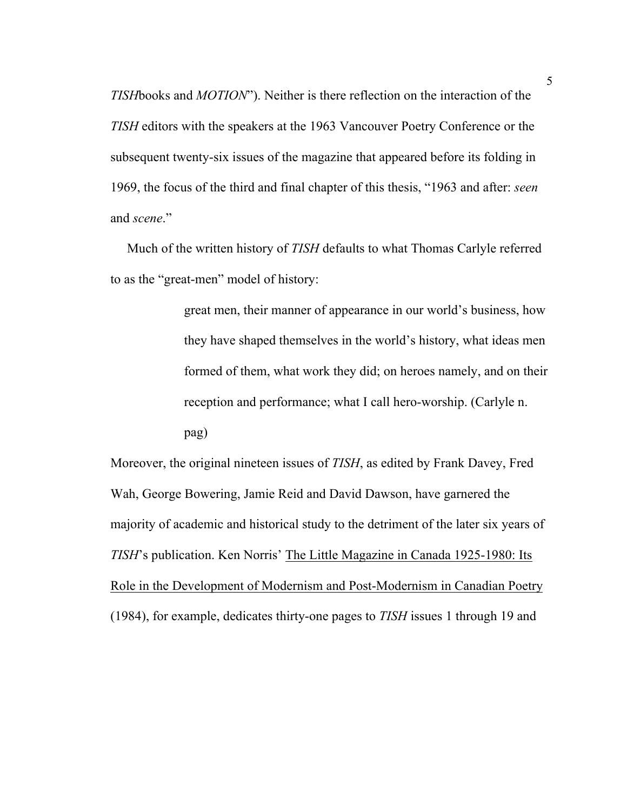*TISH*books and *MOTION*"). Neither is there reflection on the interaction of the *TISH* editors with the speakers at the 1963 Vancouver Poetry Conference or the subsequent twenty-six issues of the magazine that appeared before its folding in 1969, the focus of the third and final chapter of this thesis, "1963 and after: *seen* and *scene*."

 Much of the written history of *TISH* defaults to what Thomas Carlyle referred to as the "great-men" model of history:

> great men, their manner of appearance in our world's business, how they have shaped themselves in the world's history, what ideas men formed of them, what work they did; on heroes namely, and on their reception and performance; what I call hero-worship. (Carlyle n. pag)

Moreover, the original nineteen issues of *TISH*, as edited by Frank Davey, Fred Wah, George Bowering, Jamie Reid and David Dawson, have garnered the majority of academic and historical study to the detriment of the later six years of *TISH*'s publication. Ken Norris' The Little Magazine in Canada 1925-1980: Its Role in the Development of Modernism and Post-Modernism in Canadian Poetry (1984), for example, dedicates thirty-one pages to *TISH* issues 1 through 19 and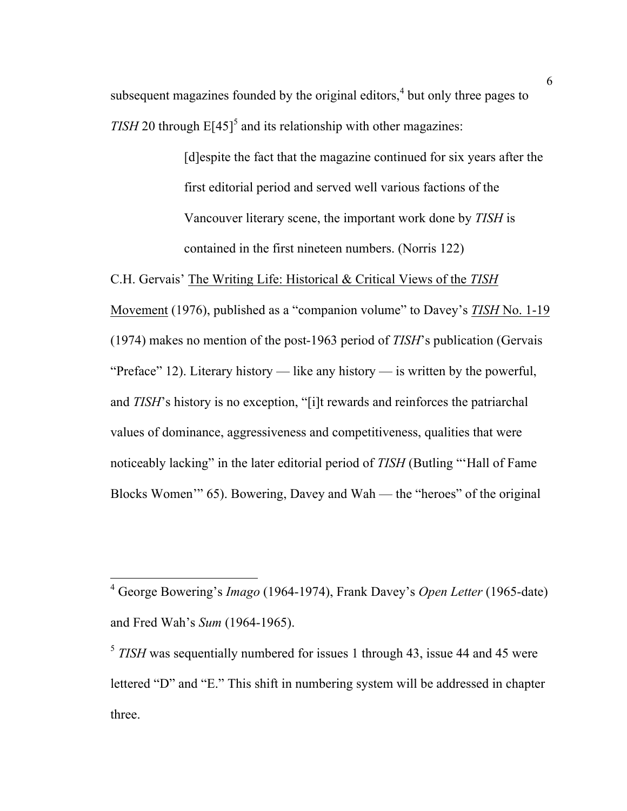subsequent magazines founded by the original editors,<sup>4</sup> but only three pages to *TISH* 20 through  $E[45]$ <sup>5</sup> and its relationship with other magazines:

> [d]espite the fact that the magazine continued for six years after the first editorial period and served well various factions of the Vancouver literary scene, the important work done by *TISH* is contained in the first nineteen numbers. (Norris 122)

C.H. Gervais' The Writing Life: Historical & Critical Views of the *TISH*

Movement (1976), published as a "companion volume" to Davey's *TISH* No. 1-19 (1974) makes no mention of the post-1963 period of *TISH*'s publication (Gervais "Preface" 12). Literary history — like any history — is written by the powerful, and *TISH*'s history is no exception, "[i]t rewards and reinforces the patriarchal values of dominance, aggressiveness and competitiveness, qualities that were noticeably lacking" in the later editorial period of *TISH* (Butling "'Hall of Fame Blocks Women'" 65). Bowering, Davey and Wah — the "heroes" of the original

 <sup>4</sup> George Bowering's *Imago* (1964-1974), Frank Davey's *Open Letter* (1965-date) and Fred Wah's *Sum* (1964-1965).

<sup>&</sup>lt;sup>5</sup> *TISH* was sequentially numbered for issues 1 through 43, issue 44 and 45 were lettered "D" and "E." This shift in numbering system will be addressed in chapter three.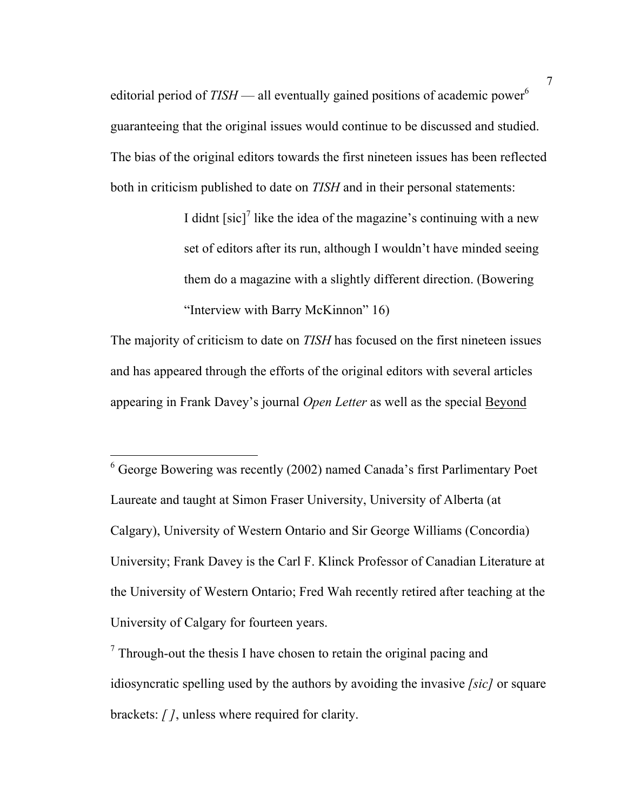editorial period of *TISH* — all eventually gained positions of academic power<sup>6</sup> guaranteeing that the original issues would continue to be discussed and studied. The bias of the original editors towards the first nineteen issues has been reflected both in criticism published to date on *TISH* and in their personal statements:

> I didnt  $[sic]$ <sup>7</sup> like the idea of the magazine's continuing with a new set of editors after its run, although I wouldn't have minded seeing them do a magazine with a slightly different direction. (Bowering "Interview with Barry McKinnon" 16)

The majority of criticism to date on *TISH* has focused on the first nineteen issues and has appeared through the efforts of the original editors with several articles appearing in Frank Davey's journal *Open Letter* as well as the special Beyond

 6 George Bowering was recently (2002) named Canada's first Parlimentary Poet Laureate and taught at Simon Fraser University, University of Alberta (at Calgary), University of Western Ontario and Sir George Williams (Concordia) University; Frank Davey is the Carl F. Klinck Professor of Canadian Literature at the University of Western Ontario; Fred Wah recently retired after teaching at the University of Calgary for fourteen years.

 $\frac{7}{7}$  Through-out the thesis I have chosen to retain the original pacing and idiosyncratic spelling used by the authors by avoiding the invasive *[sic]* or square brackets: *[ ]*, unless where required for clarity.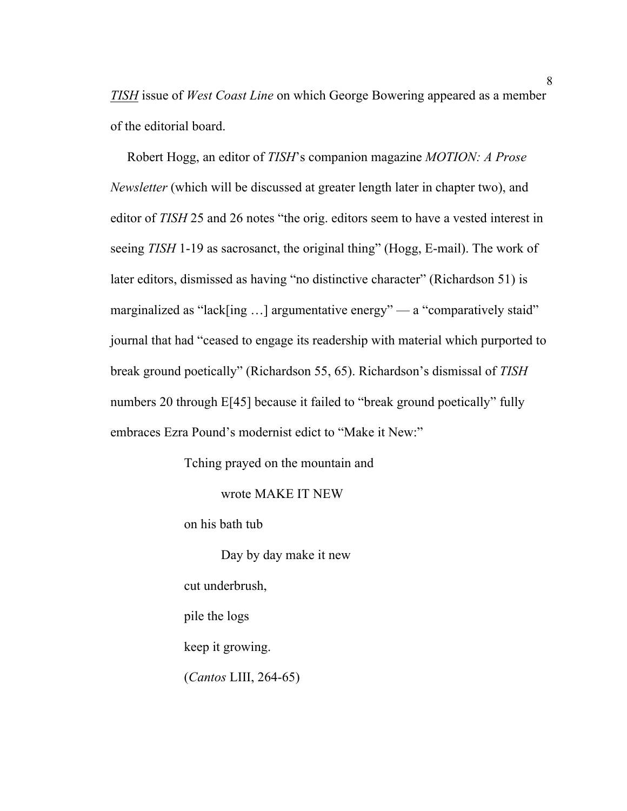*TISH* issue of *West Coast Line* on which George Bowering appeared as a member of the editorial board.

 Robert Hogg, an editor of *TISH*'s companion magazine *MOTION: A Prose Newsletter* (which will be discussed at greater length later in chapter two), and editor of *TISH* 25 and 26 notes "the orig. editors seem to have a vested interest in seeing *TISH* 1-19 as sacrosanct, the original thing" (Hogg, E-mail). The work of later editors, dismissed as having "no distinctive character" (Richardson 51) is marginalized as "lack[ing ...] argumentative energy" — a "comparatively staid" journal that had "ceased to engage its readership with material which purported to break ground poetically" (Richardson 55, 65). Richardson's dismissal of *TISH* numbers 20 through E[45] because it failed to "break ground poetically" fully embraces Ezra Pound's modernist edict to "Make it New:"

Tching prayed on the mountain and

wrote MAKE IT NEW

on his bath tub

Day by day make it new

cut underbrush,

pile the logs

keep it growing.

(*Cantos* LIII, 264-65)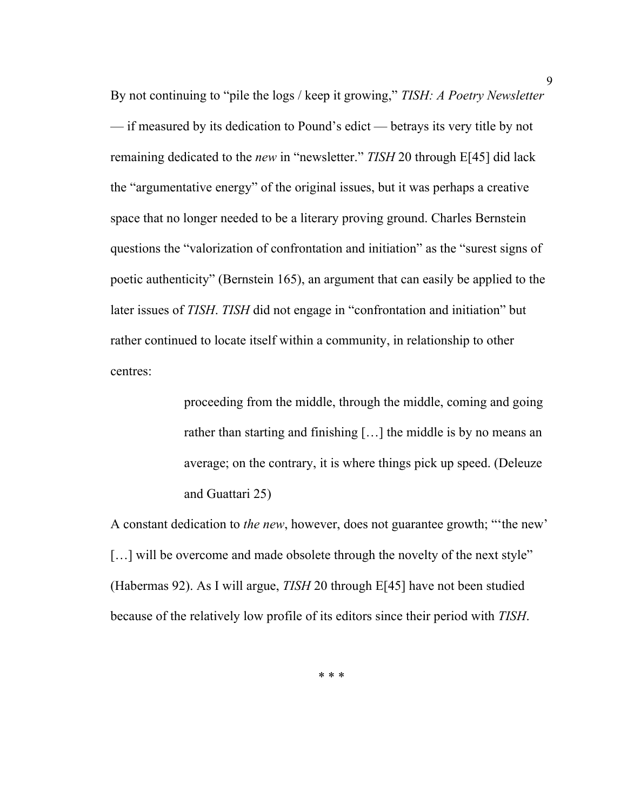By not continuing to "pile the logs / keep it growing," *TISH: A Poetry Newsletter*  — if measured by its dedication to Pound's edict — betrays its very title by not remaining dedicated to the *new* in "newsletter." *TISH* 20 through E[45] did lack the "argumentative energy" of the original issues, but it was perhaps a creative space that no longer needed to be a literary proving ground. Charles Bernstein questions the "valorization of confrontation and initiation" as the "surest signs of poetic authenticity" (Bernstein 165), an argument that can easily be applied to the later issues of *TISH*. *TISH* did not engage in "confrontation and initiation" but rather continued to locate itself within a community, in relationship to other centres:

> proceeding from the middle, through the middle, coming and going rather than starting and finishing […] the middle is by no means an average; on the contrary, it is where things pick up speed. (Deleuze and Guattari 25)

A constant dedication to *the new*, however, does not guarantee growth; "'the new' [...] will be overcome and made obsolete through the novelty of the next style" (Habermas 92). As I will argue, *TISH* 20 through E[45] have not been studied because of the relatively low profile of its editors since their period with *TISH*.

\* \* \*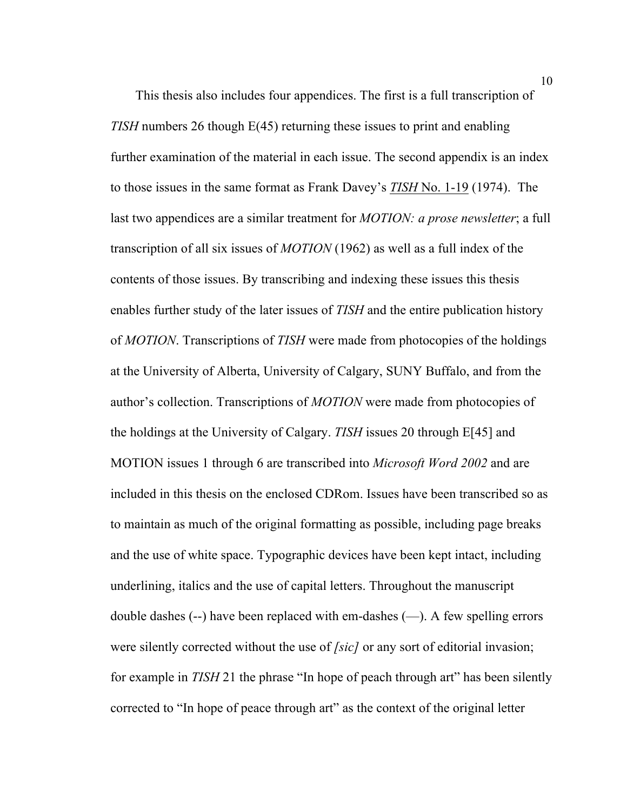This thesis also includes four appendices. The first is a full transcription of *TISH* numbers 26 though E(45) returning these issues to print and enabling further examination of the material in each issue. The second appendix is an index to those issues in the same format as Frank Davey's *TISH* No. 1-19 (1974). The last two appendices are a similar treatment for *MOTION: a prose newsletter*; a full transcription of all six issues of *MOTION* (1962) as well as a full index of the contents of those issues. By transcribing and indexing these issues this thesis enables further study of the later issues of *TISH* and the entire publication history of *MOTION*. Transcriptions of *TISH* were made from photocopies of the holdings at the University of Alberta, University of Calgary, SUNY Buffalo, and from the author's collection. Transcriptions of *MOTION* were made from photocopies of the holdings at the University of Calgary. *TISH* issues 20 through E[45] and MOTION issues 1 through 6 are transcribed into *Microsoft Word 2002* and are included in this thesis on the enclosed CDRom. Issues have been transcribed so as to maintain as much of the original formatting as possible, including page breaks and the use of white space. Typographic devices have been kept intact, including underlining, italics and the use of capital letters. Throughout the manuscript double dashes (--) have been replaced with em-dashes (—). A few spelling errors were silently corrected without the use of *[sic]* or any sort of editorial invasion; for example in *TISH* 21 the phrase "In hope of peach through art" has been silently corrected to "In hope of peace through art" as the context of the original letter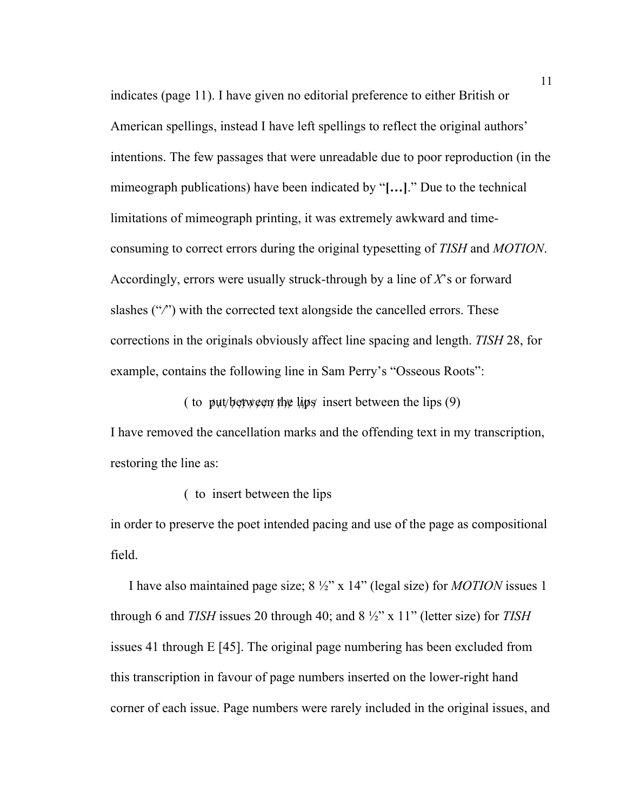indicates (page 11). I have given no editorial preference to either British or American spellings, instead I have left spellings to reflect the original authors' intentions. The few passages that were unreadable due to poor reproduction (in the mimeograph publications) have been indicated by "**[…]**." Due to the technical limitations of mimeograph printing, it was extremely awkward and timeconsuming to correct errors during the original typesetting of *TISH* and *MOTION*. Accordingly, errors were usually struck-through by a line of *X*'s or forward slashes ("*/*") with the corrected text alongside the cancelled errors. These corrections in the originals obviously affect line spacing and length. *TISH* 28, for example, contains the following line in Sam Perry's "Osseous Roots":

( to put/between the lips insert between the lips  $(9)$ 

I have removed the cancellation marks and the offending text in my transcription, restoring the line as:

( to insert between the lips

in order to preserve the poet intended pacing and use of the page as compositional field.

I have also maintained page size; 8 ½" x 14" (legal size) for *MOTION* issues 1 through 6 and *TISH* issues 20 through 40; and 8 ½" x 11" (letter size) for *TISH* issues 41 through E [45]. The original page numbering has been excluded from this transcription in favour of page numbers inserted on the lower-right hand corner of each issue. Page numbers were rarely included in the original issues, and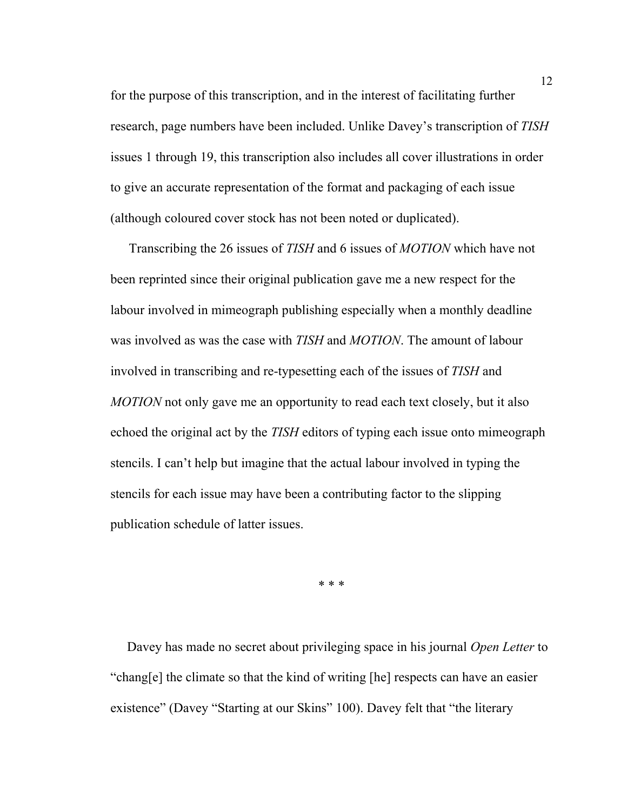for the purpose of this transcription, and in the interest of facilitating further research, page numbers have been included. Unlike Davey's transcription of *TISH* issues 1 through 19, this transcription also includes all cover illustrations in order to give an accurate representation of the format and packaging of each issue (although coloured cover stock has not been noted or duplicated).

Transcribing the 26 issues of *TISH* and 6 issues of *MOTION* which have not been reprinted since their original publication gave me a new respect for the labour involved in mimeograph publishing especially when a monthly deadline was involved as was the case with *TISH* and *MOTION*. The amount of labour involved in transcribing and re-typesetting each of the issues of *TISH* and *MOTION* not only gave me an opportunity to read each text closely, but it also echoed the original act by the *TISH* editors of typing each issue onto mimeograph stencils. I can't help but imagine that the actual labour involved in typing the stencils for each issue may have been a contributing factor to the slipping publication schedule of latter issues.

\* \* \*

 Davey has made no secret about privileging space in his journal *Open Letter* to "chang[e] the climate so that the kind of writing [he] respects can have an easier existence" (Davey "Starting at our Skins" 100). Davey felt that "the literary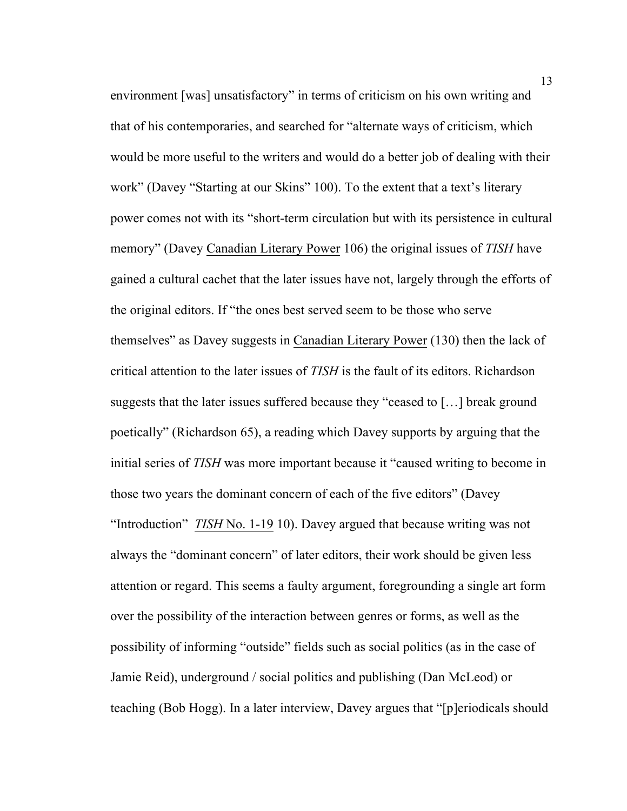environment [was] unsatisfactory" in terms of criticism on his own writing and that of his contemporaries, and searched for "alternate ways of criticism, which would be more useful to the writers and would do a better job of dealing with their work" (Davey "Starting at our Skins" 100). To the extent that a text's literary power comes not with its "short-term circulation but with its persistence in cultural memory" (Davey Canadian Literary Power 106) the original issues of *TISH* have gained a cultural cachet that the later issues have not, largely through the efforts of the original editors. If "the ones best served seem to be those who serve themselves" as Davey suggests in Canadian Literary Power (130) then the lack of critical attention to the later issues of *TISH* is the fault of its editors. Richardson suggests that the later issues suffered because they "ceased to […] break ground poetically" (Richardson 65), a reading which Davey supports by arguing that the initial series of *TISH* was more important because it "caused writing to become in those two years the dominant concern of each of the five editors" (Davey "Introduction" *TISH* No. 1-19 10). Davey argued that because writing was not always the "dominant concern" of later editors, their work should be given less attention or regard. This seems a faulty argument, foregrounding a single art form over the possibility of the interaction between genres or forms, as well as the possibility of informing "outside" fields such as social politics (as in the case of Jamie Reid), underground / social politics and publishing (Dan McLeod) or teaching (Bob Hogg). In a later interview, Davey argues that "[p]eriodicals should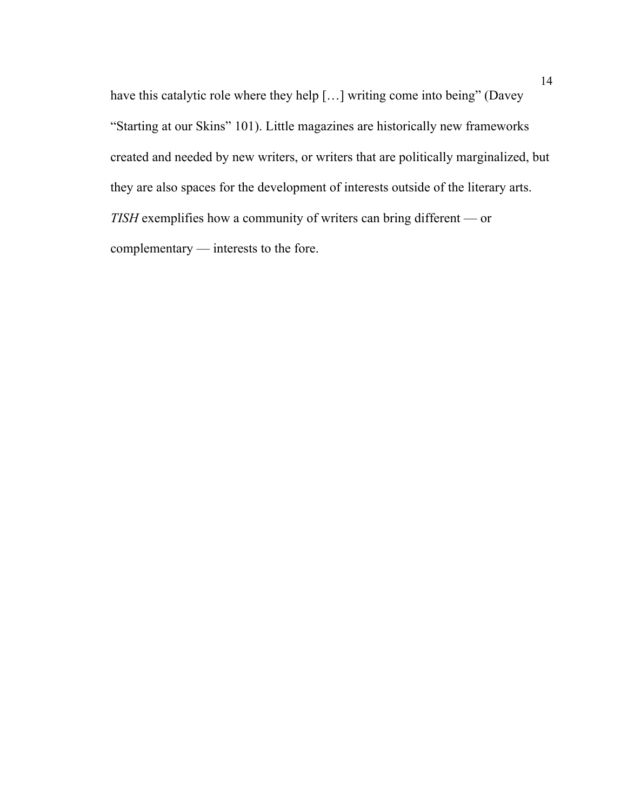have this catalytic role where they help [...] writing come into being" (Davey "Starting at our Skins" 101). Little magazines are historically new frameworks created and needed by new writers, or writers that are politically marginalized, but they are also spaces for the development of interests outside of the literary arts. *TISH* exemplifies how a community of writers can bring different — or complementary — interests to the fore.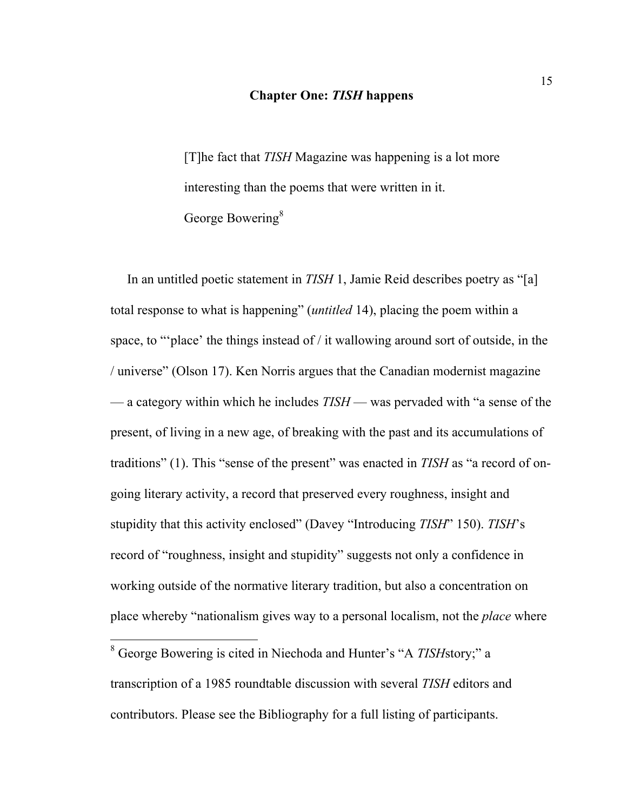#### **Chapter One:** *TISH* **happens**

[T]he fact that *TISH* Magazine was happening is a lot more interesting than the poems that were written in it. George Bowering<sup>8</sup>

 In an untitled poetic statement in *TISH* 1, Jamie Reid describes poetry as "[a] total response to what is happening" (*untitled* 14), placing the poem within a space, to "'place' the things instead of / it wallowing around sort of outside, in the / universe" (Olson 17). Ken Norris argues that the Canadian modernist magazine — a category within which he includes *TISH* — was pervaded with "a sense of the present, of living in a new age, of breaking with the past and its accumulations of traditions" (1). This "sense of the present" was enacted in *TISH* as "a record of ongoing literary activity, a record that preserved every roughness, insight and stupidity that this activity enclosed" (Davey "Introducing *TISH*" 150). *TISH*'s record of "roughness, insight and stupidity" suggests not only a confidence in working outside of the normative literary tradition, but also a concentration on place whereby "nationalism gives way to a personal localism, not the *place* where

 <sup>8</sup> George Bowering is cited in Niechoda and Hunter's "A *TISH*story;" a transcription of a 1985 roundtable discussion with several *TISH* editors and contributors. Please see the Bibliography for a full listing of participants.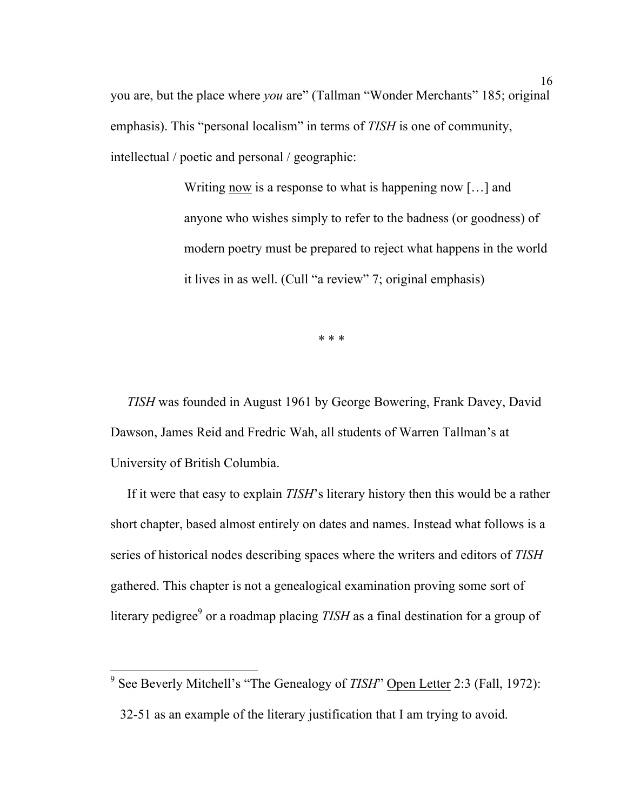you are, but the place where *you* are" (Tallman "Wonder Merchants" 185; original emphasis). This "personal localism" in terms of *TISH* is one of community, intellectual / poetic and personal / geographic:

> Writing now is a response to what is happening now […] and anyone who wishes simply to refer to the badness (or goodness) of modern poetry must be prepared to reject what happens in the world it lives in as well. (Cull "a review" 7; original emphasis)

> > \* \* \*

 *TISH* was founded in August 1961 by George Bowering, Frank Davey, David Dawson, James Reid and Fredric Wah, all students of Warren Tallman's at University of British Columbia.

 If it were that easy to explain *TISH*'s literary history then this would be a rather short chapter, based almost entirely on dates and names. Instead what follows is a series of historical nodes describing spaces where the writers and editors of *TISH* gathered. This chapter is not a genealogical examination proving some sort of literary pedigree<sup>9</sup> or a roadmap placing *TISH* as a final destination for a group of

<sup>&</sup>lt;sup>9</sup> See Beverly Mitchell's "The Genealogy of *TISH*" Open Letter 2:3 (Fall, 1972): 32-51 as an example of the literary justification that I am trying to avoid.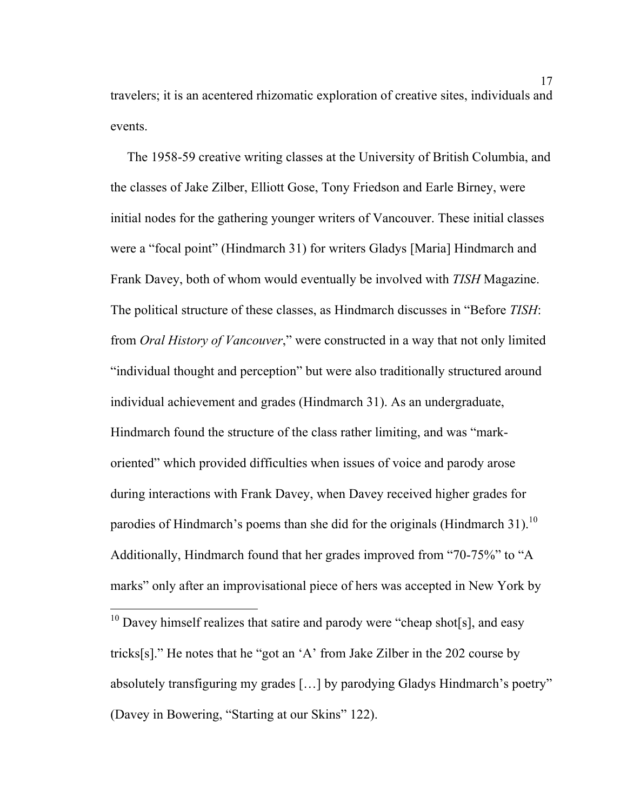travelers; it is an acentered rhizomatic exploration of creative sites, individuals and events.

 The 1958-59 creative writing classes at the University of British Columbia, and the classes of Jake Zilber, Elliott Gose, Tony Friedson and Earle Birney, were initial nodes for the gathering younger writers of Vancouver. These initial classes were a "focal point" (Hindmarch 31) for writers Gladys [Maria] Hindmarch and Frank Davey, both of whom would eventually be involved with *TISH* Magazine. The political structure of these classes, as Hindmarch discusses in "Before *TISH*: from *Oral History of Vancouver*," were constructed in a way that not only limited "individual thought and perception" but were also traditionally structured around individual achievement and grades (Hindmarch 31). As an undergraduate, Hindmarch found the structure of the class rather limiting, and was "markoriented" which provided difficulties when issues of voice and parody arose during interactions with Frank Davey, when Davey received higher grades for parodies of Hindmarch's poems than she did for the originals (Hindmarch 31).<sup>10</sup> Additionally, Hindmarch found that her grades improved from "70-75%" to "A marks" only after an improvisational piece of hers was accepted in New York by

 $10$  Davey himself realizes that satire and parody were "cheap shot[s], and easy tricks[s]." He notes that he "got an 'A' from Jake Zilber in the 202 course by absolutely transfiguring my grades […] by parodying Gladys Hindmarch's poetry" (Davey in Bowering, "Starting at our Skins" 122).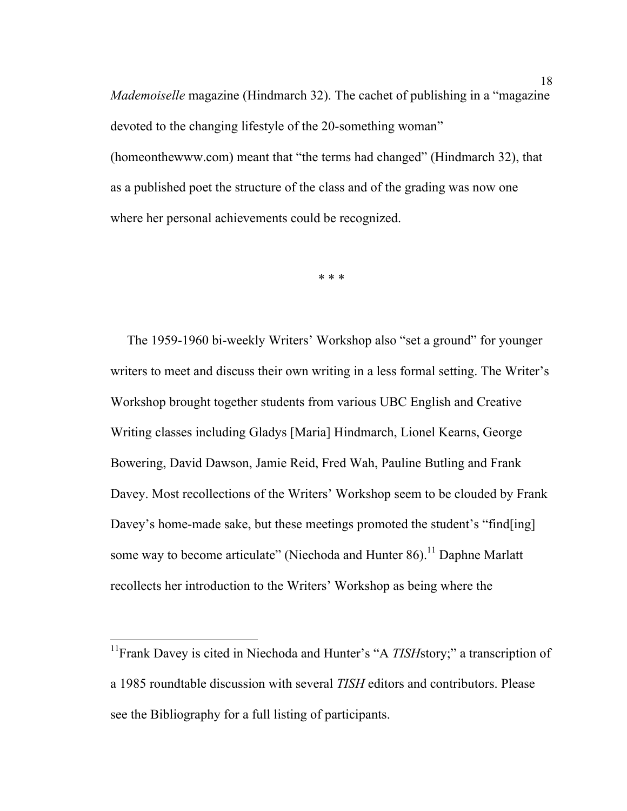*Mademoiselle* magazine (Hindmarch 32). The cachet of publishing in a "magazine devoted to the changing lifestyle of the 20-something woman" (homeonthewww.com) meant that "the terms had changed" (Hindmarch 32), that as a published poet the structure of the class and of the grading was now one where her personal achievements could be recognized.

\* \* \*

 The 1959-1960 bi-weekly Writers' Workshop also "set a ground" for younger writers to meet and discuss their own writing in a less formal setting. The Writer's Workshop brought together students from various UBC English and Creative Writing classes including Gladys [Maria] Hindmarch, Lionel Kearns, George Bowering, David Dawson, Jamie Reid, Fred Wah, Pauline Butling and Frank Davey. Most recollections of the Writers' Workshop seem to be clouded by Frank Davey's home-made sake, but these meetings promoted the student's "find[ing] some way to become articulate" (Niechoda and Hunter  $86$ ).<sup>11</sup> Daphne Marlatt recollects her introduction to the Writers' Workshop as being where the

<sup>&</sup>lt;sup>11</sup>Frank Davey is cited in Niechoda and Hunter's "A *TISH*story;" a transcription of a 1985 roundtable discussion with several *TISH* editors and contributors. Please see the Bibliography for a full listing of participants.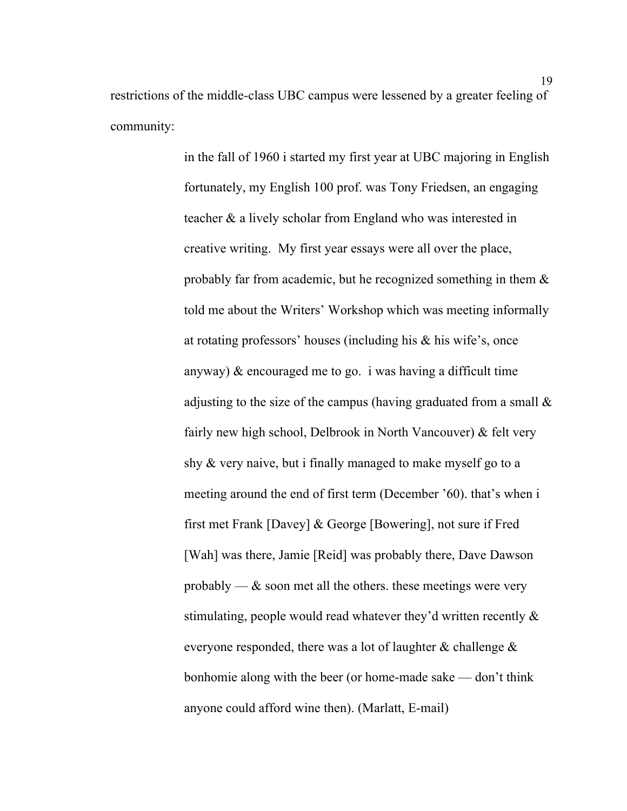restrictions of the middle-class UBC campus were lessened by a greater feeling of community:

> in the fall of 1960 i started my first year at UBC majoring in English fortunately, my English 100 prof. was Tony Friedsen, an engaging teacher & a lively scholar from England who was interested in creative writing. My first year essays were all over the place, probably far from academic, but he recognized something in them & told me about the Writers' Workshop which was meeting informally at rotating professors' houses (including his & his wife's, once anyway)  $\&$  encouraged me to go. i was having a difficult time adjusting to the size of the campus (having graduated from a small & fairly new high school, Delbrook in North Vancouver) & felt very shy & very naive, but i finally managed to make myself go to a meeting around the end of first term (December '60). that's when i first met Frank [Davey] & George [Bowering], not sure if Fred [Wah] was there, Jamie [Reid] was probably there, Dave Dawson probably —  $\&$  soon met all the others, these meetings were very stimulating, people would read whatever they'd written recently & everyone responded, there was a lot of laughter & challenge & bonhomie along with the beer (or home-made sake — don't think anyone could afford wine then). (Marlatt, E-mail)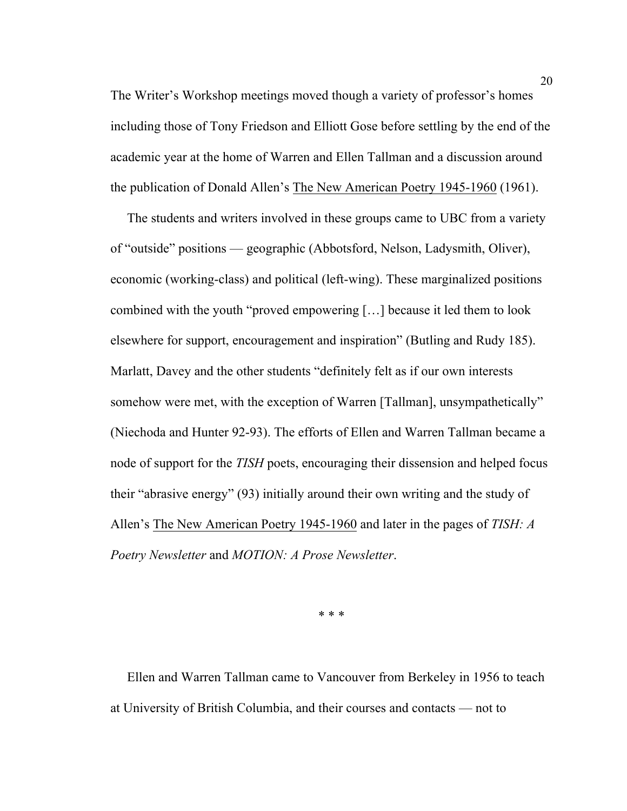The Writer's Workshop meetings moved though a variety of professor's homes including those of Tony Friedson and Elliott Gose before settling by the end of the academic year at the home of Warren and Ellen Tallman and a discussion around the publication of Donald Allen's The New American Poetry 1945-1960 (1961).

 The students and writers involved in these groups came to UBC from a variety of "outside" positions — geographic (Abbotsford, Nelson, Ladysmith, Oliver), economic (working-class) and political (left-wing). These marginalized positions combined with the youth "proved empowering […] because it led them to look elsewhere for support, encouragement and inspiration" (Butling and Rudy 185). Marlatt, Davey and the other students "definitely felt as if our own interests somehow were met, with the exception of Warren [Tallman], unsympathetically" (Niechoda and Hunter 92-93). The efforts of Ellen and Warren Tallman became a node of support for the *TISH* poets, encouraging their dissension and helped focus their "abrasive energy" (93) initially around their own writing and the study of Allen's The New American Poetry 1945-1960 and later in the pages of *TISH: A Poetry Newsletter* and *MOTION: A Prose Newsletter*.

\* \* \*

 Ellen and Warren Tallman came to Vancouver from Berkeley in 1956 to teach at University of British Columbia, and their courses and contacts — not to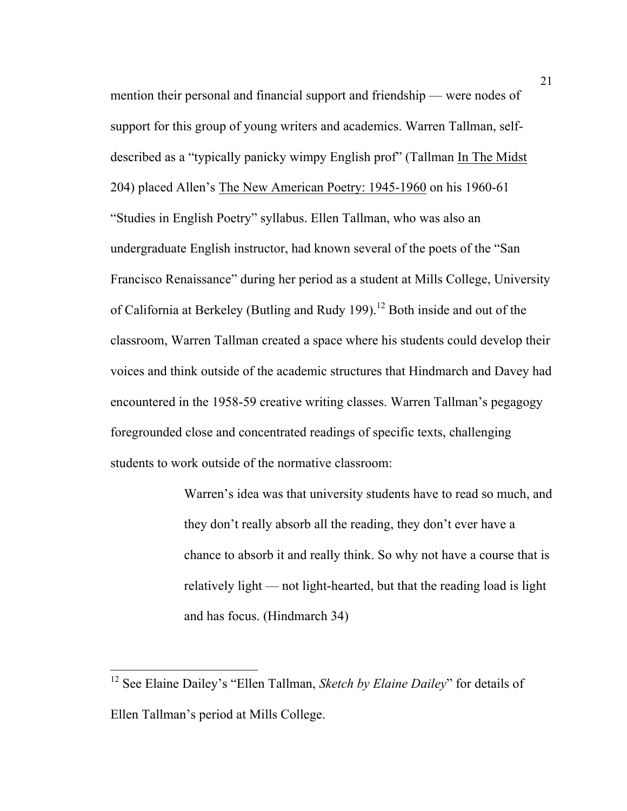mention their personal and financial support and friendship — were nodes of support for this group of young writers and academics. Warren Tallman, selfdescribed as a "typically panicky wimpy English prof" (Tallman In The Midst 204) placed Allen's The New American Poetry: 1945-1960 on his 1960-61 "Studies in English Poetry" syllabus. Ellen Tallman, who was also an undergraduate English instructor, had known several of the poets of the "San Francisco Renaissance" during her period as a student at Mills College, University of California at Berkeley (Butling and Rudy 199).<sup>12</sup> Both inside and out of the classroom, Warren Tallman created a space where his students could develop their voices and think outside of the academic structures that Hindmarch and Davey had encountered in the 1958-59 creative writing classes. Warren Tallman's pegagogy foregrounded close and concentrated readings of specific texts, challenging students to work outside of the normative classroom:

> Warren's idea was that university students have to read so much, and they don't really absorb all the reading, they don't ever have a chance to absorb it and really think. So why not have a course that is relatively light — not light-hearted, but that the reading load is light and has focus. (Hindmarch 34)

 <sup>12</sup> See Elaine Dailey's "Ellen Tallman, *Sketch by Elaine Dailey*" for details of Ellen Tallman's period at Mills College.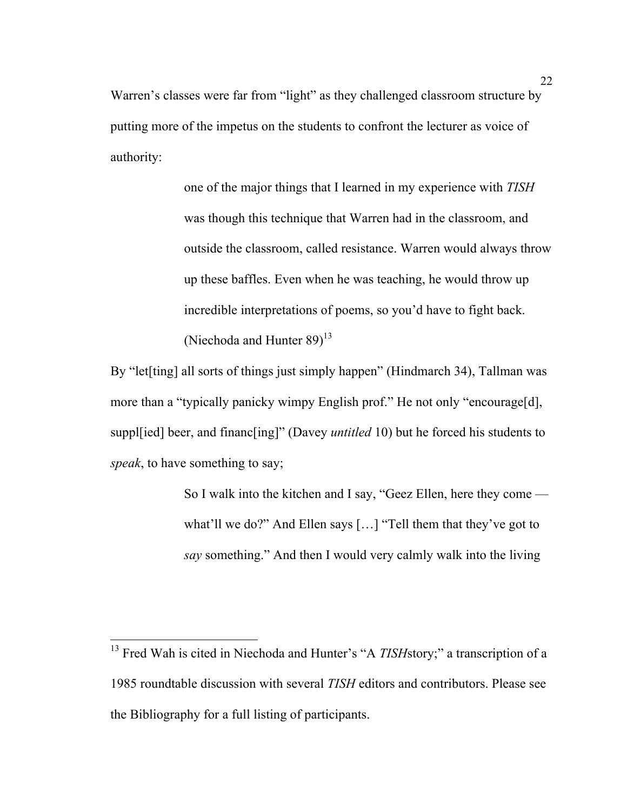Warren's classes were far from "light" as they challenged classroom structure by putting more of the impetus on the students to confront the lecturer as voice of authority:

> one of the major things that I learned in my experience with *TISH* was though this technique that Warren had in the classroom, and outside the classroom, called resistance. Warren would always throw up these baffles. Even when he was teaching, he would throw up incredible interpretations of poems, so you'd have to fight back. (Niechoda and Hunter  $89$ )<sup>13</sup>

By "let<sup>[ting]</sup> all sorts of things just simply happen" (Hindmarch 34), Tallman was more than a "typically panicky wimpy English prof." He not only "encourage[d], suppl[ied] beer, and financ[ing]" (Davey *untitled* 10) but he forced his students to *speak*, to have something to say;

> So I walk into the kitchen and I say, "Geez Ellen, here they come what'll we do?" And Ellen says […] "Tell them that they've got to *say* something." And then I would very calmly walk into the living

<sup>&</sup>lt;sup>13</sup> Fred Wah is cited in Niechoda and Hunter's "A *TISH*story;" a transcription of a 1985 roundtable discussion with several *TISH* editors and contributors. Please see the Bibliography for a full listing of participants.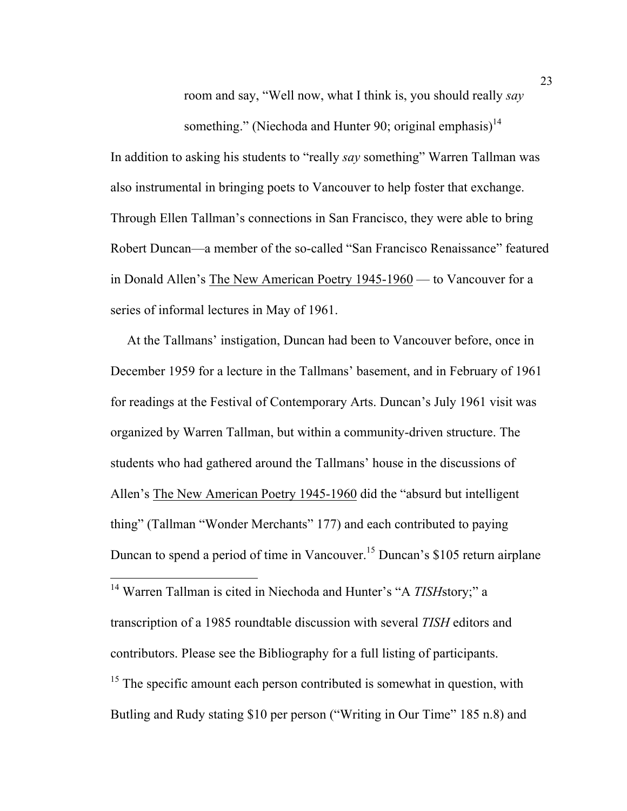room and say, "Well now, what I think is, you should really *say*

something." (Niechoda and Hunter 90; original emphasis)<sup>14</sup> In addition to asking his students to "really *say* something" Warren Tallman was also instrumental in bringing poets to Vancouver to help foster that exchange. Through Ellen Tallman's connections in San Francisco, they were able to bring Robert Duncan—a member of the so-called "San Francisco Renaissance" featured in Donald Allen's The New American Poetry 1945-1960 — to Vancouver for a series of informal lectures in May of 1961.

 At the Tallmans' instigation, Duncan had been to Vancouver before, once in December 1959 for a lecture in the Tallmans' basement, and in February of 1961 for readings at the Festival of Contemporary Arts. Duncan's July 1961 visit was organized by Warren Tallman, but within a community-driven structure. The students who had gathered around the Tallmans' house in the discussions of Allen's The New American Poetry 1945-1960 did the "absurd but intelligent thing" (Tallman "Wonder Merchants" 177) and each contributed to paying Duncan to spend a period of time in Vancouver. <sup>15</sup> Duncan's \$105 return airplane

<sup>&</sup>lt;sup>14</sup> Warren Tallman is cited in Niechoda and Hunter's "A *TISH*story;" a transcription of a 1985 roundtable discussion with several *TISH* editors and contributors. Please see the Bibliography for a full listing of participants.  $15$  The specific amount each person contributed is somewhat in question, with Butling and Rudy stating \$10 per person ("Writing in Our Time" 185 n.8) and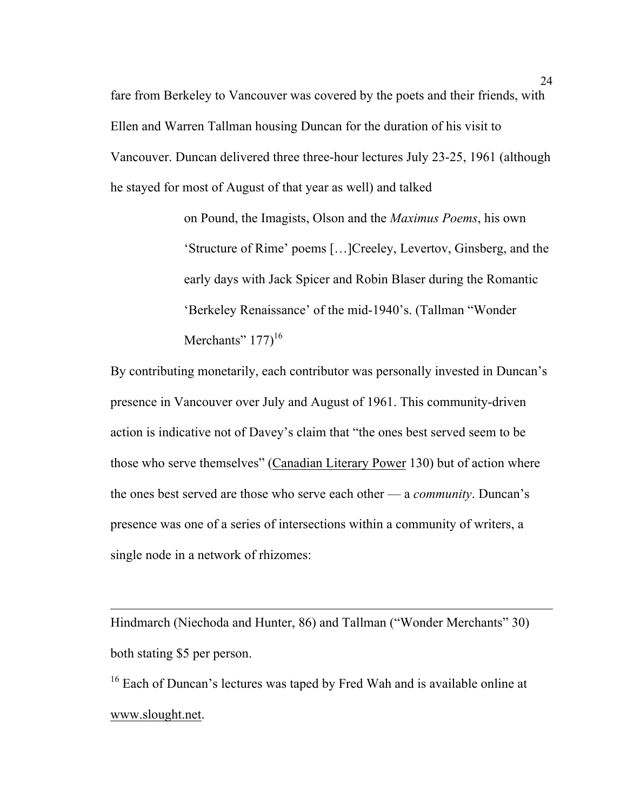fare from Berkeley to Vancouver was covered by the poets and their friends, with Ellen and Warren Tallman housing Duncan for the duration of his visit to Vancouver. Duncan delivered three three-hour lectures July 23-25, 1961 (although he stayed for most of August of that year as well) and talked

> on Pound, the Imagists, Olson and the *Maximus Poems*, his own 'Structure of Rime' poems […]Creeley, Levertov, Ginsberg, and the early days with Jack Spicer and Robin Blaser during the Romantic 'Berkeley Renaissance' of the mid-1940's. (Tallman "Wonder Merchants"  $177$ <sup>16</sup>

By contributing monetarily, each contributor was personally invested in Duncan's presence in Vancouver over July and August of 1961. This community-driven action is indicative not of Davey's claim that "the ones best served seem to be those who serve themselves" (Canadian Literary Power 130) but of action where the ones best served are those who serve each other — a *community*. Duncan's presence was one of a series of intersections within a community of writers, a single node in a network of rhizomes:

Hindmarch (Niechoda and Hunter, 86) and Tallman ("Wonder Merchants" 30) both stating \$5 per person.

1

<sup>16</sup> Each of Duncan's lectures was taped by Fred Wah and is available online at www.slought.net.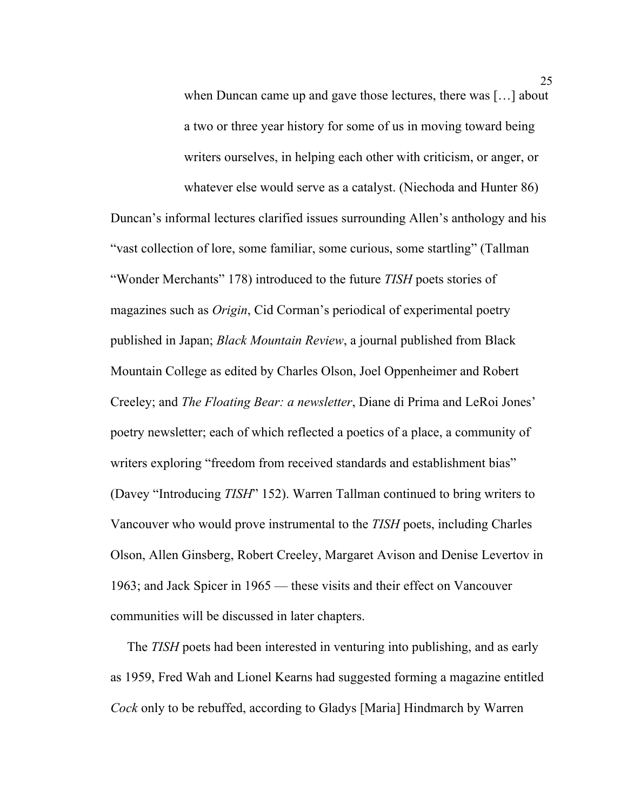when Duncan came up and gave those lectures, there was […] about a two or three year history for some of us in moving toward being writers ourselves, in helping each other with criticism, or anger, or

whatever else would serve as a catalyst. (Niechoda and Hunter 86) Duncan's informal lectures clarified issues surrounding Allen's anthology and his "vast collection of lore, some familiar, some curious, some startling" (Tallman "Wonder Merchants" 178) introduced to the future *TISH* poets stories of magazines such as *Origin*, Cid Corman's periodical of experimental poetry published in Japan; *Black Mountain Review*, a journal published from Black Mountain College as edited by Charles Olson, Joel Oppenheimer and Robert Creeley; and *The Floating Bear: a newsletter*, Diane di Prima and LeRoi Jones' poetry newsletter; each of which reflected a poetics of a place, a community of writers exploring "freedom from received standards and establishment bias" (Davey "Introducing *TISH*" 152). Warren Tallman continued to bring writers to Vancouver who would prove instrumental to the *TISH* poets, including Charles Olson, Allen Ginsberg, Robert Creeley, Margaret Avison and Denise Levertov in 1963; and Jack Spicer in 1965 — these visits and their effect on Vancouver communities will be discussed in later chapters.

 The *TISH* poets had been interested in venturing into publishing, and as early as 1959, Fred Wah and Lionel Kearns had suggested forming a magazine entitled *Cock* only to be rebuffed, according to Gladys [Maria] Hindmarch by Warren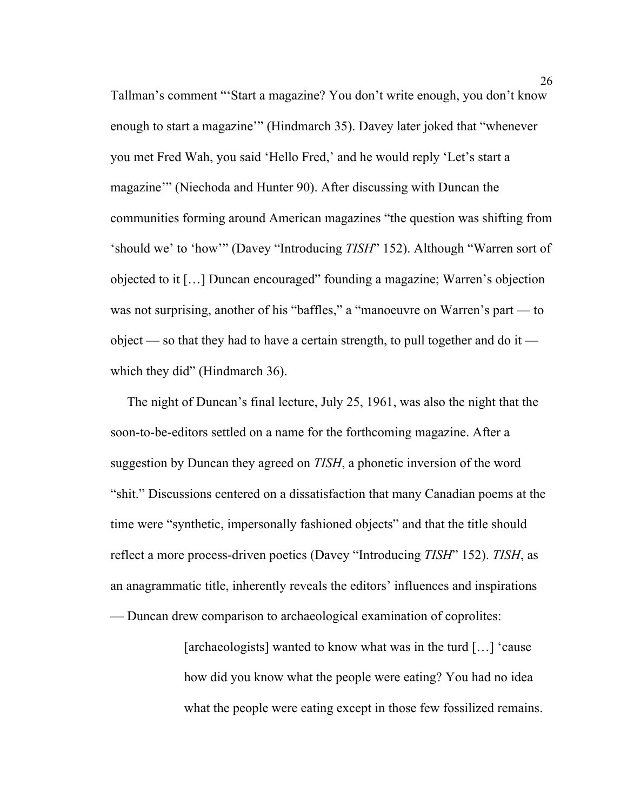Tallman's comment "'Start a magazine? You don't write enough, you don't know enough to start a magazine'" (Hindmarch 35). Davey later joked that "whenever you met Fred Wah, you said 'Hello Fred,' and he would reply 'Let's start a magazine'" (Niechoda and Hunter 90). After discussing with Duncan the communities forming around American magazines "the question was shifting from 'should we' to 'how'" (Davey "Introducing *TISH*" 152). Although "Warren sort of objected to it […] Duncan encouraged" founding a magazine; Warren's objection was not surprising, another of his "baffles," a "manoeuvre on Warren's part — to object — so that they had to have a certain strength, to pull together and do it which they did" (Hindmarch 36).

 The night of Duncan's final lecture, July 25, 1961, was also the night that the soon-to-be-editors settled on a name for the forthcoming magazine. After a suggestion by Duncan they agreed on *TISH*, a phonetic inversion of the word "shit." Discussions centered on a dissatisfaction that many Canadian poems at the time were "synthetic, impersonally fashioned objects" and that the title should reflect a more process-driven poetics (Davey "Introducing *TISH*" 152). *TISH*, as an anagrammatic title, inherently reveals the editors' influences and inspirations — Duncan drew comparison to archaeological examination of coprolites:

> [archaeologists] wanted to know what was in the turd […] 'cause how did you know what the people were eating? You had no idea what the people were eating except in those few fossilized remains.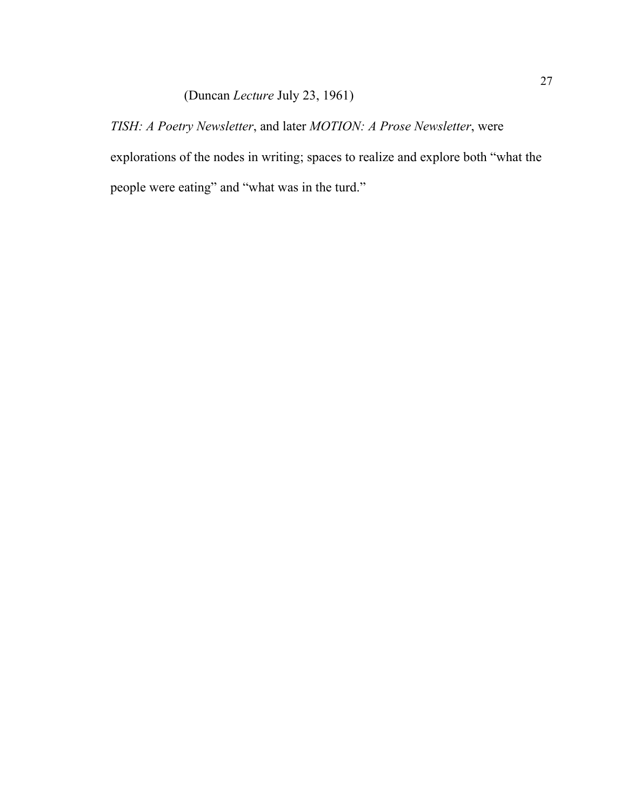## (Duncan *Lecture* July 23, 1961)

*TISH: A Poetry Newsletter*, and later *MOTION: A Prose Newsletter*, were explorations of the nodes in writing; spaces to realize and explore both "what the people were eating" and "what was in the turd."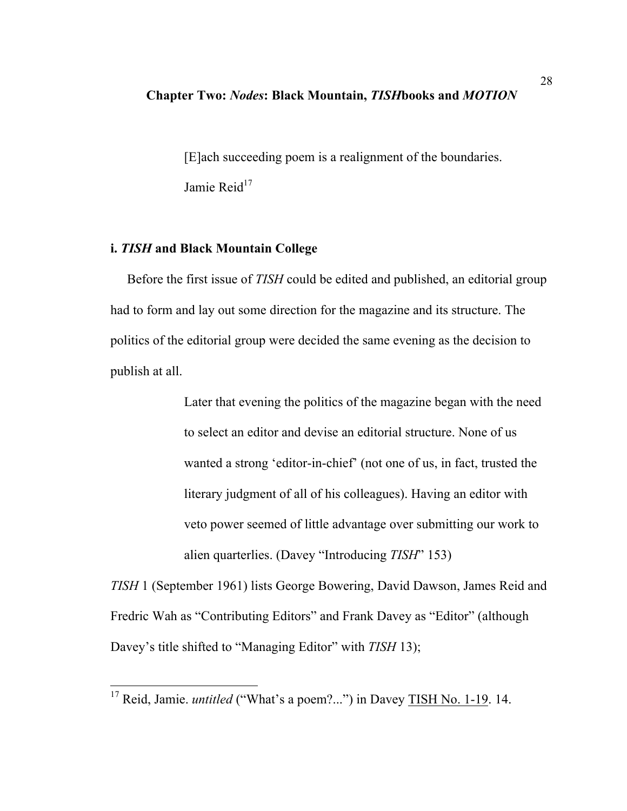#### **Chapter Two:** *Nodes***: Black Mountain,** *TISH***books and** *MOTION*

[E]ach succeeding poem is a realignment of the boundaries. Jamie Reid $17$ 

#### **i.** *TISH* **and Black Mountain College**

 Before the first issue of *TISH* could be edited and published, an editorial group had to form and lay out some direction for the magazine and its structure. The politics of the editorial group were decided the same evening as the decision to publish at all.

> Later that evening the politics of the magazine began with the need to select an editor and devise an editorial structure. None of us wanted a strong 'editor-in-chief' (not one of us, in fact, trusted the literary judgment of all of his colleagues). Having an editor with veto power seemed of little advantage over submitting our work to alien quarterlies. (Davey "Introducing *TISH*" 153)

*TISH* 1 (September 1961) lists George Bowering, David Dawson, James Reid and Fredric Wah as "Contributing Editors" and Frank Davey as "Editor" (although Davey's title shifted to "Managing Editor" with *TISH* 13);

<sup>&</sup>lt;sup>17</sup> Reid, Jamie. *untitled* ("What's a poem?...") in Davey TISH No. 1-19. 14.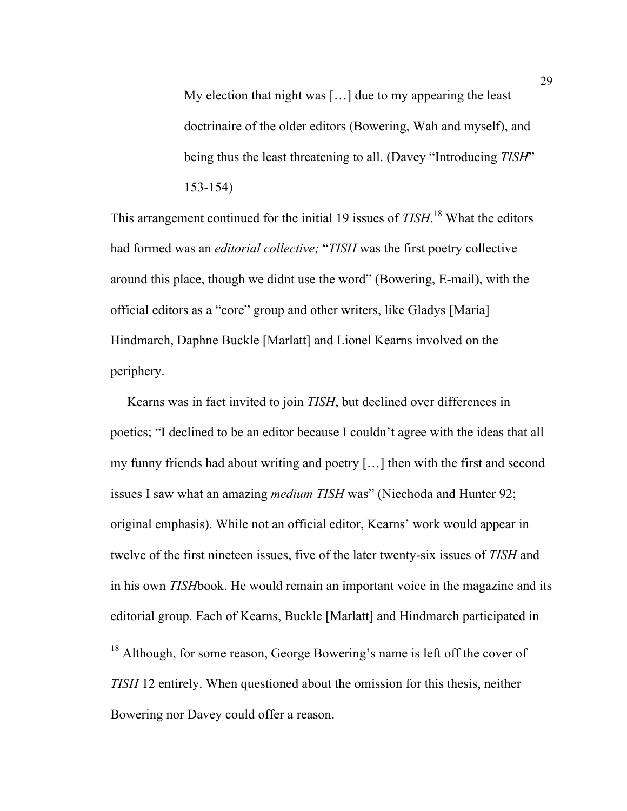My election that night was […] due to my appearing the least doctrinaire of the older editors (Bowering, Wah and myself), and being thus the least threatening to all. (Davey "Introducing *TISH*" 153-154)

This arrangement continued for the initial 19 issues of *TISH*. <sup>18</sup> What the editors had formed was an *editorial collective;* "*TISH* was the first poetry collective around this place, though we didnt use the word" (Bowering, E-mail), with the official editors as a "core" group and other writers, like Gladys [Maria] Hindmarch, Daphne Buckle [Marlatt] and Lionel Kearns involved on the periphery.

 Kearns was in fact invited to join *TISH*, but declined over differences in poetics; "I declined to be an editor because I couldn't agree with the ideas that all my funny friends had about writing and poetry […] then with the first and second issues I saw what an amazing *medium TISH* was" (Niechoda and Hunter 92; original emphasis). While not an official editor, Kearns' work would appear in twelve of the first nineteen issues, five of the later twenty-six issues of *TISH* and in his own *TISH*book. He would remain an important voice in the magazine and its editorial group. Each of Kearns, Buckle [Marlatt] and Hindmarch participated in

<sup>&</sup>lt;sup>18</sup> Although, for some reason, George Bowering's name is left off the cover of *TISH* 12 entirely. When questioned about the omission for this thesis, neither Bowering nor Davey could offer a reason.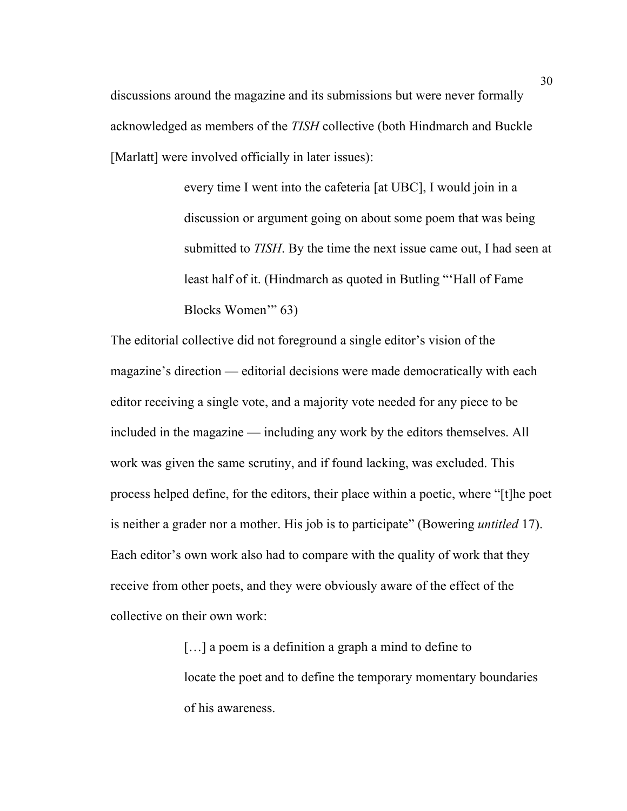discussions around the magazine and its submissions but were never formally acknowledged as members of the *TISH* collective (both Hindmarch and Buckle [Marlatt] were involved officially in later issues):

> every time I went into the cafeteria [at UBC], I would join in a discussion or argument going on about some poem that was being submitted to *TISH*. By the time the next issue came out, I had seen at least half of it. (Hindmarch as quoted in Butling "'Hall of Fame Blocks Women'" 63)

The editorial collective did not foreground a single editor's vision of the magazine's direction — editorial decisions were made democratically with each editor receiving a single vote, and a majority vote needed for any piece to be included in the magazine — including any work by the editors themselves. All work was given the same scrutiny, and if found lacking, was excluded. This process helped define, for the editors, their place within a poetic, where "[t]he poet is neither a grader nor a mother. His job is to participate" (Bowering *untitled* 17). Each editor's own work also had to compare with the quality of work that they receive from other poets, and they were obviously aware of the effect of the collective on their own work:

> [...] a poem is a definition a graph a mind to define to locate the poet and to define the temporary momentary boundaries of his awareness.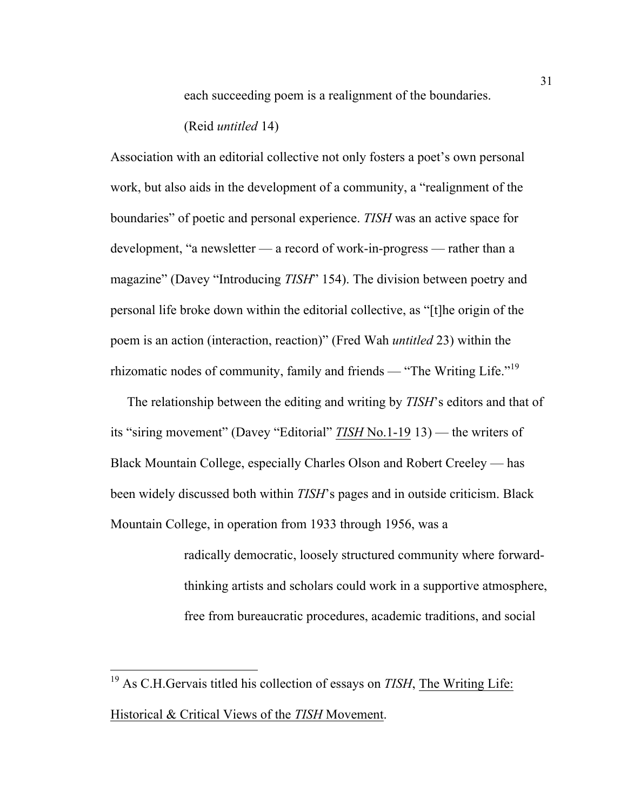each succeeding poem is a realignment of the boundaries.

(Reid *untitled* 14)

Association with an editorial collective not only fosters a poet's own personal work, but also aids in the development of a community, a "realignment of the boundaries" of poetic and personal experience. *TISH* was an active space for development, "a newsletter — a record of work-in-progress — rather than a magazine" (Davey "Introducing *TISH*" 154). The division between poetry and personal life broke down within the editorial collective, as "[t]he origin of the poem is an action (interaction, reaction)" (Fred Wah *untitled* 23) within the rhizomatic nodes of community, family and friends — "The Writing Life."<sup>19</sup>

 The relationship between the editing and writing by *TISH*'s editors and that of its "siring movement" (Davey "Editorial" *TISH* No.1-19 13) — the writers of Black Mountain College, especially Charles Olson and Robert Creeley — has been widely discussed both within *TISH*'s pages and in outside criticism. Black Mountain College, in operation from 1933 through 1956, was a

> radically democratic, loosely structured community where forwardthinking artists and scholars could work in a supportive atmosphere, free from bureaucratic procedures, academic traditions, and social

 <sup>19</sup> As C.H.Gervais titled his collection of essays on *TISH*, The Writing Life: Historical & Critical Views of the *TISH* Movement.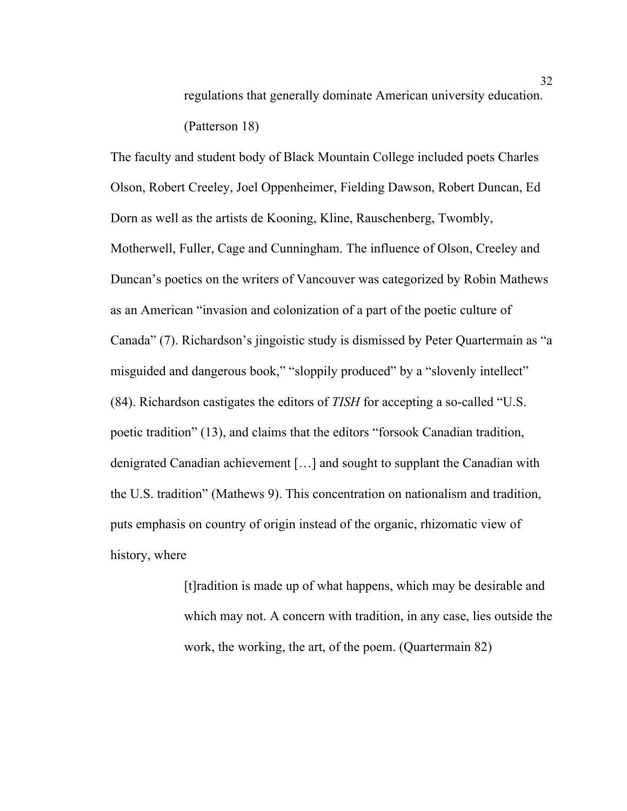regulations that generally dominate American university education. (Patterson 18)

The faculty and student body of Black Mountain College included poets Charles Olson, Robert Creeley, Joel Oppenheimer, Fielding Dawson, Robert Duncan, Ed Dorn as well as the artists de Kooning, Kline, Rauschenberg, Twombly, Motherwell, Fuller, Cage and Cunningham. The influence of Olson, Creeley and Duncan's poetics on the writers of Vancouver was categorized by Robin Mathews as an American "invasion and colonization of a part of the poetic culture of Canada" (7). Richardson's jingoistic study is dismissed by Peter Quartermain as "a misguided and dangerous book," "sloppily produced" by a "slovenly intellect" (84). Richardson castigates the editors of *TISH* for accepting a so-called "U.S. poetic tradition" (13), and claims that the editors "forsook Canadian tradition, denigrated Canadian achievement […] and sought to supplant the Canadian with the U.S. tradition" (Mathews 9). This concentration on nationalism and tradition, puts emphasis on country of origin instead of the organic, rhizomatic view of history, where

> [t]radition is made up of what happens, which may be desirable and which may not. A concern with tradition, in any case, lies outside the work, the working, the art, of the poem. (Quartermain 82)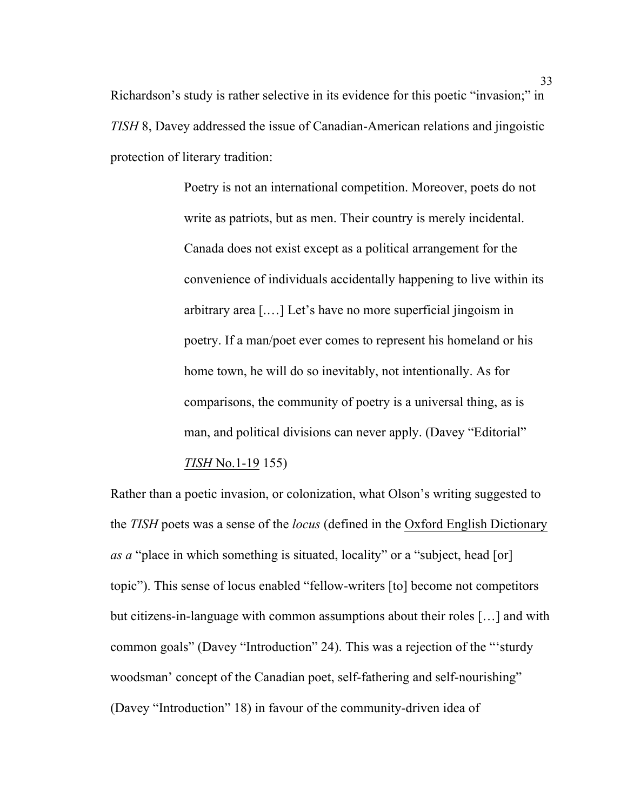Richardson's study is rather selective in its evidence for this poetic "invasion;" in *TISH* 8, Davey addressed the issue of Canadian-American relations and jingoistic protection of literary tradition:

> Poetry is not an international competition. Moreover, poets do not write as patriots, but as men. Their country is merely incidental. Canada does not exist except as a political arrangement for the convenience of individuals accidentally happening to live within its arbitrary area [.…] Let's have no more superficial jingoism in poetry. If a man/poet ever comes to represent his homeland or his home town, he will do so inevitably, not intentionally. As for comparisons, the community of poetry is a universal thing, as is man, and political divisions can never apply. (Davey "Editorial" *TISH* No.1-19 155)

Rather than a poetic invasion, or colonization, what Olson's writing suggested to the *TISH* poets was a sense of the *locus* (defined in the Oxford English Dictionary *as a* "place in which something is situated, locality" or a "subject, head [or] topic"). This sense of locus enabled "fellow-writers [to] become not competitors but citizens-in-language with common assumptions about their roles […] and with common goals" (Davey "Introduction" 24). This was a rejection of the "'sturdy woodsman' concept of the Canadian poet, self-fathering and self-nourishing" (Davey "Introduction" 18) in favour of the community-driven idea of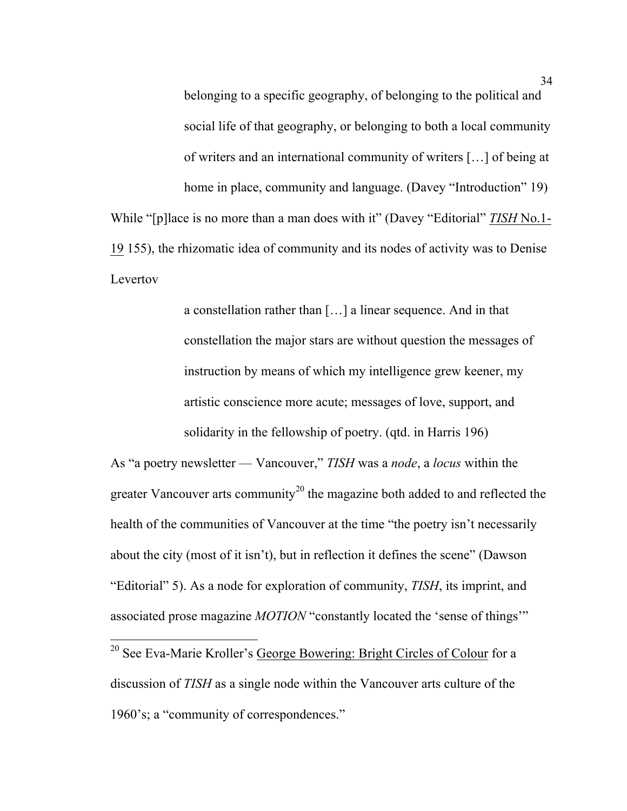belonging to a specific geography, of belonging to the political and social life of that geography, or belonging to both a local community of writers and an international community of writers […] of being at home in place, community and language. (Davey "Introduction" 19) While "[p]lace is no more than a man does with it" (Davey "Editorial" *TISH* No.1- 19 155), the rhizomatic idea of community and its nodes of activity was to Denise Levertov

> a constellation rather than […] a linear sequence. And in that constellation the major stars are without question the messages of instruction by means of which my intelligence grew keener, my artistic conscience more acute; messages of love, support, and solidarity in the fellowship of poetry. (qtd. in Harris 196)

As "a poetry newsletter — Vancouver," *TISH* was a *node*, a *locus* within the greater Vancouver arts community<sup>20</sup> the magazine both added to and reflected the health of the communities of Vancouver at the time "the poetry isn't necessarily about the city (most of it isn't), but in reflection it defines the scene" (Dawson "Editorial" 5). As a node for exploration of community, *TISH*, its imprint, and associated prose magazine *MOTION* "constantly located the 'sense of things'"

<sup>20</sup> See Eva-Marie Kroller's George Bowering: Bright Circles of Colour for a discussion of *TISH* as a single node within the Vancouver arts culture of the 1960's; a "community of correspondences."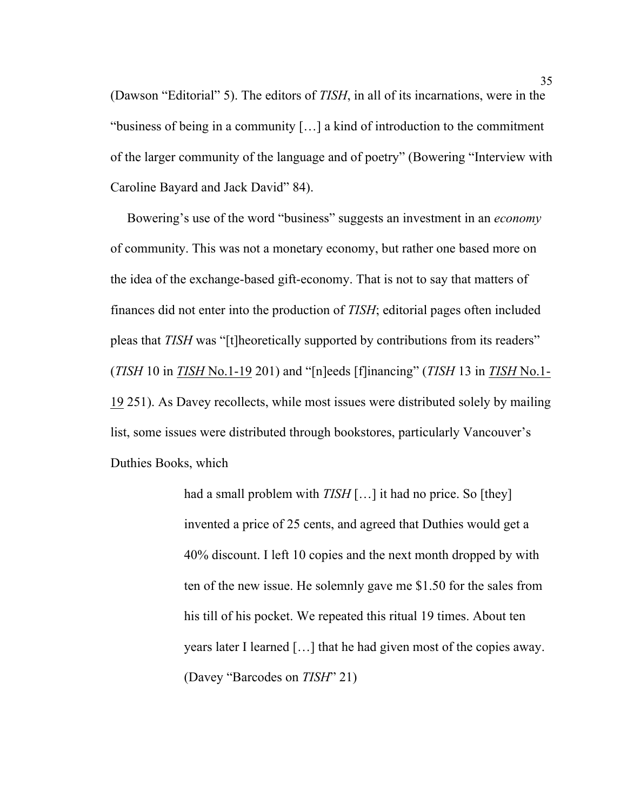(Dawson "Editorial" 5). The editors of *TISH*, in all of its incarnations, were in the "business of being in a community […] a kind of introduction to the commitment of the larger community of the language and of poetry" (Bowering "Interview with Caroline Bayard and Jack David" 84).

 Bowering's use of the word "business" suggests an investment in an *economy* of community. This was not a monetary economy, but rather one based more on the idea of the exchange-based gift-economy. That is not to say that matters of finances did not enter into the production of *TISH*; editorial pages often included pleas that *TISH* was "[t]heoretically supported by contributions from its readers" (*TISH* 10 in *TISH* No.1-19 201) and "[n]eeds [f]inancing" (*TISH* 13 in *TISH* No.1- 19 251). As Davey recollects, while most issues were distributed solely by mailing list, some issues were distributed through bookstores, particularly Vancouver's Duthies Books, which

> had a small problem with *TISH* [...] it had no price. So [they] invented a price of 25 cents, and agreed that Duthies would get a 40% discount. I left 10 copies and the next month dropped by with ten of the new issue. He solemnly gave me \$1.50 for the sales from his till of his pocket. We repeated this ritual 19 times. About ten years later I learned […] that he had given most of the copies away. (Davey "Barcodes on *TISH*" 21)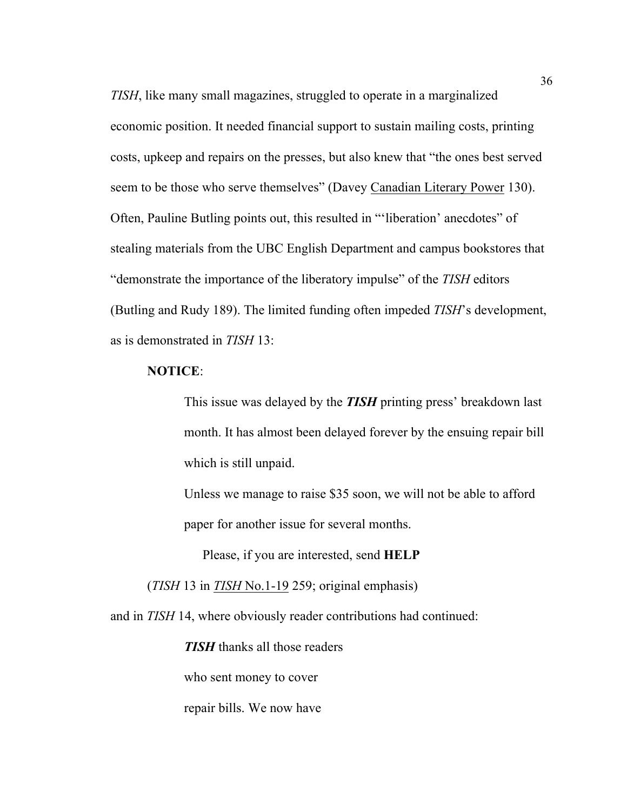*TISH*, like many small magazines, struggled to operate in a marginalized economic position. It needed financial support to sustain mailing costs, printing costs, upkeep and repairs on the presses, but also knew that "the ones best served seem to be those who serve themselves" (Davey Canadian Literary Power 130). Often, Pauline Butling points out, this resulted in "'liberation' anecdotes" of stealing materials from the UBC English Department and campus bookstores that "demonstrate the importance of the liberatory impulse" of the *TISH* editors (Butling and Rudy 189). The limited funding often impeded *TISH*'s development, as is demonstrated in *TISH* 13:

#### **NOTICE**:

This issue was delayed by the *TISH* printing press' breakdown last month. It has almost been delayed forever by the ensuing repair bill which is still unpaid.

Unless we manage to raise \$35 soon, we will not be able to afford paper for another issue for several months.

Please, if you are interested, send **HELP**

(*TISH* 13 in *TISH* No.1-19 259; original emphasis)

and in *TISH* 14, where obviously reader contributions had continued:

*TISH* thanks all those readers

who sent money to cover

repair bills. We now have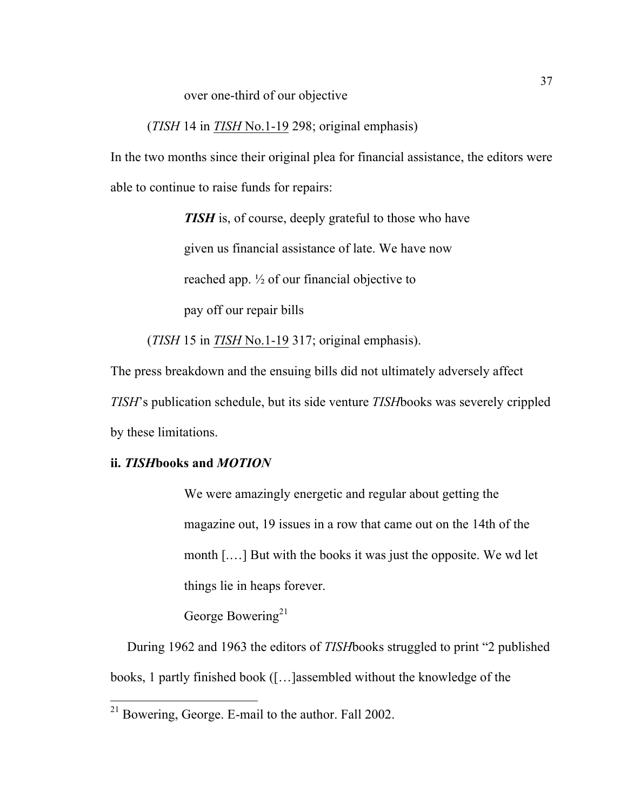over one-third of our objective

(*TISH* 14 in *TISH* No.1-19 298; original emphasis)

In the two months since their original plea for financial assistance, the editors were able to continue to raise funds for repairs:

> *TISH* is, of course, deeply grateful to those who have given us financial assistance of late. We have now reached app. ½ of our financial objective to pay off our repair bills

(*TISH* 15 in *TISH* No.1-19 317; original emphasis).

The press breakdown and the ensuing bills did not ultimately adversely affect *TISH*'s publication schedule, but its side venture *TISH*books was severely crippled by these limitations.

## **ii.** *TISH***books and** *MOTION*

We were amazingly energetic and regular about getting the magazine out, 19 issues in a row that came out on the 14th of the month [.…] But with the books it was just the opposite. We wd let things lie in heaps forever.

George Bowering<sup>21</sup>

 During 1962 and 1963 the editors of *TISH*books struggled to print "2 published books, 1 partly finished book ([…]assembled without the knowledge of the

 <sup>21</sup> Bowering, George. E-mail to the author. Fall 2002.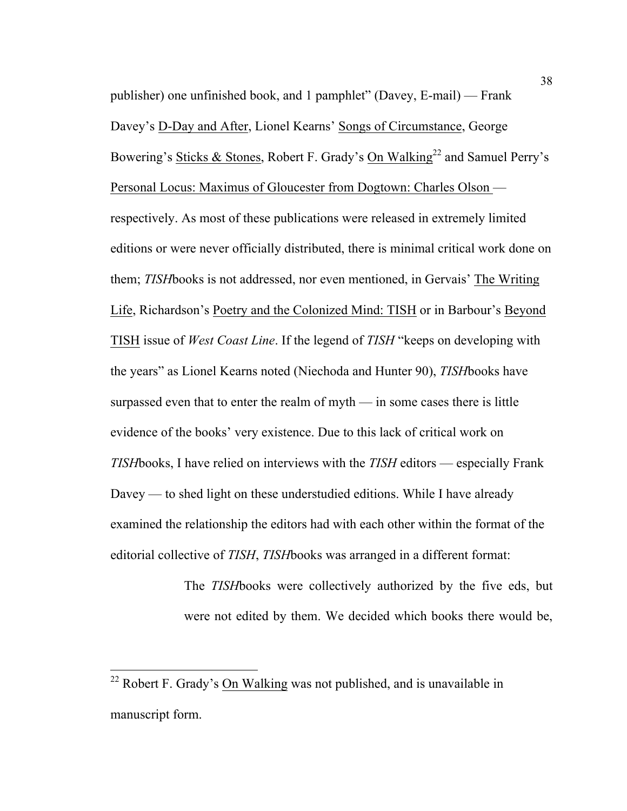publisher) one unfinished book, and 1 pamphlet" (Davey, E-mail) — Frank Davey's D-Day and After, Lionel Kearns' Songs of Circumstance, George Bowering's Sticks & Stones, Robert F. Grady's On Walking<sup>22</sup> and Samuel Perry's Personal Locus: Maximus of Gloucester from Dogtown: Charles Olson respectively. As most of these publications were released in extremely limited editions or were never officially distributed, there is minimal critical work done on them; *TISH*books is not addressed, nor even mentioned, in Gervais' The Writing Life, Richardson's Poetry and the Colonized Mind: TISH or in Barbour's Beyond TISH issue of *West Coast Line*. If the legend of *TISH* "keeps on developing with the years" as Lionel Kearns noted (Niechoda and Hunter 90), *TISH*books have surpassed even that to enter the realm of myth — in some cases there is little evidence of the books' very existence. Due to this lack of critical work on *TISH*books, I have relied on interviews with the *TISH* editors — especially Frank Davey — to shed light on these understudied editions. While I have already examined the relationship the editors had with each other within the format of the editorial collective of *TISH*, *TISH*books was arranged in a different format:

> The *TISH*books were collectively authorized by the five eds, but were not edited by them. We decided which books there would be,

 $22$  Robert F. Grady's On Walking was not published, and is unavailable in manuscript form.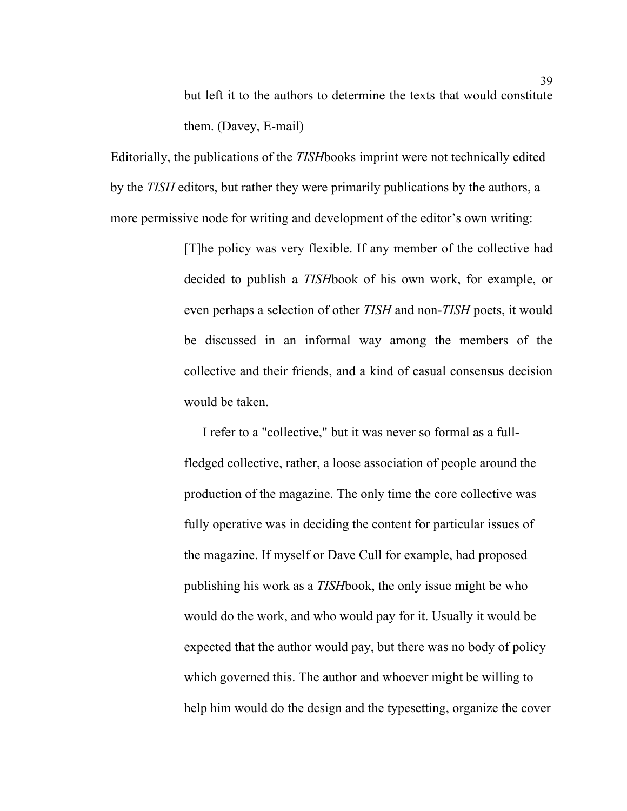but left it to the authors to determine the texts that would constitute them. (Davey, E-mail)

Editorially, the publications of the *TISH*books imprint were not technically edited by the *TISH* editors, but rather they were primarily publications by the authors, a more permissive node for writing and development of the editor's own writing:

> [T]he policy was very flexible. If any member of the collective had decided to publish a *TISH*book of his own work, for example, or even perhaps a selection of other *TISH* and non-*TISH* poets, it would be discussed in an informal way among the members of the collective and their friends, and a kind of casual consensus decision would be taken.

> I refer to a "collective," but it was never so formal as a fullfledged collective, rather, a loose association of people around the production of the magazine. The only time the core collective was fully operative was in deciding the content for particular issues of the magazine. If myself or Dave Cull for example, had proposed publishing his work as a *TISH*book, the only issue might be who would do the work, and who would pay for it. Usually it would be expected that the author would pay, but there was no body of policy which governed this. The author and whoever might be willing to help him would do the design and the typesetting, organize the cover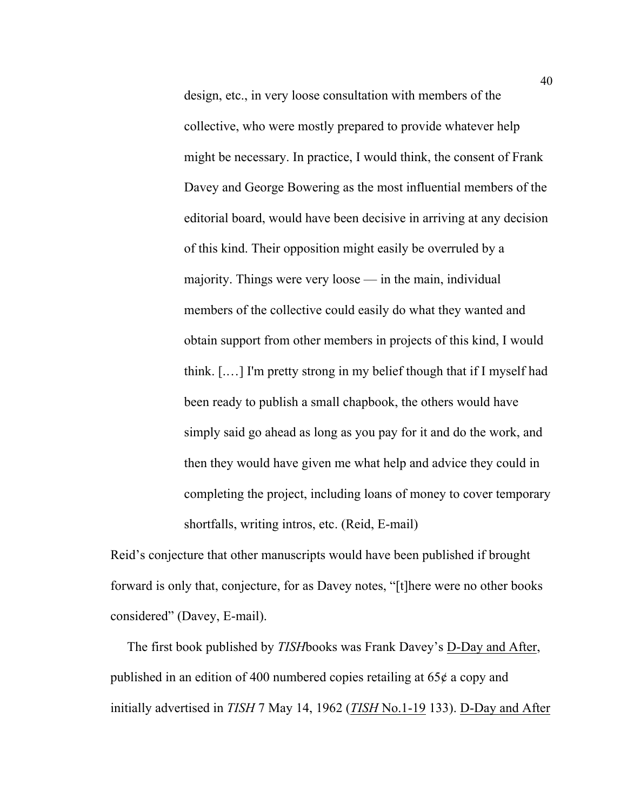design, etc., in very loose consultation with members of the collective, who were mostly prepared to provide whatever help might be necessary. In practice, I would think, the consent of Frank Davey and George Bowering as the most influential members of the editorial board, would have been decisive in arriving at any decision of this kind. Their opposition might easily be overruled by a majority. Things were very loose — in the main, individual members of the collective could easily do what they wanted and obtain support from other members in projects of this kind, I would think. [.…] I'm pretty strong in my belief though that if I myself had been ready to publish a small chapbook, the others would have simply said go ahead as long as you pay for it and do the work, and then they would have given me what help and advice they could in completing the project, including loans of money to cover temporary shortfalls, writing intros, etc. (Reid, E-mail)

Reid's conjecture that other manuscripts would have been published if brought forward is only that, conjecture, for as Davey notes, "[t]here were no other books considered" (Davey, E-mail).

 The first book published by *TISH*books was Frank Davey's D-Day and After, published in an edition of 400 numbered copies retailing at 65¢ a copy and initially advertised in *TISH* 7 May 14, 1962 (*TISH* No.1-19 133). D-Day and After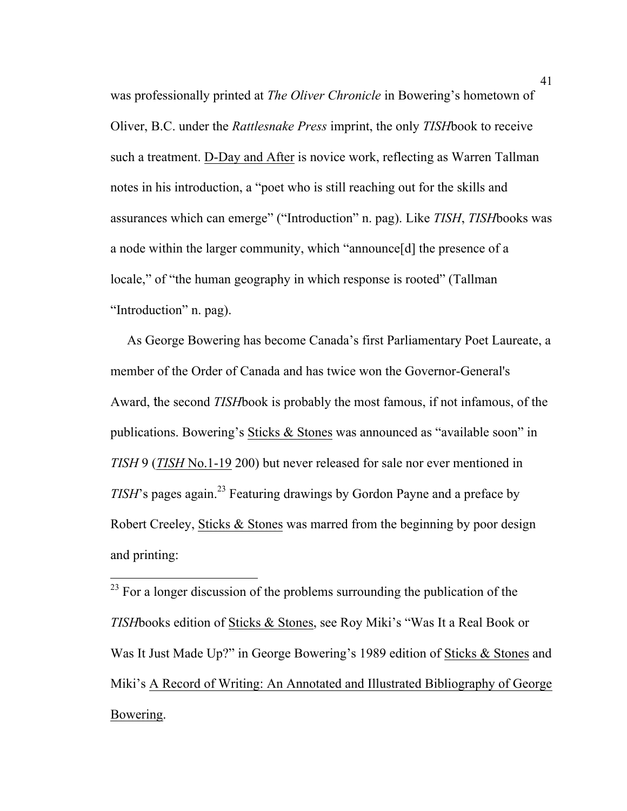was professionally printed at *The Oliver Chronicle* in Bowering's hometown of Oliver, B.C. under the *Rattlesnake Press* imprint, the only *TISH*book to receive such a treatment. D-Day and After is novice work, reflecting as Warren Tallman notes in his introduction, a "poet who is still reaching out for the skills and assurances which can emerge" ("Introduction" n. pag). Like *TISH*, *TISH*books was a node within the larger community, which "announce[d] the presence of a locale," of "the human geography in which response is rooted" (Tallman "Introduction" n. pag).

 As George Bowering has become Canada's first Parliamentary Poet Laureate, a member of the Order of Canada and has twice won the Governor-General's Award, the second *TISH*book is probably the most famous, if not infamous, of the publications. Bowering's Sticks & Stones was announced as "available soon" in *TISH* 9 (*TISH* No.1-19 200) but never released for sale nor ever mentioned in *TISH*'s pages again. <sup>23</sup> Featuring drawings by Gordon Payne and a preface by Robert Creeley, Sticks & Stones was marred from the beginning by poor design and printing:

 $23$  For a longer discussion of the problems surrounding the publication of the *TISH*books edition of Sticks & Stones, see Roy Miki's "Was It a Real Book or Was It Just Made Up?" in George Bowering's 1989 edition of Sticks & Stones and Miki's A Record of Writing: An Annotated and Illustrated Bibliography of George Bowering.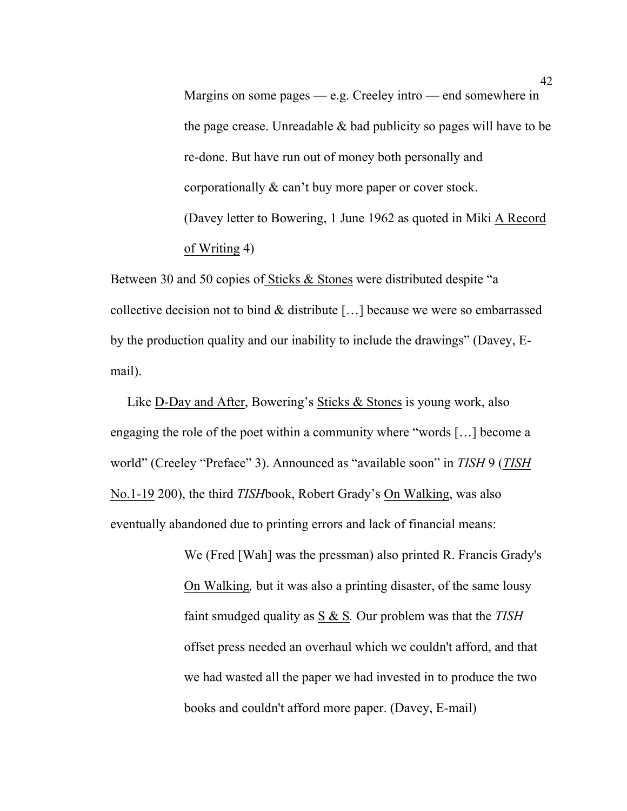Margins on some pages  $-e.g.$  Creeley intro — end somewhere in the page crease. Unreadable  $\&$  bad publicity so pages will have to be re-done. But have run out of money both personally and corporationally & can't buy more paper or cover stock. (Davey letter to Bowering, 1 June 1962 as quoted in Miki A Record of Writing 4)

Between 30 and 50 copies of Sticks & Stones were distributed despite "a collective decision not to bind & distribute […] because we were so embarrassed by the production quality and our inability to include the drawings" (Davey, Email).

 Like D-Day and After, Bowering's Sticks & Stones is young work, also engaging the role of the poet within a community where "words […] become a world" (Creeley "Preface" 3). Announced as "available soon" in *TISH* 9 (*TISH* No.1-19 200), the third *TISH*book, Robert Grady's On Walking, was also eventually abandoned due to printing errors and lack of financial means:

> We (Fred [Wah] was the pressman) also printed R. Francis Grady's On Walking*,* but it was also a printing disaster, of the same lousy faint smudged quality as S & S*.* Our problem was that the *TISH* offset press needed an overhaul which we couldn't afford, and that we had wasted all the paper we had invested in to produce the two books and couldn't afford more paper. (Davey, E-mail)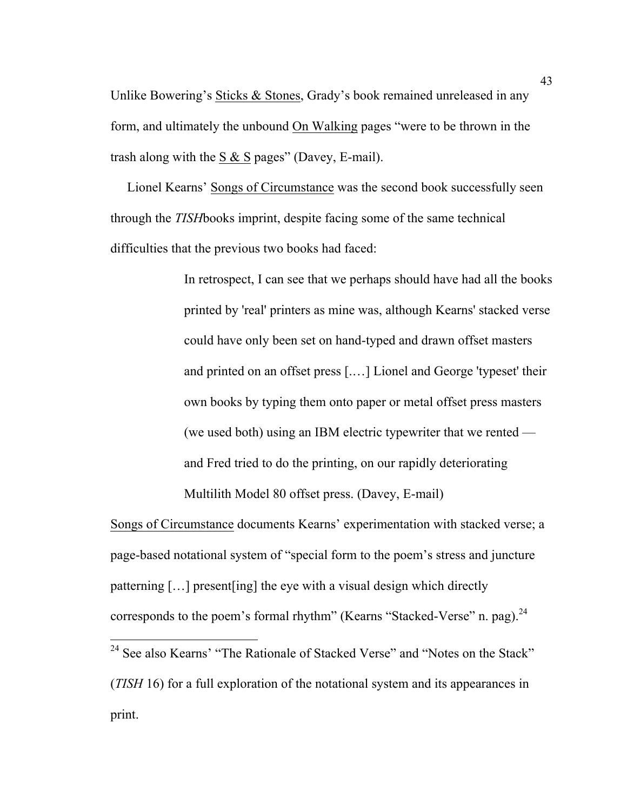Unlike Bowering's Sticks & Stones, Grady's book remained unreleased in any form, and ultimately the unbound On Walking pages "were to be thrown in the trash along with the S  $&$  S pages" (Davey, E-mail).

 Lionel Kearns' Songs of Circumstance was the second book successfully seen through the *TISH*books imprint, despite facing some of the same technical difficulties that the previous two books had faced:

> In retrospect, I can see that we perhaps should have had all the books printed by 'real' printers as mine was, although Kearns' stacked verse could have only been set on hand-typed and drawn offset masters and printed on an offset press [.…] Lionel and George 'typeset' their own books by typing them onto paper or metal offset press masters (we used both) using an IBM electric typewriter that we rented and Fred tried to do the printing, on our rapidly deteriorating Multilith Model 80 offset press. (Davey, E-mail)

Songs of Circumstance documents Kearns' experimentation with stacked verse; a page-based notational system of "special form to the poem's stress and juncture patterning […] present[ing] the eye with a visual design which directly corresponds to the poem's formal rhythm" (Kearns "Stacked-Verse" n. pag). $^{24}$ 

<sup>&</sup>lt;sup>24</sup> See also Kearns' "The Rationale of Stacked Verse" and "Notes on the Stack" (*TISH* 16) for a full exploration of the notational system and its appearances in print.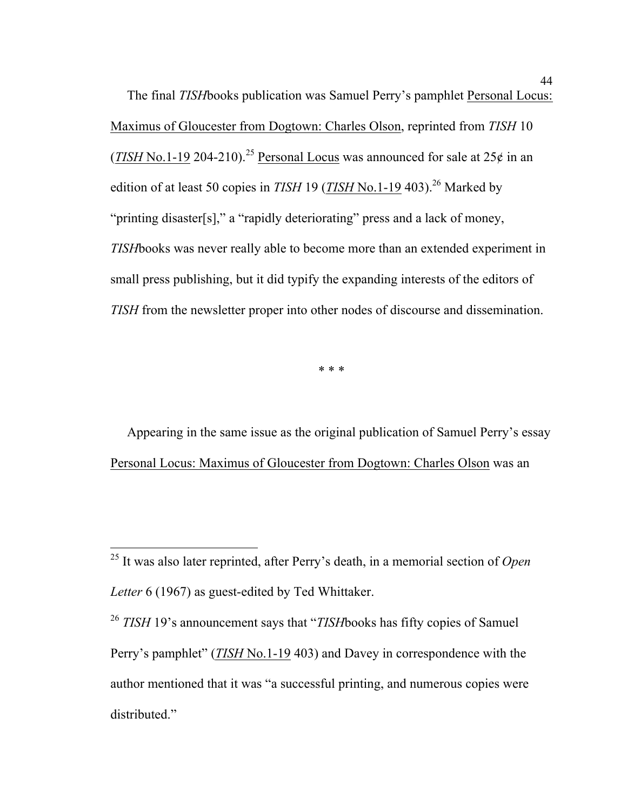The final *TISH*books publication was Samuel Perry's pamphlet Personal Locus: Maximus of Gloucester from Dogtown: Charles Olson, reprinted from *TISH* 10 (*TISH* No.1-19 204-210).<sup>25</sup> Personal Locus was announced for sale at  $25¢$  in an edition of at least 50 copies in *TISH* 19 (*TISH* No.1-19 403).<sup>26</sup> Marked by "printing disaster[s]," a "rapidly deteriorating" press and a lack of money, *TISH*books was never really able to become more than an extended experiment in small press publishing, but it did typify the expanding interests of the editors of *TISH* from the newsletter proper into other nodes of discourse and dissemination.

\* \* \*

 Appearing in the same issue as the original publication of Samuel Perry's essay Personal Locus: Maximus of Gloucester from Dogtown: Charles Olson was an

 <sup>25</sup> It was also later reprinted, after Perry's death, in a memorial section of *Open Letter* 6 (1967) as guest-edited by Ted Whittaker.

<sup>26</sup> *TISH* 19's announcement says that "*TISH*books has fifty copies of Samuel Perry's pamphlet" (*TISH* No.1-19 403) and Davey in correspondence with the author mentioned that it was "a successful printing, and numerous copies were distributed."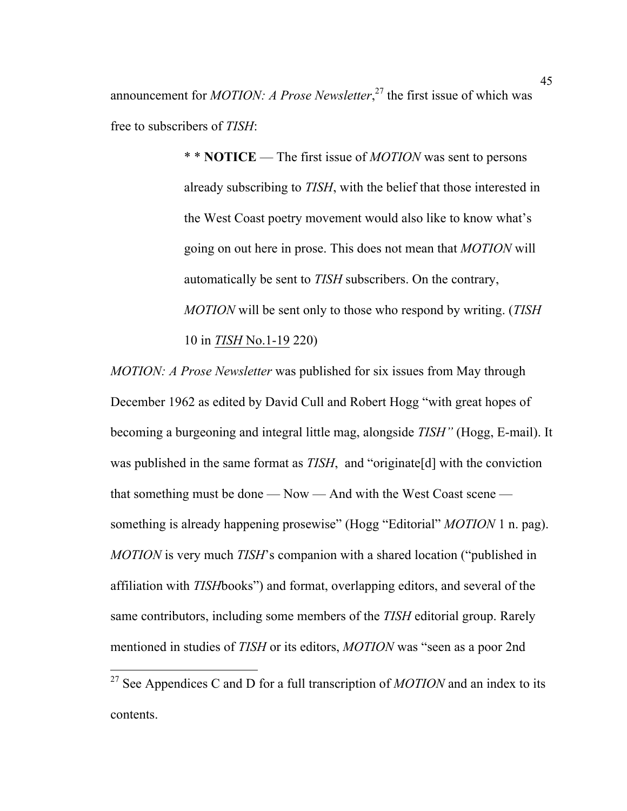announcement for *MOTION: A Prose Newsletter*, <sup>27</sup> the first issue of which was free to subscribers of *TISH*:

> \* \* **NOTICE** — The first issue of *MOTION* was sent to persons already subscribing to *TISH*, with the belief that those interested in the West Coast poetry movement would also like to know what's going on out here in prose. This does not mean that *MOTION* will automatically be sent to *TISH* subscribers. On the contrary, *MOTION* will be sent only to those who respond by writing. (*TISH* 10 in *TISH* No.1-19 220)

*MOTION: A Prose Newsletter* was published for six issues from May through December 1962 as edited by David Cull and Robert Hogg "with great hopes of becoming a burgeoning and integral little mag, alongside *TISH"* (Hogg, E-mail). It was published in the same format as *TISH*, and "originate[d] with the conviction that something must be done — Now — And with the West Coast scene something is already happening prosewise" (Hogg "Editorial" *MOTION* 1 n. pag). *MOTION* is very much *TISH*'s companion with a shared location ("published in affiliation with *TISH*books") and format, overlapping editors, and several of the same contributors, including some members of the *TISH* editorial group. Rarely mentioned in studies of *TISH* or its editors, *MOTION* was "seen as a poor 2nd

 <sup>27</sup> See Appendices C and D for a full transcription of *MOTION* and an index to its contents.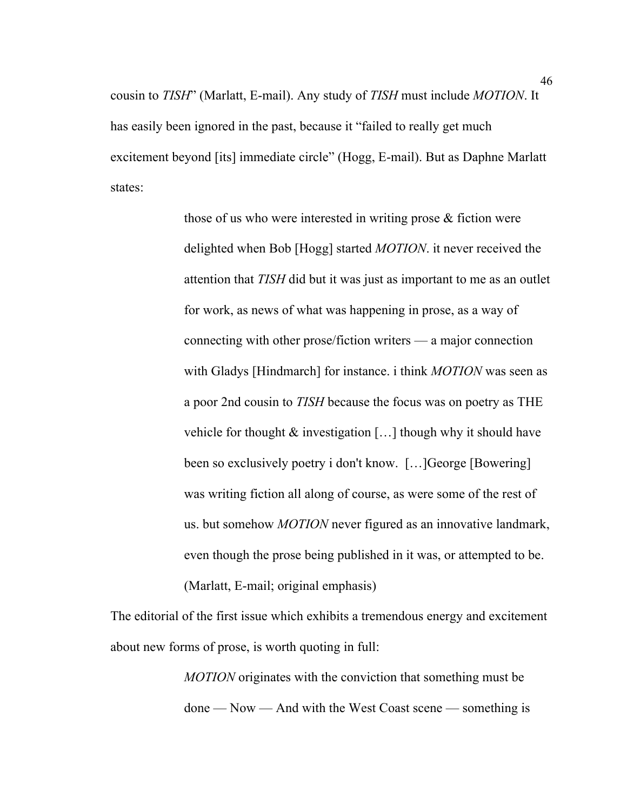cousin to *TISH*" (Marlatt, E-mail). Any study of *TISH* must include *MOTION*. It has easily been ignored in the past, because it "failed to really get much excitement beyond [its] immediate circle" (Hogg, E-mail). But as Daphne Marlatt states:

> those of us who were interested in writing prose & fiction were delighted when Bob [Hogg] started *MOTION*. it never received the attention that *TISH* did but it was just as important to me as an outlet for work, as news of what was happening in prose, as a way of connecting with other prose/fiction writers — a major connection with Gladys [Hindmarch] for instance. i think *MOTION* was seen as a poor 2nd cousin to *TISH* because the focus was on poetry as THE vehicle for thought & investigation [...] though why it should have been so exclusively poetry i don't know. […]George [Bowering] was writing fiction all along of course, as were some of the rest of us. but somehow *MOTION* never figured as an innovative landmark, even though the prose being published in it was, or attempted to be. (Marlatt, E-mail; original emphasis)

The editorial of the first issue which exhibits a tremendous energy and excitement about new forms of prose, is worth quoting in full:

> *MOTION* originates with the conviction that something must be done — Now — And with the West Coast scene — something is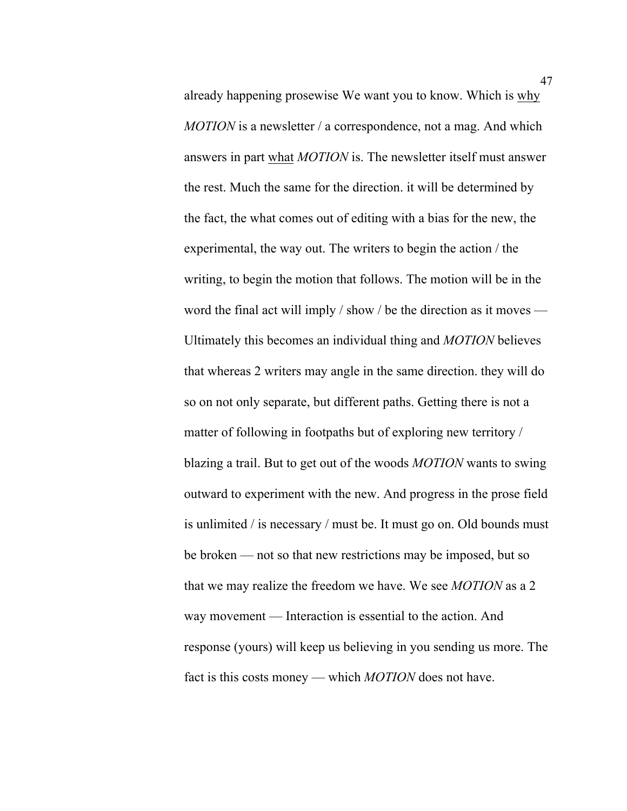already happening prosewise We want you to know. Which is why *MOTION* is a newsletter / a correspondence, not a mag. And which answers in part what *MOTION* is. The newsletter itself must answer the rest. Much the same for the direction. it will be determined by the fact, the what comes out of editing with a bias for the new, the experimental, the way out. The writers to begin the action / the writing, to begin the motion that follows. The motion will be in the word the final act will imply / show / be the direction as it moves — Ultimately this becomes an individual thing and *MOTION* believes that whereas 2 writers may angle in the same direction. they will do so on not only separate, but different paths. Getting there is not a matter of following in footpaths but of exploring new territory / blazing a trail. But to get out of the woods *MOTION* wants to swing outward to experiment with the new. And progress in the prose field is unlimited / is necessary / must be. It must go on. Old bounds must be broken — not so that new restrictions may be imposed, but so that we may realize the freedom we have. We see *MOTION* as a 2 way movement — Interaction is essential to the action. And response (yours) will keep us believing in you sending us more. The fact is this costs money — which *MOTION* does not have.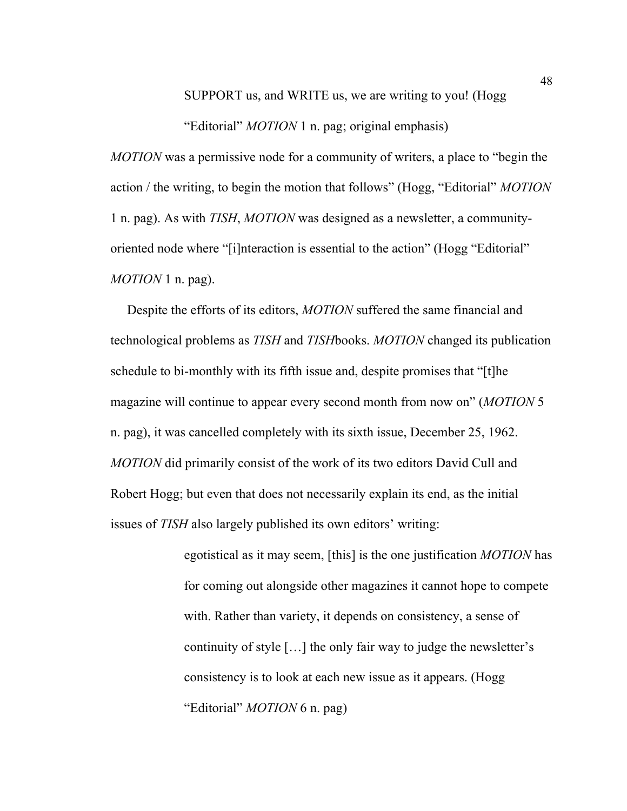SUPPORT us, and WRITE us, we are writing to you! (Hogg

"Editorial" *MOTION* 1 n. pag; original emphasis)

*MOTION* was a permissive node for a community of writers, a place to "begin the action / the writing, to begin the motion that follows" (Hogg, "Editorial" *MOTION* 1 n. pag). As with *TISH*, *MOTION* was designed as a newsletter, a communityoriented node where "[i]nteraction is essential to the action" (Hogg "Editorial" *MOTION* 1 n. pag).

 Despite the efforts of its editors, *MOTION* suffered the same financial and technological problems as *TISH* and *TISH*books. *MOTION* changed its publication schedule to bi-monthly with its fifth issue and, despite promises that "[t]he magazine will continue to appear every second month from now on" (*MOTION* 5 n. pag), it was cancelled completely with its sixth issue, December 25, 1962. *MOTION* did primarily consist of the work of its two editors David Cull and Robert Hogg; but even that does not necessarily explain its end, as the initial issues of *TISH* also largely published its own editors' writing:

> egotistical as it may seem, [this] is the one justification *MOTION* has for coming out alongside other magazines it cannot hope to compete with. Rather than variety, it depends on consistency, a sense of continuity of style […] the only fair way to judge the newsletter's consistency is to look at each new issue as it appears. (Hogg "Editorial" *MOTION* 6 n. pag)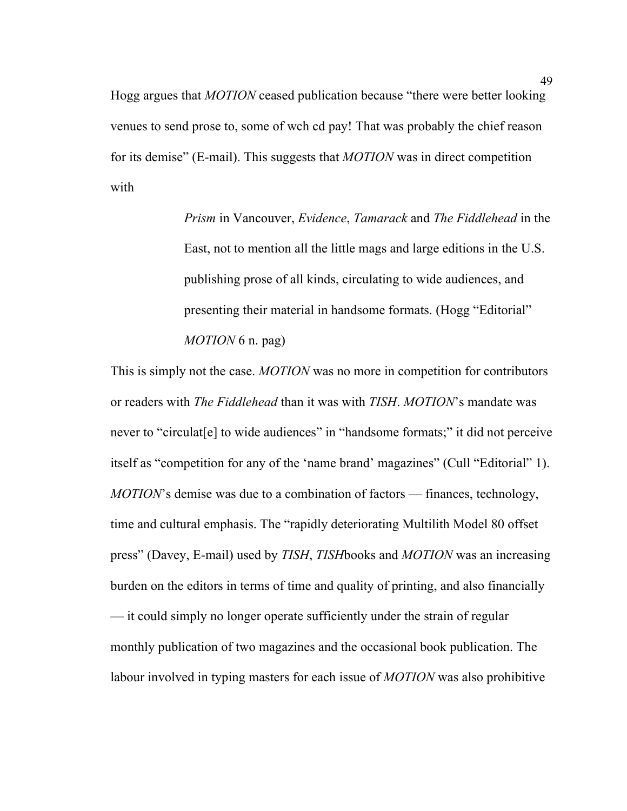Hogg argues that *MOTION* ceased publication because "there were better looking venues to send prose to, some of wch cd pay! That was probably the chief reason for its demise" (E-mail). This suggests that *MOTION* was in direct competition with

> *Prism* in Vancouver, *Evidence*, *Tamarack* and *The Fiddlehead* in the East, not to mention all the little mags and large editions in the U.S. publishing prose of all kinds, circulating to wide audiences, and presenting their material in handsome formats. (Hogg "Editorial" *MOTION* 6 n. pag)

This is simply not the case. *MOTION* was no more in competition for contributors or readers with *The Fiddlehead* than it was with *TISH*. *MOTION*'s mandate was never to "circulat[e] to wide audiences" in "handsome formats;" it did not perceive itself as "competition for any of the 'name brand' magazines" (Cull "Editorial" 1). *MOTION*'s demise was due to a combination of factors — finances, technology, time and cultural emphasis. The "rapidly deteriorating Multilith Model 80 offset press" (Davey, E-mail) used by *TISH*, *TISH*books and *MOTION* was an increasing burden on the editors in terms of time and quality of printing, and also financially — it could simply no longer operate sufficiently under the strain of regular monthly publication of two magazines and the occasional book publication. The labour involved in typing masters for each issue of *MOTION* was also prohibitive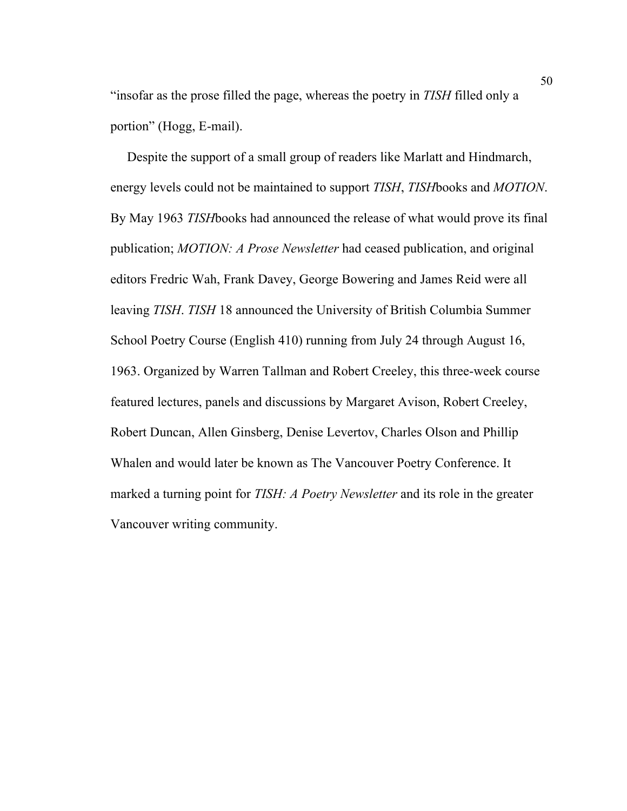"insofar as the prose filled the page, whereas the poetry in *TISH* filled only a portion" (Hogg, E-mail).

 Despite the support of a small group of readers like Marlatt and Hindmarch, energy levels could not be maintained to support *TISH*, *TISH*books and *MOTION*. By May 1963 *TISH*books had announced the release of what would prove its final publication; *MOTION: A Prose Newsletter* had ceased publication, and original editors Fredric Wah, Frank Davey, George Bowering and James Reid were all leaving *TISH*. *TISH* 18 announced the University of British Columbia Summer School Poetry Course (English 410) running from July 24 through August 16, 1963. Organized by Warren Tallman and Robert Creeley, this three-week course featured lectures, panels and discussions by Margaret Avison, Robert Creeley, Robert Duncan, Allen Ginsberg, Denise Levertov, Charles Olson and Phillip Whalen and would later be known as The Vancouver Poetry Conference. It marked a turning point for *TISH: A Poetry Newsletter* and its role in the greater Vancouver writing community.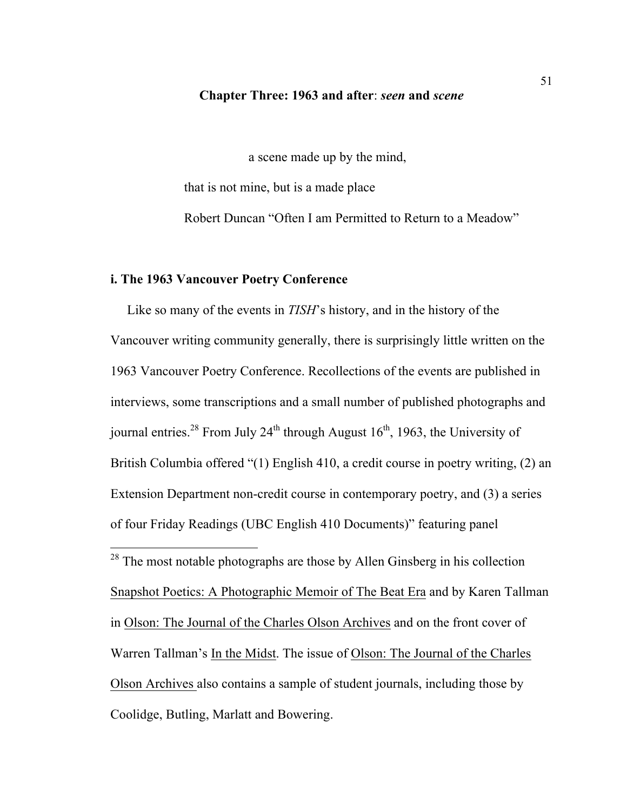#### **Chapter Three: 1963 and after**: *seen* **and** *scene*

a scene made up by the mind,

that is not mine, but is a made place Robert Duncan "Often I am Permitted to Return to a Meadow"

### **i. The 1963 Vancouver Poetry Conference**

 Like so many of the events in *TISH*'s history, and in the history of the Vancouver writing community generally, there is surprisingly little written on the 1963 Vancouver Poetry Conference. Recollections of the events are published in interviews, some transcriptions and a small number of published photographs and journal entries.<sup>28</sup> From July 24<sup>th</sup> through August 16<sup>th</sup>, 1963, the University of British Columbia offered "(1) English 410, a credit course in poetry writing, (2) an Extension Department non-credit course in contemporary poetry, and (3) a series of four Friday Readings (UBC English 410 Documents)" featuring panel

<sup>28</sup> The most notable photographs are those by Allen Ginsberg in his collection Snapshot Poetics: A Photographic Memoir of The Beat Era and by Karen Tallman in Olson: The Journal of the Charles Olson Archives and on the front cover of Warren Tallman's In the Midst. The issue of Olson: The Journal of the Charles Olson Archives also contains a sample of student journals, including those by Coolidge, Butling, Marlatt and Bowering.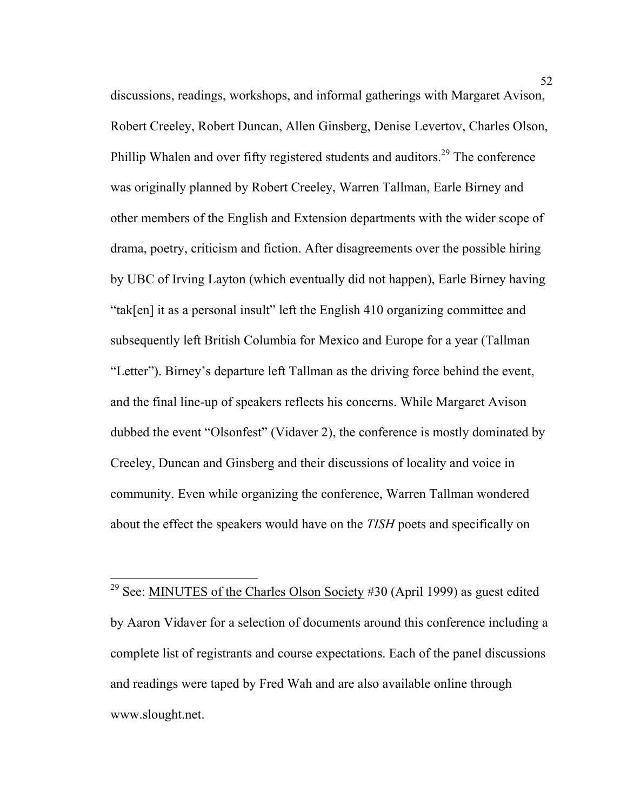discussions, readings, workshops, and informal gatherings with Margaret Avison, Robert Creeley, Robert Duncan, Allen Ginsberg, Denise Levertov, Charles Olson, Phillip Whalen and over fifty registered students and auditors.<sup>29</sup> The conference was originally planned by Robert Creeley, Warren Tallman, Earle Birney and other members of the English and Extension departments with the wider scope of drama, poetry, criticism and fiction. After disagreements over the possible hiring by UBC of Irving Layton (which eventually did not happen), Earle Birney having "tak[en] it as a personal insult" left the English 410 organizing committee and subsequently left British Columbia for Mexico and Europe for a year (Tallman "Letter"). Birney's departure left Tallman as the driving force behind the event, and the final line-up of speakers reflects his concerns. While Margaret Avison dubbed the event "Olsonfest" (Vidaver 2), the conference is mostly dominated by Creeley, Duncan and Ginsberg and their discussions of locality and voice in community. Even while organizing the conference, Warren Tallman wondered about the effect the speakers would have on the *TISH* poets and specifically on

<sup>&</sup>lt;sup>29</sup> See: MINUTES of the Charles Olson Society #30 (April 1999) as guest edited by Aaron Vidaver for a selection of documents around this conference including a complete list of registrants and course expectations. Each of the panel discussions and readings were taped by Fred Wah and are also available online through www.slought.net.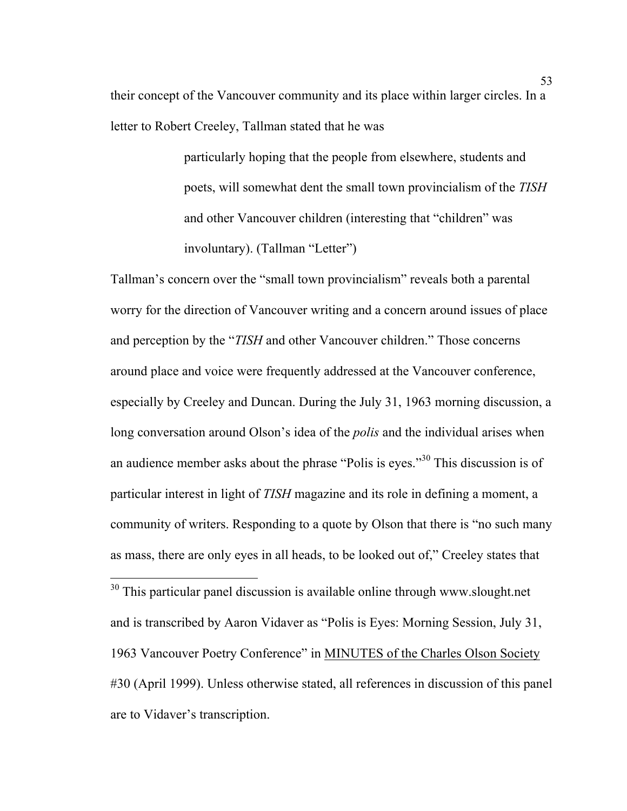their concept of the Vancouver community and its place within larger circles. In a letter to Robert Creeley, Tallman stated that he was

> particularly hoping that the people from elsewhere, students and poets, will somewhat dent the small town provincialism of the *TISH* and other Vancouver children (interesting that "children" was involuntary). (Tallman "Letter")

Tallman's concern over the "small town provincialism" reveals both a parental worry for the direction of Vancouver writing and a concern around issues of place and perception by the "*TISH* and other Vancouver children." Those concerns around place and voice were frequently addressed at the Vancouver conference, especially by Creeley and Duncan. During the July 31, 1963 morning discussion, a long conversation around Olson's idea of the *polis* and the individual arises when an audience member asks about the phrase "Polis is eyes."<sup>30</sup> This discussion is of particular interest in light of *TISH* magazine and its role in defining a moment, a community of writers. Responding to a quote by Olson that there is "no such many as mass, there are only eyes in all heads, to be looked out of," Creeley states that

 $30$  This particular panel discussion is available online through www.slought.net and is transcribed by Aaron Vidaver as "Polis is Eyes: Morning Session, July 31, 1963 Vancouver Poetry Conference" in MINUTES of the Charles Olson Society #30 (April 1999). Unless otherwise stated, all references in discussion of this panel are to Vidaver's transcription.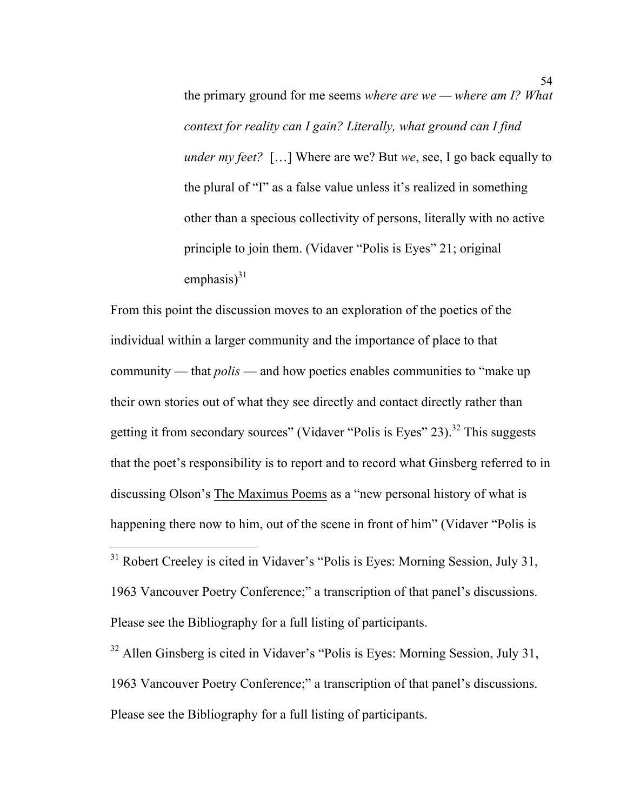the primary ground for me seems *where are we — where am I? What context for reality can I gain? Literally, what ground can I find under my feet?* […] Where are we? But *we*, see, I go back equally to the plural of "I" as a false value unless it's realized in something other than a specious collectivity of persons, literally with no active principle to join them. (Vidaver "Polis is Eyes" 21; original emphasis $)^{31}$ 

From this point the discussion moves to an exploration of the poetics of the individual within a larger community and the importance of place to that community — that *polis* — and how poetics enables communities to "make up their own stories out of what they see directly and contact directly rather than getting it from secondary sources" (Vidaver "Polis is Eyes"  $23$ ).<sup>32</sup> This suggests that the poet's responsibility is to report and to record what Ginsberg referred to in discussing Olson's The Maximus Poems as a "new personal history of what is happening there now to him, out of the scene in front of him" (Vidaver "Polis is

<sup>31</sup> Robert Creeley is cited in Vidaver's "Polis is Eyes: Morning Session, July 31, 1963 Vancouver Poetry Conference;" a transcription of that panel's discussions. Please see the Bibliography for a full listing of participants.

<sup>32</sup> Allen Ginsberg is cited in Vidaver's "Polis is Eyes: Morning Session, July 31, 1963 Vancouver Poetry Conference;" a transcription of that panel's discussions. Please see the Bibliography for a full listing of participants.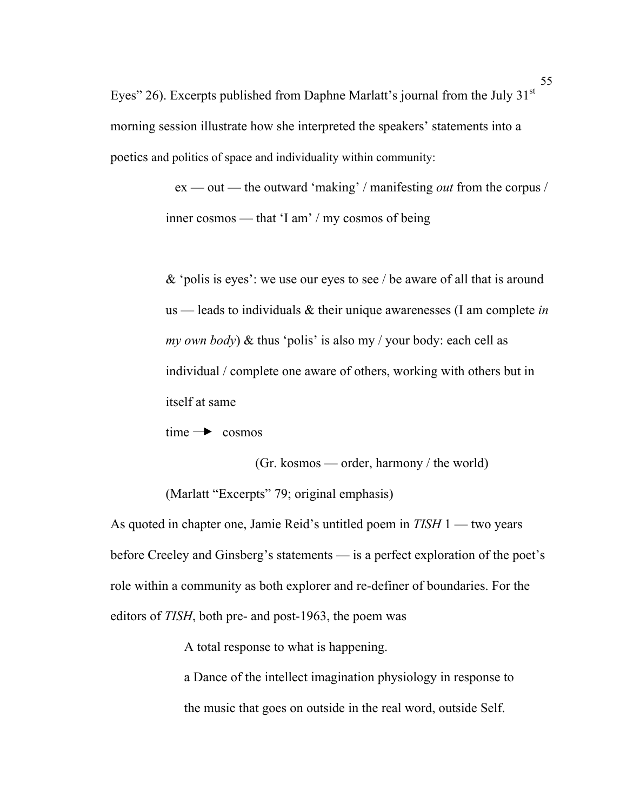Eyes" 26). Excerpts published from Daphne Marlatt's journal from the July  $31<sup>st</sup>$ morning session illustrate how she interpreted the speakers' statements into a poetics and politics of space and individuality within community:

> ex — out — the outward 'making' / manifesting *out* from the corpus / inner cosmos — that 'I am' / my cosmos of being

> & 'polis is eyes': we use our eyes to see / be aware of all that is around us — leads to individuals & their unique awarenesses (I am complete *in my own body*) & thus 'polis' is also my / your body: each cell as individual / complete one aware of others, working with others but in itself at same

 $time \rightarrow cosmos$ 

 (Gr. kosmos — order, harmony / the world) (Marlatt "Excerpts" 79; original emphasis)

As quoted in chapter one, Jamie Reid's untitled poem in *TISH* 1 — two years before Creeley and Ginsberg's statements — is a perfect exploration of the poet's role within a community as both explorer and re-definer of boundaries. For the editors of *TISH*, both pre- and post-1963, the poem was

A total response to what is happening.

a Dance of the intellect imagination physiology in response to the music that goes on outside in the real word, outside Self.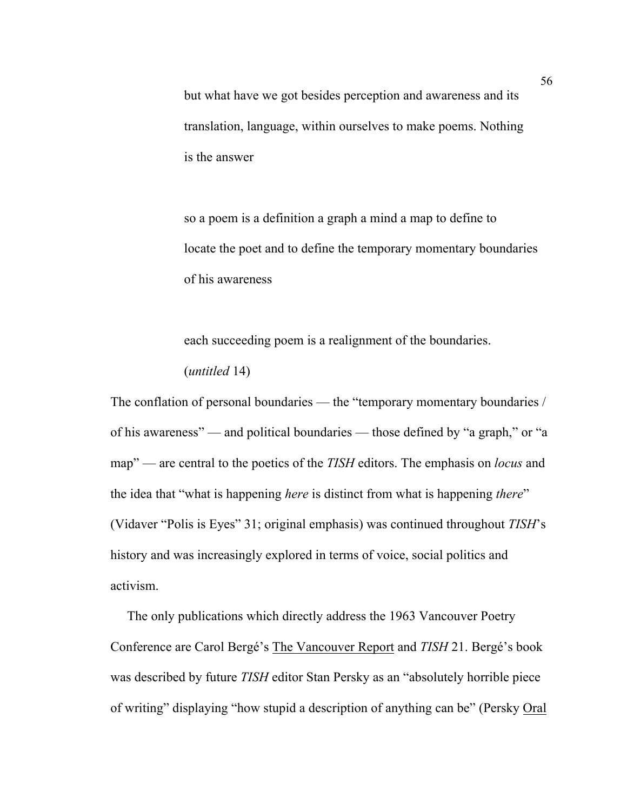but what have we got besides perception and awareness and its translation, language, within ourselves to make poems. Nothing is the answer

so a poem is a definition a graph a mind a map to define to locate the poet and to define the temporary momentary boundaries of his awareness

each succeeding poem is a realignment of the boundaries. (*untitled* 14)

The conflation of personal boundaries — the "temporary momentary boundaries / of his awareness" — and political boundaries — those defined by "a graph," or "a map" — are central to the poetics of the *TISH* editors. The emphasis on *locus* and the idea that "what is happening *here* is distinct from what is happening *there*" (Vidaver "Polis is Eyes" 31; original emphasis) was continued throughout *TISH*'s history and was increasingly explored in terms of voice, social politics and activism.

 The only publications which directly address the 1963 Vancouver Poetry Conference are Carol Bergé's The Vancouver Report and *TISH* 21. Bergé's book was described by future *TISH* editor Stan Persky as an "absolutely horrible piece of writing" displaying "how stupid a description of anything can be" (Persky Oral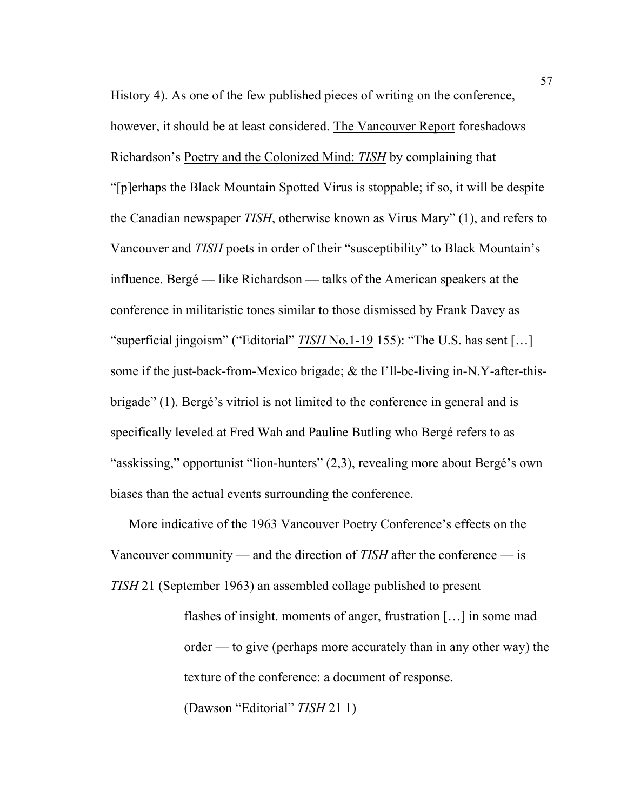History 4). As one of the few published pieces of writing on the conference, however, it should be at least considered. The Vancouver Report foreshadows Richardson's Poetry and the Colonized Mind: *TISH* by complaining that "[p]erhaps the Black Mountain Spotted Virus is stoppable; if so, it will be despite the Canadian newspaper *TISH*, otherwise known as Virus Mary" (1), and refers to Vancouver and *TISH* poets in order of their "susceptibility" to Black Mountain's influence. Bergé — like Richardson — talks of the American speakers at the conference in militaristic tones similar to those dismissed by Frank Davey as "superficial jingoism" ("Editorial" *TISH* No.1-19 155): "The U.S. has sent […] some if the just-back-from-Mexico brigade; & the I'll-be-living in-N.Y-after-thisbrigade" (1). Bergé's vitriol is not limited to the conference in general and is specifically leveled at Fred Wah and Pauline Butling who Bergé refers to as "asskissing," opportunist "lion-hunters" (2,3), revealing more about Bergé's own biases than the actual events surrounding the conference.

More indicative of the 1963 Vancouver Poetry Conference's effects on the Vancouver community — and the direction of *TISH* after the conference — is *TISH* 21 (September 1963) an assembled collage published to present

> flashes of insight. moments of anger, frustration […] in some mad order — to give (perhaps more accurately than in any other way) the texture of the conference: a document of response.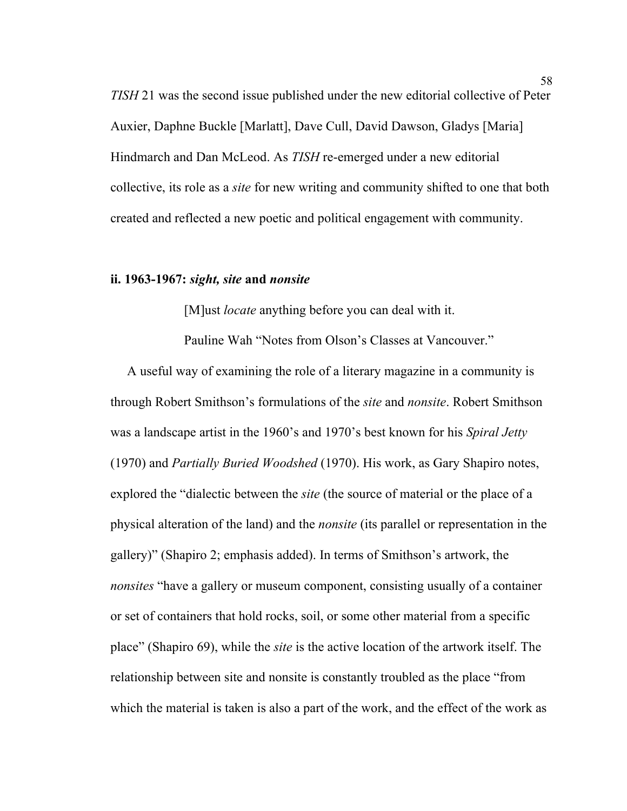*TISH* 21 was the second issue published under the new editorial collective of Peter Auxier, Daphne Buckle [Marlatt], Dave Cull, David Dawson, Gladys [Maria] Hindmarch and Dan McLeod. As *TISH* re-emerged under a new editorial collective, its role as a *site* for new writing and community shifted to one that both created and reflected a new poetic and political engagement with community.

### **ii. 1963-1967:** *sight, site* **and** *nonsite*

[M]ust *locate* anything before you can deal with it.

Pauline Wah "Notes from Olson's Classes at Vancouver."

 A useful way of examining the role of a literary magazine in a community is through Robert Smithson's formulations of the *site* and *nonsite*. Robert Smithson was a landscape artist in the 1960's and 1970's best known for his *Spiral Jetty* (1970) and *Partially Buried Woodshed* (1970). His work, as Gary Shapiro notes, explored the "dialectic between the *site* (the source of material or the place of a physical alteration of the land) and the *nonsite* (its parallel or representation in the gallery)" (Shapiro 2; emphasis added). In terms of Smithson's artwork, the *nonsites* "have a gallery or museum component, consisting usually of a container or set of containers that hold rocks, soil, or some other material from a specific place" (Shapiro 69), while the *site* is the active location of the artwork itself. The relationship between site and nonsite is constantly troubled as the place "from which the material is taken is also a part of the work, and the effect of the work as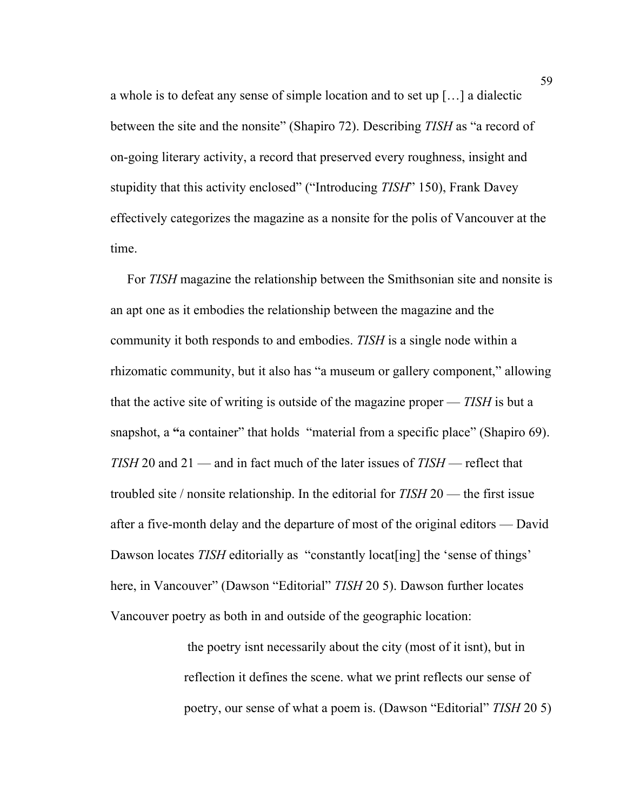a whole is to defeat any sense of simple location and to set up […] a dialectic between the site and the nonsite" (Shapiro 72). Describing *TISH* as "a record of on-going literary activity, a record that preserved every roughness, insight and stupidity that this activity enclosed" ("Introducing *TISH*" 150), Frank Davey effectively categorizes the magazine as a nonsite for the polis of Vancouver at the time.

 For *TISH* magazine the relationship between the Smithsonian site and nonsite is an apt one as it embodies the relationship between the magazine and the community it both responds to and embodies. *TISH* is a single node within a rhizomatic community, but it also has "a museum or gallery component," allowing that the active site of writing is outside of the magazine proper — *TISH* is but a snapshot, a "a container" that holds "material from a specific place" (Shapiro 69). *TISH* 20 and 21 — and in fact much of the later issues of *TISH* — reflect that troubled site / nonsite relationship. In the editorial for *TISH* 20 — the first issue after a five-month delay and the departure of most of the original editors — David Dawson locates *TISH* editorially as "constantly locat [ing] the 'sense of things' here, in Vancouver" (Dawson "Editorial" *TISH* 20 5). Dawson further locates Vancouver poetry as both in and outside of the geographic location:

> the poetry isnt necessarily about the city (most of it isnt), but in reflection it defines the scene. what we print reflects our sense of poetry, our sense of what a poem is. (Dawson "Editorial" *TISH* 20 5)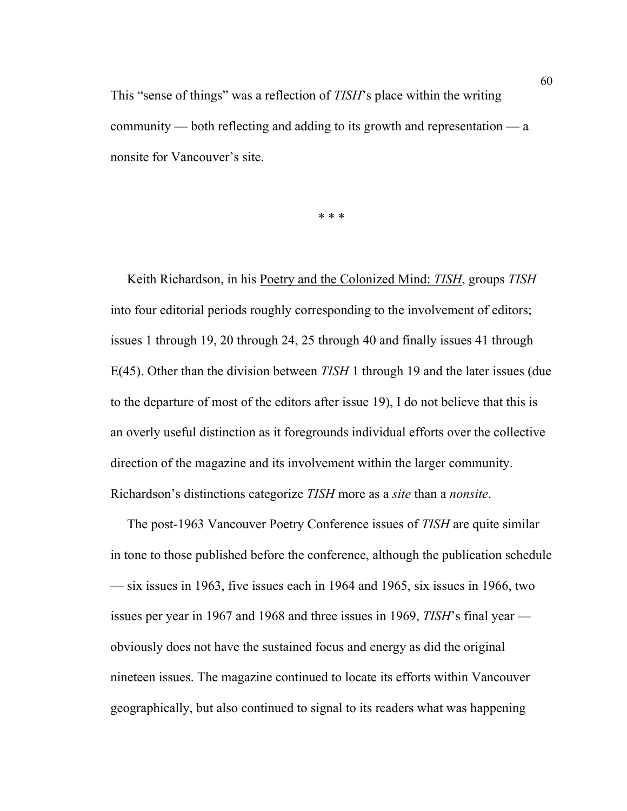This "sense of things" was a reflection of *TISH*'s place within the writing community — both reflecting and adding to its growth and representation — a nonsite for Vancouver's site.

\* \* \*

 Keith Richardson, in his Poetry and the Colonized Mind: *TISH*, groups *TISH* into four editorial periods roughly corresponding to the involvement of editors; issues 1 through 19, 20 through 24, 25 through 40 and finally issues 41 through E(45). Other than the division between *TISH* 1 through 19 and the later issues (due to the departure of most of the editors after issue 19), I do not believe that this is an overly useful distinction as it foregrounds individual efforts over the collective direction of the magazine and its involvement within the larger community. Richardson's distinctions categorize *TISH* more as a *site* than a *nonsite*.

 The post-1963 Vancouver Poetry Conference issues of *TISH* are quite similar in tone to those published before the conference, although the publication schedule — six issues in 1963, five issues each in 1964 and 1965, six issues in 1966, two issues per year in 1967 and 1968 and three issues in 1969, *TISH*'s final year obviously does not have the sustained focus and energy as did the original nineteen issues. The magazine continued to locate its efforts within Vancouver geographically, but also continued to signal to its readers what was happening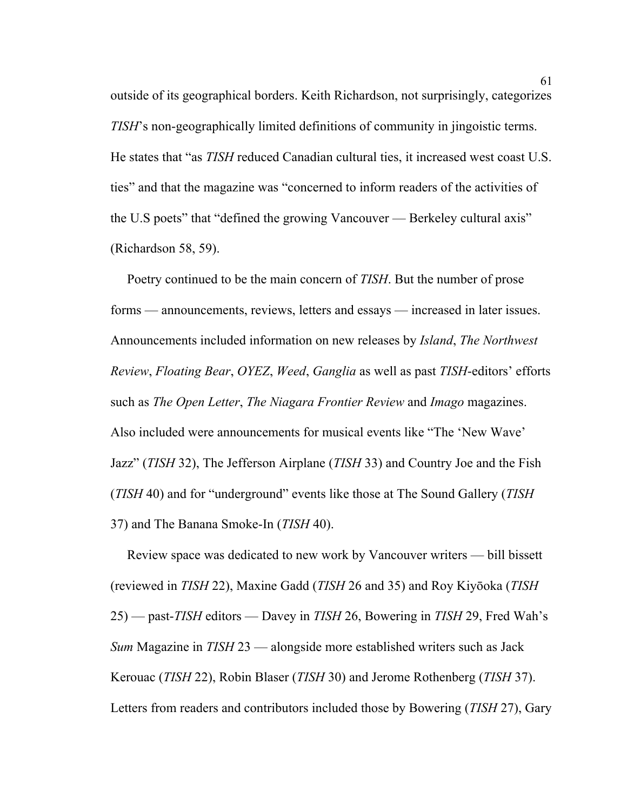outside of its geographical borders. Keith Richardson, not surprisingly, categorizes *TISH*'s non-geographically limited definitions of community in jingoistic terms. He states that "as *TISH* reduced Canadian cultural ties, it increased west coast U.S. ties" and that the magazine was "concerned to inform readers of the activities of the U.S poets" that "defined the growing Vancouver — Berkeley cultural axis" (Richardson 58, 59).

 Poetry continued to be the main concern of *TISH*. But the number of prose forms — announcements, reviews, letters and essays — increased in later issues. Announcements included information on new releases by *Island*, *The Northwest Review*, *Floating Bear*, *OYEZ*, *Weed*, *Ganglia* as well as past *TISH*-editors' efforts such as *The Open Letter*, *The Niagara Frontier Review* and *Imago* magazines. Also included were announcements for musical events like "The 'New Wave' Jazz" (*TISH* 32), The Jefferson Airplane (*TISH* 33) and Country Joe and the Fish (*TISH* 40) and for "underground" events like those at The Sound Gallery (*TISH* 37) and The Banana Smoke-In (*TISH* 40).

 Review space was dedicated to new work by Vancouver writers — bill bissett (reviewed in *TISH* 22), Maxine Gadd (*TISH* 26 and 35) and Roy Kiyōoka (*TISH* 25) — past-*TISH* editors — Davey in *TISH* 26, Bowering in *TISH* 29, Fred Wah's *Sum* Magazine in *TISH* 23 — alongside more established writers such as Jack Kerouac (*TISH* 22), Robin Blaser (*TISH* 30) and Jerome Rothenberg (*TISH* 37). Letters from readers and contributors included those by Bowering (*TISH* 27), Gary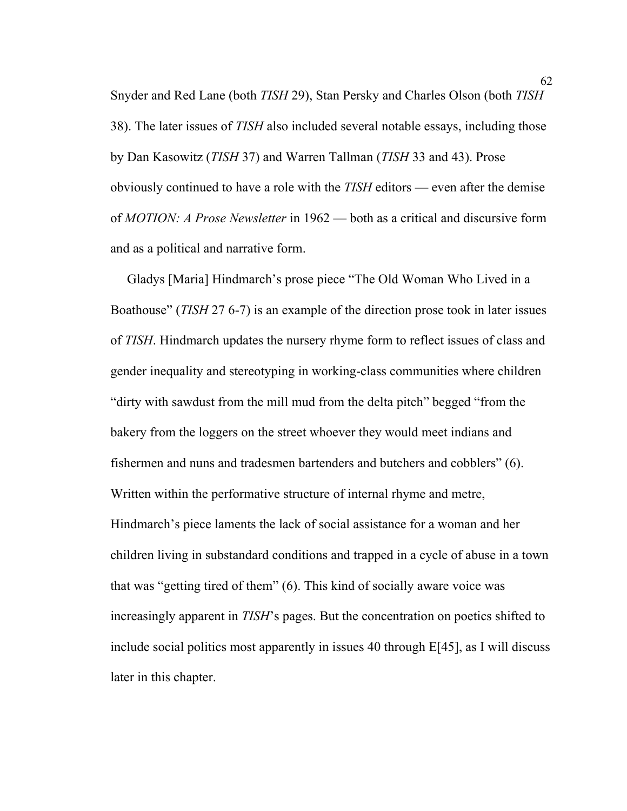Snyder and Red Lane (both *TISH* 29), Stan Persky and Charles Olson (both *TISH* 38). The later issues of *TISH* also included several notable essays, including those by Dan Kasowitz (*TISH* 37) and Warren Tallman (*TISH* 33 and 43). Prose obviously continued to have a role with the *TISH* editors — even after the demise of *MOTION: A Prose Newsletter* in 1962 — both as a critical and discursive form and as a political and narrative form.

 Gladys [Maria] Hindmarch's prose piece "The Old Woman Who Lived in a Boathouse" (*TISH* 27 6-7) is an example of the direction prose took in later issues of *TISH*. Hindmarch updates the nursery rhyme form to reflect issues of class and gender inequality and stereotyping in working-class communities where children "dirty with sawdust from the mill mud from the delta pitch" begged "from the bakery from the loggers on the street whoever they would meet indians and fishermen and nuns and tradesmen bartenders and butchers and cobblers" (6). Written within the performative structure of internal rhyme and metre, Hindmarch's piece laments the lack of social assistance for a woman and her children living in substandard conditions and trapped in a cycle of abuse in a town that was "getting tired of them" (6). This kind of socially aware voice was increasingly apparent in *TISH*'s pages. But the concentration on poetics shifted to include social politics most apparently in issues 40 through E[45], as I will discuss later in this chapter.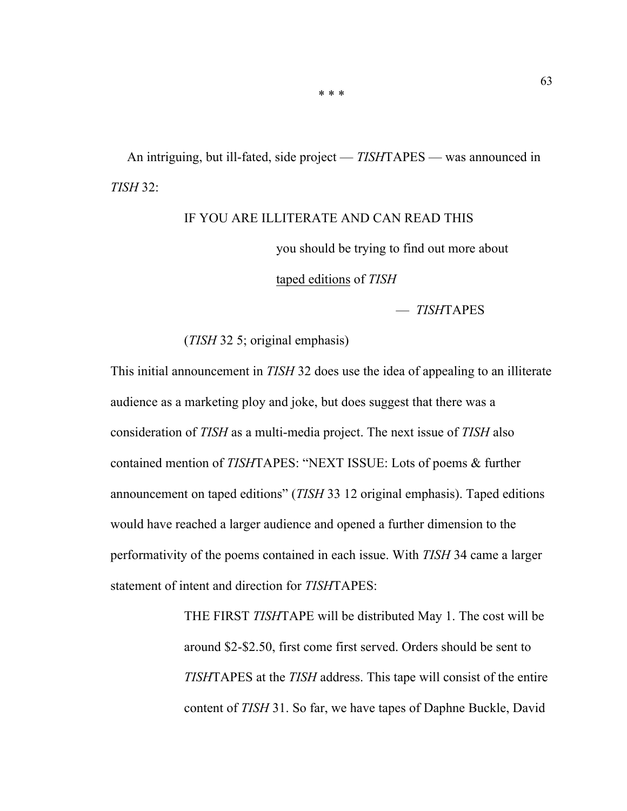An intriguing, but ill-fated, side project — *TISH*TAPES — was announced in *TISH* 32:

# IF YOU ARE ILLITERATE AND CAN READ THIS

you should be trying to find out more about

taped editions of *TISH*

— *TISH*TAPES

(*TISH* 32 5; original emphasis)

This initial announcement in *TISH* 32 does use the idea of appealing to an illiterate audience as a marketing ploy and joke, but does suggest that there was a consideration of *TISH* as a multi-media project. The next issue of *TISH* also contained mention of *TISH*TAPES: "NEXT ISSUE: Lots of poems & further announcement on taped editions" (*TISH* 33 12 original emphasis). Taped editions would have reached a larger audience and opened a further dimension to the performativity of the poems contained in each issue. With *TISH* 34 came a larger statement of intent and direction for *TISH*TAPES:

> THE FIRST *TISH*TAPE will be distributed May 1. The cost will be around \$2-\$2.50, first come first served. Orders should be sent to *TISH*TAPES at the *TISH* address. This tape will consist of the entire content of *TISH* 31. So far, we have tapes of Daphne Buckle, David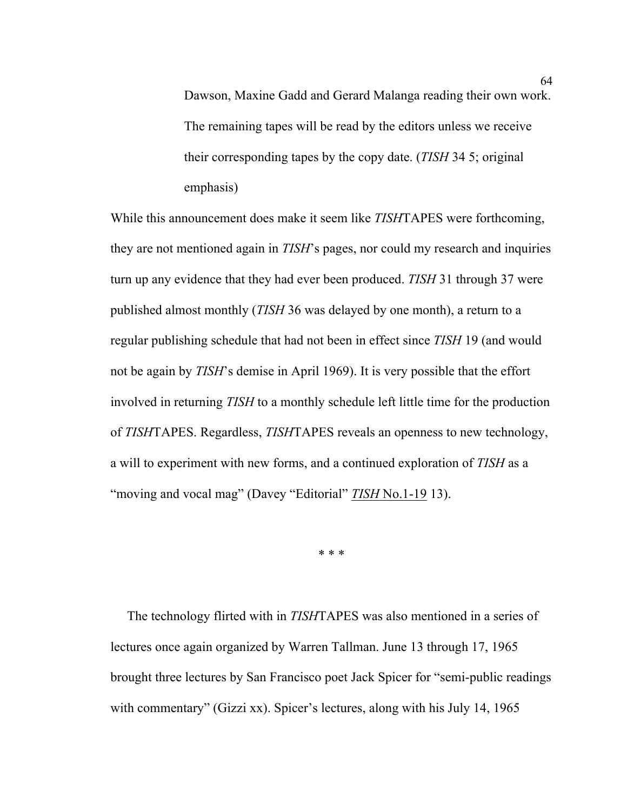Dawson, Maxine Gadd and Gerard Malanga reading their own work. The remaining tapes will be read by the editors unless we receive their corresponding tapes by the copy date. (*TISH* 34 5; original emphasis)

While this announcement does make it seem like *TISH*TAPES were forthcoming, they are not mentioned again in *TISH*'s pages, nor could my research and inquiries turn up any evidence that they had ever been produced. *TISH* 31 through 37 were published almost monthly (*TISH* 36 was delayed by one month), a return to a regular publishing schedule that had not been in effect since *TISH* 19 (and would not be again by *TISH*'s demise in April 1969). It is very possible that the effort involved in returning *TISH* to a monthly schedule left little time for the production of *TISH*TAPES. Regardless, *TISH*TAPES reveals an openness to new technology, a will to experiment with new forms, and a continued exploration of *TISH* as a "moving and vocal mag" (Davey "Editorial" *TISH* No.1-19 13).

\* \* \*

 The technology flirted with in *TISH*TAPES was also mentioned in a series of lectures once again organized by Warren Tallman. June 13 through 17, 1965 brought three lectures by San Francisco poet Jack Spicer for "semi-public readings with commentary" (Gizzi xx). Spicer's lectures, along with his July 14, 1965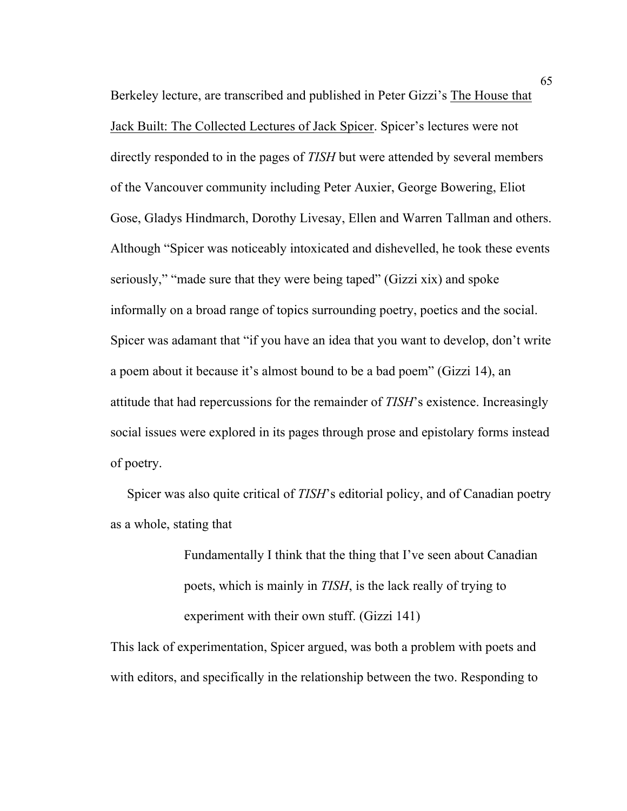Berkeley lecture, are transcribed and published in Peter Gizzi's The House that Jack Built: The Collected Lectures of Jack Spicer. Spicer's lectures were not directly responded to in the pages of *TISH* but were attended by several members of the Vancouver community including Peter Auxier, George Bowering, Eliot Gose, Gladys Hindmarch, Dorothy Livesay, Ellen and Warren Tallman and others. Although "Spicer was noticeably intoxicated and dishevelled, he took these events seriously," "made sure that they were being taped" (Gizzi xix) and spoke informally on a broad range of topics surrounding poetry, poetics and the social. Spicer was adamant that "if you have an idea that you want to develop, don't write a poem about it because it's almost bound to be a bad poem" (Gizzi 14), an attitude that had repercussions for the remainder of *TISH*'s existence. Increasingly social issues were explored in its pages through prose and epistolary forms instead of poetry.

 Spicer was also quite critical of *TISH*'s editorial policy, and of Canadian poetry as a whole, stating that

> Fundamentally I think that the thing that I've seen about Canadian poets, which is mainly in *TISH*, is the lack really of trying to experiment with their own stuff. (Gizzi 141)

This lack of experimentation, Spicer argued, was both a problem with poets and with editors, and specifically in the relationship between the two. Responding to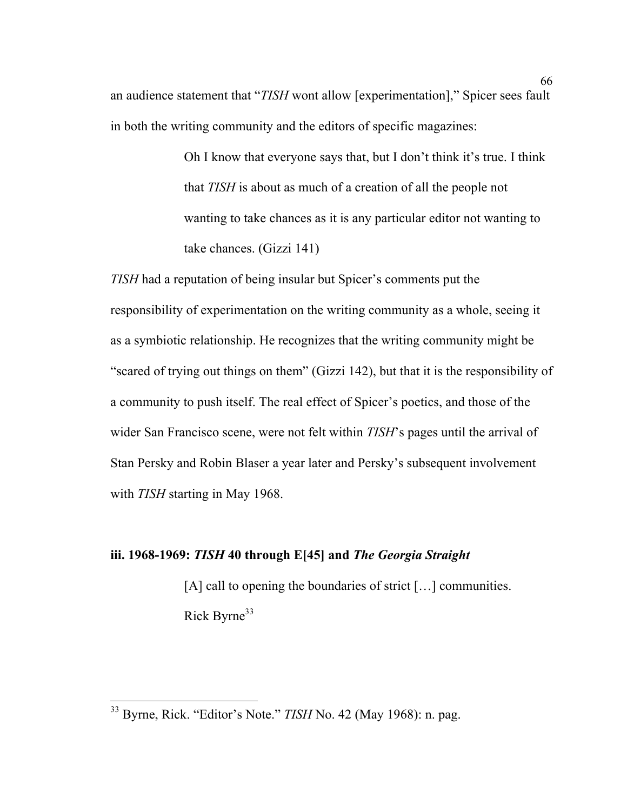an audience statement that "*TISH* wont allow [experimentation]," Spicer sees fault in both the writing community and the editors of specific magazines:

> Oh I know that everyone says that, but I don't think it's true. I think that *TISH* is about as much of a creation of all the people not wanting to take chances as it is any particular editor not wanting to take chances. (Gizzi 141)

*TISH* had a reputation of being insular but Spicer's comments put the responsibility of experimentation on the writing community as a whole, seeing it as a symbiotic relationship. He recognizes that the writing community might be "scared of trying out things on them" (Gizzi 142), but that it is the responsibility of a community to push itself. The real effect of Spicer's poetics, and those of the wider San Francisco scene, were not felt within *TISH*'s pages until the arrival of Stan Persky and Robin Blaser a year later and Persky's subsequent involvement with *TISH* starting in May 1968.

### **iii. 1968-1969:** *TISH* **40 through E[45] and** *The Georgia Straight*

[A] call to opening the boundaries of strict [...] communities. Rick Byrne<sup>33</sup>

 <sup>33</sup> Byrne, Rick. "Editor's Note." *TISH* No. 42 (May 1968): n. pag.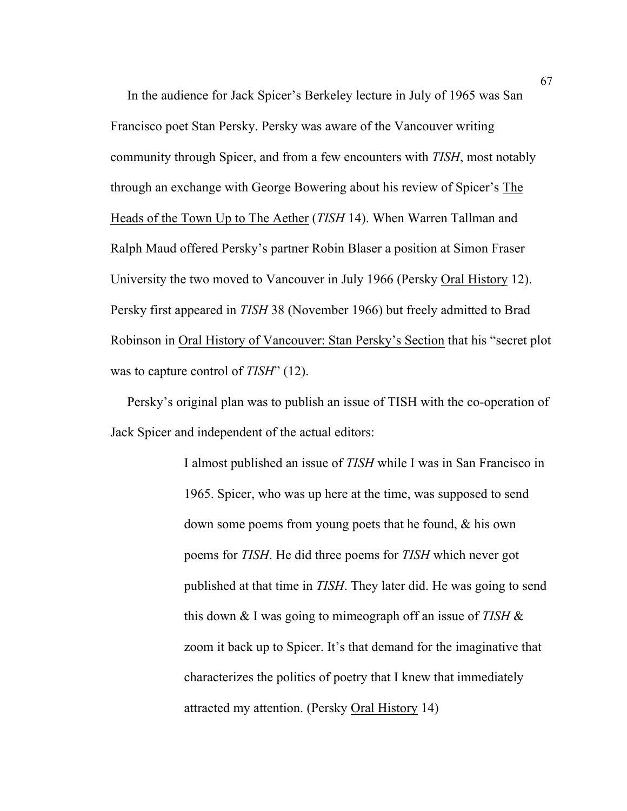In the audience for Jack Spicer's Berkeley lecture in July of 1965 was San Francisco poet Stan Persky. Persky was aware of the Vancouver writing community through Spicer, and from a few encounters with *TISH*, most notably through an exchange with George Bowering about his review of Spicer's The Heads of the Town Up to The Aether (*TISH* 14). When Warren Tallman and Ralph Maud offered Persky's partner Robin Blaser a position at Simon Fraser University the two moved to Vancouver in July 1966 (Persky Oral History 12). Persky first appeared in *TISH* 38 (November 1966) but freely admitted to Brad Robinson in Oral History of Vancouver: Stan Persky's Section that his "secret plot was to capture control of *TISH*" (12).

 Persky's original plan was to publish an issue of TISH with the co-operation of Jack Spicer and independent of the actual editors:

> I almost published an issue of *TISH* while I was in San Francisco in 1965. Spicer, who was up here at the time, was supposed to send down some poems from young poets that he found, & his own poems for *TISH*. He did three poems for *TISH* which never got published at that time in *TISH*. They later did. He was going to send this down & I was going to mimeograph off an issue of *TISH* & zoom it back up to Spicer. It's that demand for the imaginative that characterizes the politics of poetry that I knew that immediately attracted my attention. (Persky Oral History 14)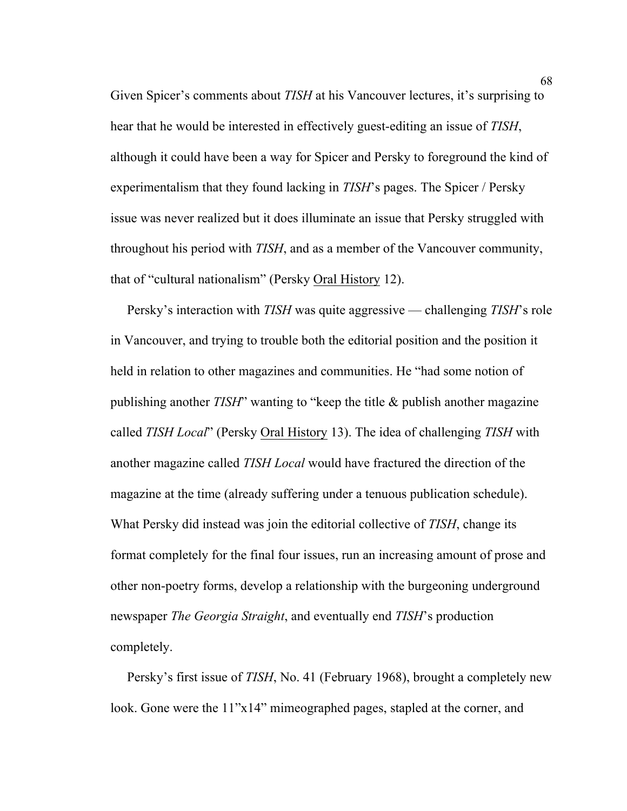Given Spicer's comments about *TISH* at his Vancouver lectures, it's surprising to hear that he would be interested in effectively guest-editing an issue of *TISH*, although it could have been a way for Spicer and Persky to foreground the kind of experimentalism that they found lacking in *TISH*'s pages. The Spicer / Persky issue was never realized but it does illuminate an issue that Persky struggled with throughout his period with *TISH*, and as a member of the Vancouver community, that of "cultural nationalism" (Persky Oral History 12).

 Persky's interaction with *TISH* was quite aggressive — challenging *TISH*'s role in Vancouver, and trying to trouble both the editorial position and the position it held in relation to other magazines and communities. He "had some notion of publishing another *TISH*" wanting to "keep the title & publish another magazine called *TISH Local*" (Persky Oral History 13). The idea of challenging *TISH* with another magazine called *TISH Local* would have fractured the direction of the magazine at the time (already suffering under a tenuous publication schedule). What Persky did instead was join the editorial collective of *TISH*, change its format completely for the final four issues, run an increasing amount of prose and other non-poetry forms, develop a relationship with the burgeoning underground newspaper *The Georgia Straight*, and eventually end *TISH*'s production completely.

 Persky's first issue of *TISH*, No. 41 (February 1968), brought a completely new look. Gone were the 11"x14" mimeographed pages, stapled at the corner, and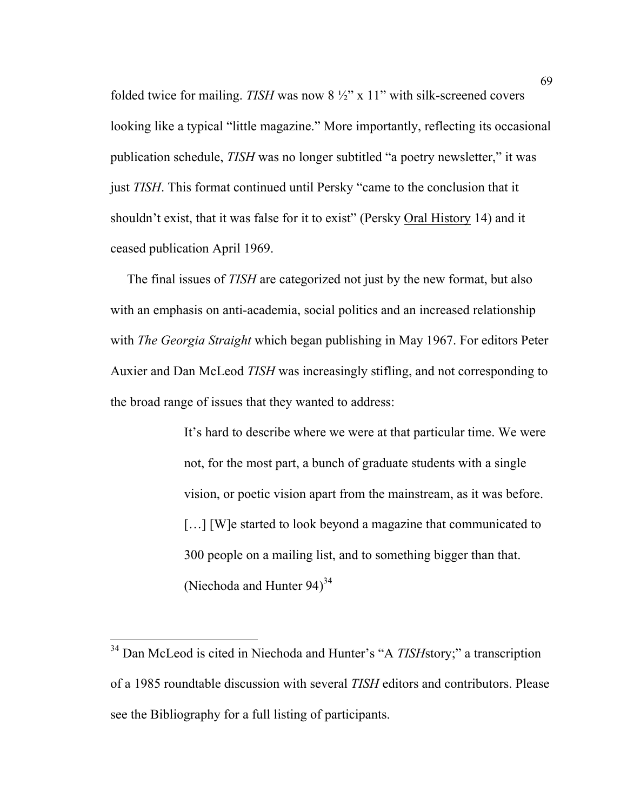folded twice for mailing. *TISH* was now 8 ½" x 11" with silk-screened covers looking like a typical "little magazine." More importantly, reflecting its occasional publication schedule, *TISH* was no longer subtitled "a poetry newsletter," it was just *TISH*. This format continued until Persky "came to the conclusion that it shouldn't exist, that it was false for it to exist" (Persky Oral History 14) and it ceased publication April 1969.

 The final issues of *TISH* are categorized not just by the new format, but also with an emphasis on anti-academia, social politics and an increased relationship with *The Georgia Straight* which began publishing in May 1967. For editors Peter Auxier and Dan McLeod *TISH* was increasingly stifling, and not corresponding to the broad range of issues that they wanted to address:

> It's hard to describe where we were at that particular time. We were not, for the most part, a bunch of graduate students with a single vision, or poetic vision apart from the mainstream, as it was before. [...] [W]e started to look beyond a magazine that communicated to 300 people on a mailing list, and to something bigger than that. (Niechoda and Hunter  $94$ )<sup>34</sup>

<sup>&</sup>lt;sup>34</sup> Dan McLeod is cited in Niechoda and Hunter's "A *TISH*story;" a transcription of a 1985 roundtable discussion with several *TISH* editors and contributors. Please see the Bibliography for a full listing of participants.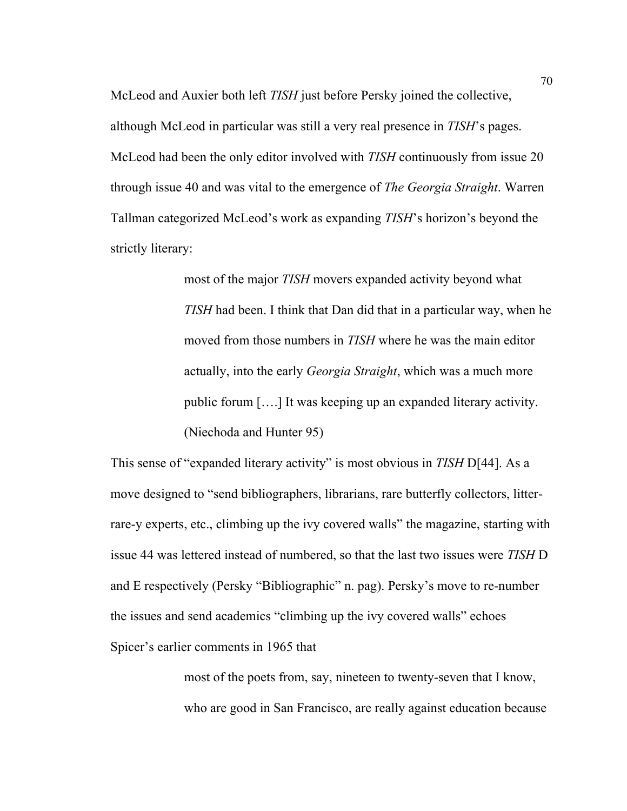McLeod and Auxier both left *TISH* just before Persky joined the collective, although McLeod in particular was still a very real presence in *TISH*'s pages. McLeod had been the only editor involved with *TISH* continuously from issue 20 through issue 40 and was vital to the emergence of *The Georgia Straight*. Warren Tallman categorized McLeod's work as expanding *TISH*'s horizon's beyond the strictly literary:

> most of the major *TISH* movers expanded activity beyond what *TISH* had been. I think that Dan did that in a particular way, when he moved from those numbers in *TISH* where he was the main editor actually, into the early *Georgia Straight*, which was a much more public forum [….] It was keeping up an expanded literary activity. (Niechoda and Hunter 95)

This sense of "expanded literary activity" is most obvious in *TISH* D[44]. As a move designed to "send bibliographers, librarians, rare butterfly collectors, litterrare-y experts, etc., climbing up the ivy covered walls" the magazine, starting with issue 44 was lettered instead of numbered, so that the last two issues were *TISH* D and E respectively (Persky "Bibliographic" n. pag). Persky's move to re-number the issues and send academics "climbing up the ivy covered walls" echoes Spicer's earlier comments in 1965 that

> most of the poets from, say, nineteen to twenty-seven that I know, who are good in San Francisco, are really against education because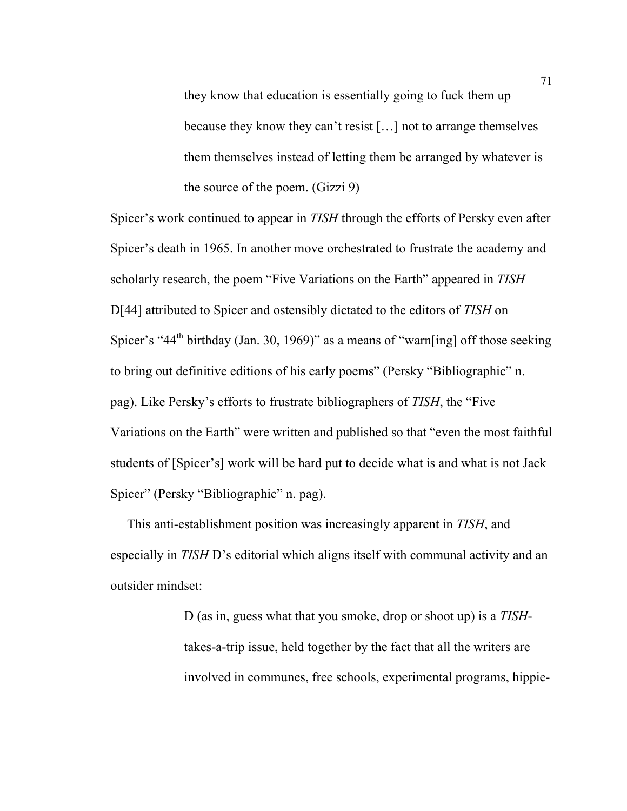they know that education is essentially going to fuck them up because they know they can't resist […] not to arrange themselves them themselves instead of letting them be arranged by whatever is the source of the poem. (Gizzi 9)

Spicer's work continued to appear in *TISH* through the efforts of Persky even after Spicer's death in 1965. In another move orchestrated to frustrate the academy and scholarly research, the poem "Five Variations on the Earth" appeared in *TISH* D[44] attributed to Spicer and ostensibly dictated to the editors of *TISH* on Spicer's "44<sup>th</sup> birthday (Jan. 30, 1969)" as a means of "warn[ing] off those seeking to bring out definitive editions of his early poems" (Persky "Bibliographic" n. pag). Like Persky's efforts to frustrate bibliographers of *TISH*, the "Five Variations on the Earth" were written and published so that "even the most faithful students of [Spicer's] work will be hard put to decide what is and what is not Jack Spicer" (Persky "Bibliographic" n. pag).

 This anti-establishment position was increasingly apparent in *TISH*, and especially in *TISH* D's editorial which aligns itself with communal activity and an outsider mindset:

> D (as in, guess what that you smoke, drop or shoot up) is a *TISH*takes-a-trip issue, held together by the fact that all the writers are involved in communes, free schools, experimental programs, hippie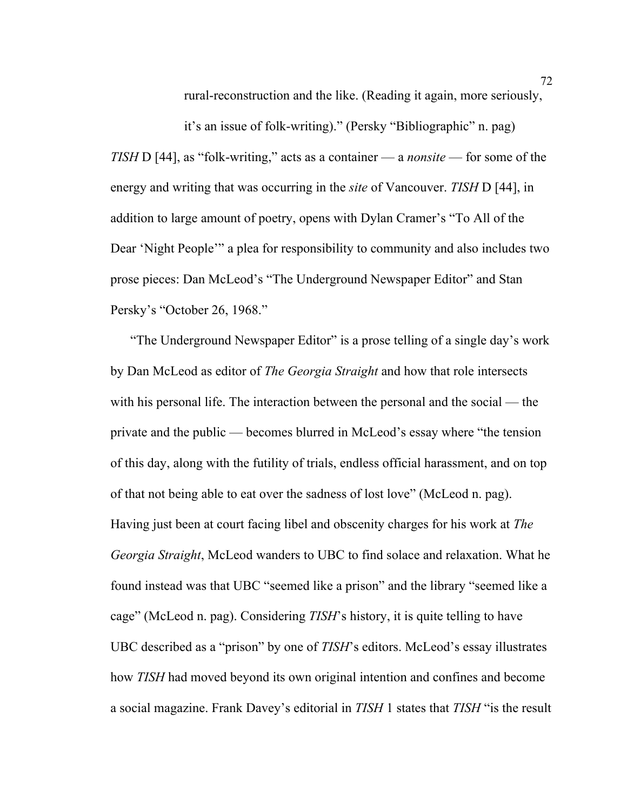rural-reconstruction and the like. (Reading it again, more seriously,

it's an issue of folk-writing)." (Persky "Bibliographic" n. pag) *TISH* D [44], as "folk-writing," acts as a container — a *nonsite* — for some of the energy and writing that was occurring in the *site* of Vancouver. *TISH* D [44], in addition to large amount of poetry, opens with Dylan Cramer's "To All of the Dear 'Night People'" a plea for responsibility to community and also includes two prose pieces: Dan McLeod's "The Underground Newspaper Editor" and Stan Persky's "October 26, 1968."

 "The Underground Newspaper Editor" is a prose telling of a single day's work by Dan McLeod as editor of *The Georgia Straight* and how that role intersects with his personal life. The interaction between the personal and the social — the private and the public — becomes blurred in McLeod's essay where "the tension of this day, along with the futility of trials, endless official harassment, and on top of that not being able to eat over the sadness of lost love" (McLeod n. pag). Having just been at court facing libel and obscenity charges for his work at *The Georgia Straight*, McLeod wanders to UBC to find solace and relaxation. What he found instead was that UBC "seemed like a prison" and the library "seemed like a cage" (McLeod n. pag). Considering *TISH*'s history, it is quite telling to have UBC described as a "prison" by one of *TISH*'s editors. McLeod's essay illustrates how *TISH* had moved beyond its own original intention and confines and become a social magazine. Frank Davey's editorial in *TISH* 1 states that *TISH* "is the result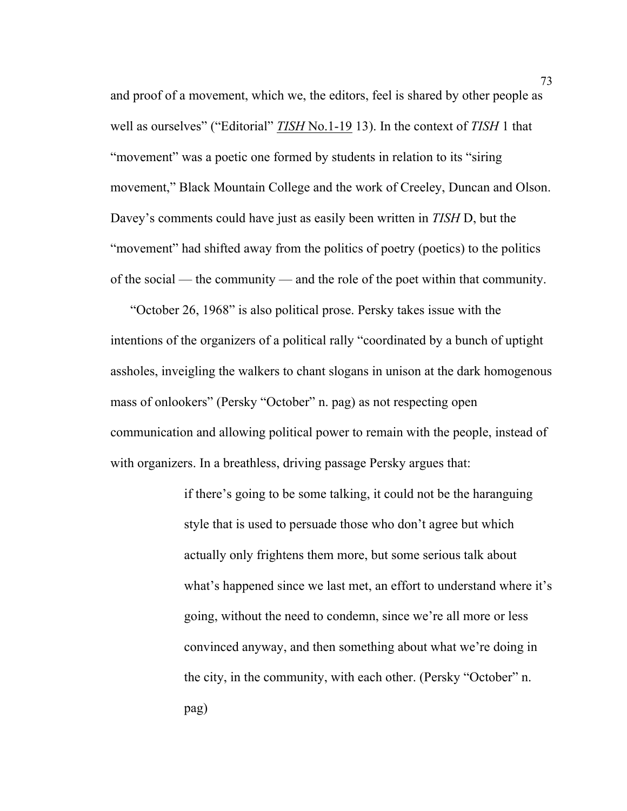and proof of a movement, which we, the editors, feel is shared by other people as well as ourselves" ("Editorial" *TISH* No.1-19 13). In the context of *TISH* 1 that "movement" was a poetic one formed by students in relation to its "siring movement," Black Mountain College and the work of Creeley, Duncan and Olson. Davey's comments could have just as easily been written in *TISH* D, but the "movement" had shifted away from the politics of poetry (poetics) to the politics of the social — the community — and the role of the poet within that community.

 "October 26, 1968" is also political prose. Persky takes issue with the intentions of the organizers of a political rally "coordinated by a bunch of uptight assholes, inveigling the walkers to chant slogans in unison at the dark homogenous mass of onlookers" (Persky "October" n. pag) as not respecting open communication and allowing political power to remain with the people, instead of with organizers. In a breathless, driving passage Persky argues that:

> if there's going to be some talking, it could not be the haranguing style that is used to persuade those who don't agree but which actually only frightens them more, but some serious talk about what's happened since we last met, an effort to understand where it's going, without the need to condemn, since we're all more or less convinced anyway, and then something about what we're doing in the city, in the community, with each other. (Persky "October" n. pag)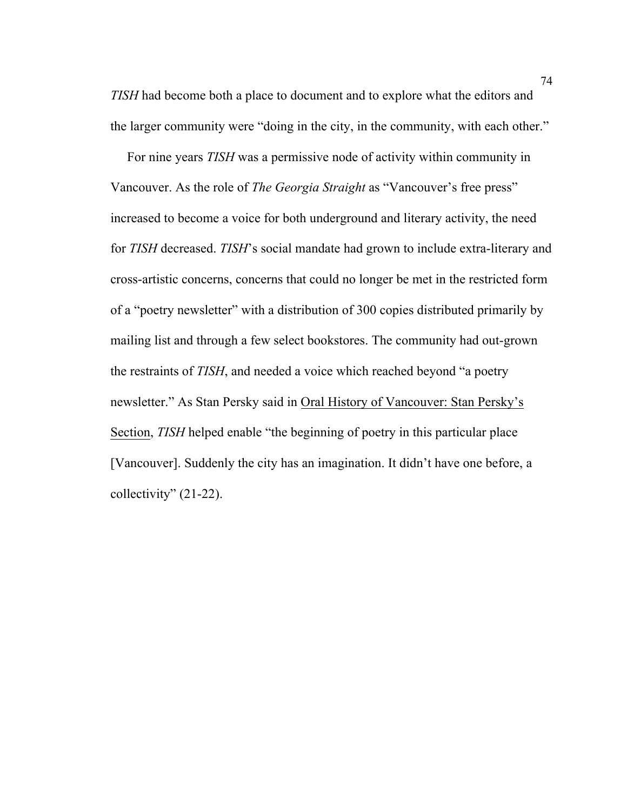*TISH* had become both a place to document and to explore what the editors and the larger community were "doing in the city, in the community, with each other."

 For nine years *TISH* was a permissive node of activity within community in Vancouver. As the role of *The Georgia Straight* as "Vancouver's free press" increased to become a voice for both underground and literary activity, the need for *TISH* decreased. *TISH*'s social mandate had grown to include extra-literary and cross-artistic concerns, concerns that could no longer be met in the restricted form of a "poetry newsletter" with a distribution of 300 copies distributed primarily by mailing list and through a few select bookstores. The community had out-grown the restraints of *TISH*, and needed a voice which reached beyond "a poetry newsletter." As Stan Persky said in Oral History of Vancouver: Stan Persky's Section, *TISH* helped enable "the beginning of poetry in this particular place [Vancouver]. Suddenly the city has an imagination. It didn't have one before, a collectivity" (21-22).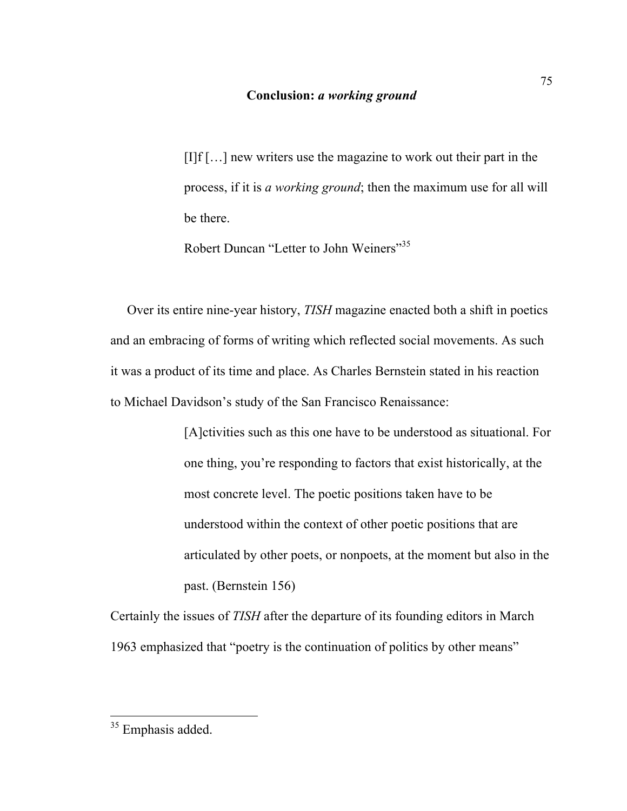#### **Conclusion:** *a working ground*

[I]f […] new writers use the magazine to work out their part in the process, if it is *a working ground*; then the maximum use for all will be there.

Robert Duncan "Letter to John Weiners"<sup>35</sup>

 Over its entire nine-year history, *TISH* magazine enacted both a shift in poetics and an embracing of forms of writing which reflected social movements. As such it was a product of its time and place. As Charles Bernstein stated in his reaction to Michael Davidson's study of the San Francisco Renaissance:

> [A]ctivities such as this one have to be understood as situational. For one thing, you're responding to factors that exist historically, at the most concrete level. The poetic positions taken have to be understood within the context of other poetic positions that are articulated by other poets, or nonpoets, at the moment but also in the past. (Bernstein 156)

Certainly the issues of *TISH* after the departure of its founding editors in March 1963 emphasized that "poetry is the continuation of politics by other means"

<sup>&</sup>lt;sup>35</sup> Emphasis added.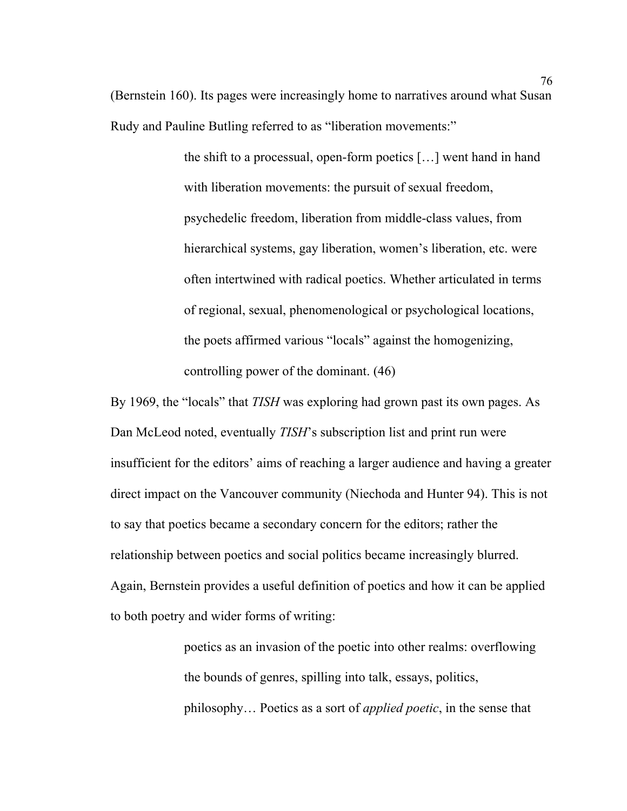(Bernstein 160). Its pages were increasingly home to narratives around what Susan Rudy and Pauline Butling referred to as "liberation movements:"

> the shift to a processual, open-form poetics […] went hand in hand with liberation movements: the pursuit of sexual freedom, psychedelic freedom, liberation from middle-class values, from hierarchical systems, gay liberation, women's liberation, etc. were often intertwined with radical poetics. Whether articulated in terms of regional, sexual, phenomenological or psychological locations, the poets affirmed various "locals" against the homogenizing, controlling power of the dominant. (46)

By 1969, the "locals" that *TISH* was exploring had grown past its own pages. As Dan McLeod noted, eventually *TISH*'s subscription list and print run were insufficient for the editors' aims of reaching a larger audience and having a greater direct impact on the Vancouver community (Niechoda and Hunter 94). This is not to say that poetics became a secondary concern for the editors; rather the relationship between poetics and social politics became increasingly blurred. Again, Bernstein provides a useful definition of poetics and how it can be applied to both poetry and wider forms of writing:

> poetics as an invasion of the poetic into other realms: overflowing the bounds of genres, spilling into talk, essays, politics, philosophy… Poetics as a sort of *applied poetic*, in the sense that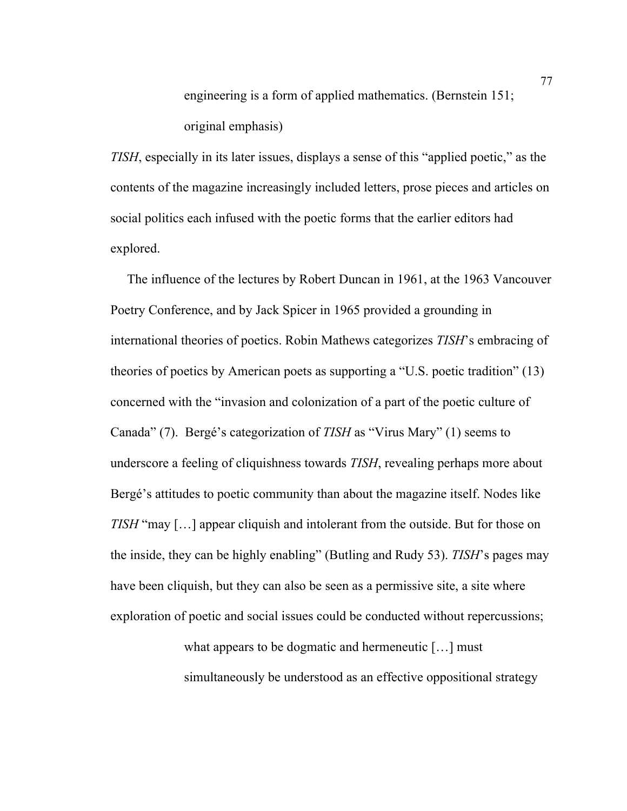engineering is a form of applied mathematics. (Bernstein 151; original emphasis)

*TISH*, especially in its later issues, displays a sense of this "applied poetic," as the contents of the magazine increasingly included letters, prose pieces and articles on social politics each infused with the poetic forms that the earlier editors had explored.

 The influence of the lectures by Robert Duncan in 1961, at the 1963 Vancouver Poetry Conference, and by Jack Spicer in 1965 provided a grounding in international theories of poetics. Robin Mathews categorizes *TISH*'s embracing of theories of poetics by American poets as supporting a "U.S. poetic tradition" (13) concerned with the "invasion and colonization of a part of the poetic culture of Canada" (7). Bergé's categorization of *TISH* as "Virus Mary" (1) seems to underscore a feeling of cliquishness towards *TISH*, revealing perhaps more about Bergé's attitudes to poetic community than about the magazine itself. Nodes like *TISH* "may […] appear cliquish and intolerant from the outside. But for those on the inside, they can be highly enabling" (Butling and Rudy 53). *TISH*'s pages may have been cliquish, but they can also be seen as a permissive site, a site where exploration of poetic and social issues could be conducted without repercussions;

> what appears to be dogmatic and hermeneutic […] must simultaneously be understood as an effective oppositional strategy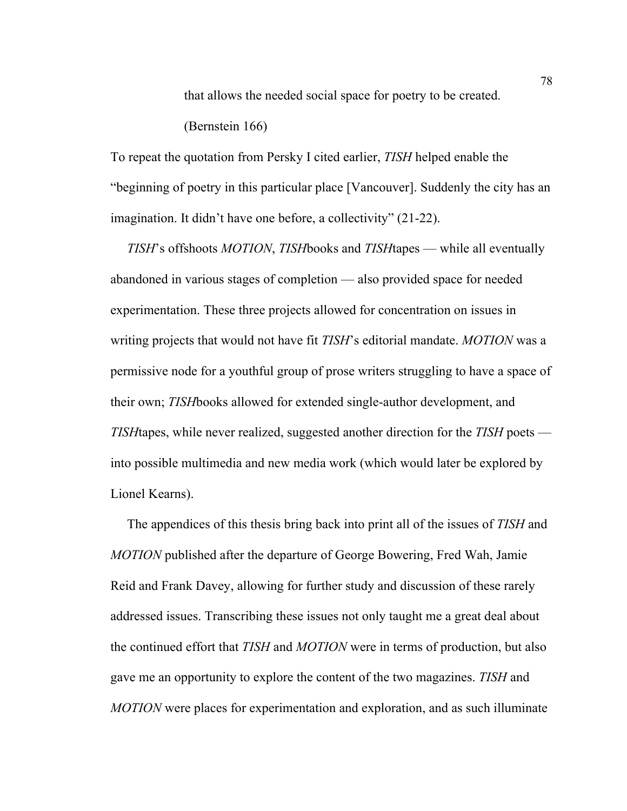that allows the needed social space for poetry to be created. (Bernstein 166)

To repeat the quotation from Persky I cited earlier, *TISH* helped enable the "beginning of poetry in this particular place [Vancouver]. Suddenly the city has an imagination. It didn't have one before, a collectivity" (21-22).

 *TISH*'s offshoots *MOTION*, *TISH*books and *TISH*tapes — while all eventually abandoned in various stages of completion — also provided space for needed experimentation. These three projects allowed for concentration on issues in writing projects that would not have fit *TISH*'s editorial mandate. *MOTION* was a permissive node for a youthful group of prose writers struggling to have a space of their own; *TISH*books allowed for extended single-author development, and *TISH*tapes, while never realized, suggested another direction for the *TISH* poets into possible multimedia and new media work (which would later be explored by Lionel Kearns).

 The appendices of this thesis bring back into print all of the issues of *TISH* and *MOTION* published after the departure of George Bowering, Fred Wah, Jamie Reid and Frank Davey, allowing for further study and discussion of these rarely addressed issues. Transcribing these issues not only taught me a great deal about the continued effort that *TISH* and *MOTION* were in terms of production, but also gave me an opportunity to explore the content of the two magazines. *TISH* and *MOTION* were places for experimentation and exploration, and as such illuminate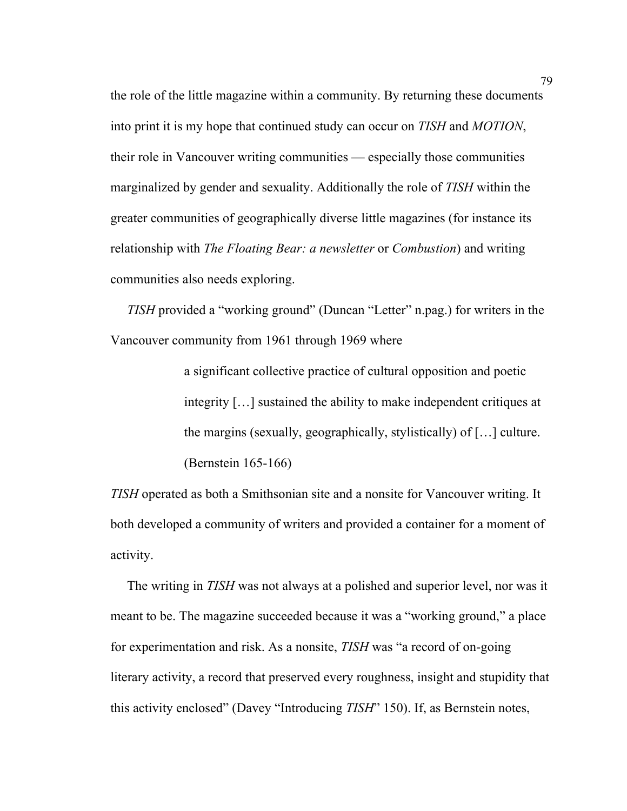the role of the little magazine within a community. By returning these documents into print it is my hope that continued study can occur on *TISH* and *MOTION*, their role in Vancouver writing communities — especially those communities marginalized by gender and sexuality. Additionally the role of *TISH* within the greater communities of geographically diverse little magazines (for instance its relationship with *The Floating Bear: a newsletter* or *Combustion*) and writing communities also needs exploring.

 *TISH* provided a "working ground" (Duncan "Letter" n.pag.) for writers in the Vancouver community from 1961 through 1969 where

> a significant collective practice of cultural opposition and poetic integrity […] sustained the ability to make independent critiques at the margins (sexually, geographically, stylistically) of […] culture. (Bernstein 165-166)

*TISH* operated as both a Smithsonian site and a nonsite for Vancouver writing. It both developed a community of writers and provided a container for a moment of activity.

 The writing in *TISH* was not always at a polished and superior level, nor was it meant to be. The magazine succeeded because it was a "working ground," a place for experimentation and risk. As a nonsite, *TISH* was "a record of on-going literary activity, a record that preserved every roughness, insight and stupidity that this activity enclosed" (Davey "Introducing *TISH*" 150). If, as Bernstein notes,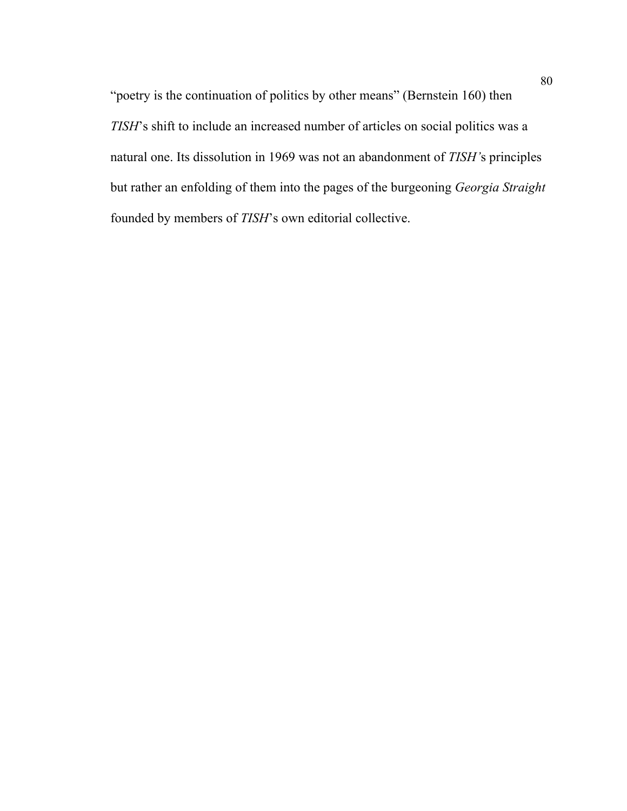"poetry is the continuation of politics by other means" (Bernstein 160) then *TISH*'s shift to include an increased number of articles on social politics was a natural one. Its dissolution in 1969 was not an abandonment of *TISH'*s principles but rather an enfolding of them into the pages of the burgeoning *Georgia Straight* founded by members of *TISH*'s own editorial collective.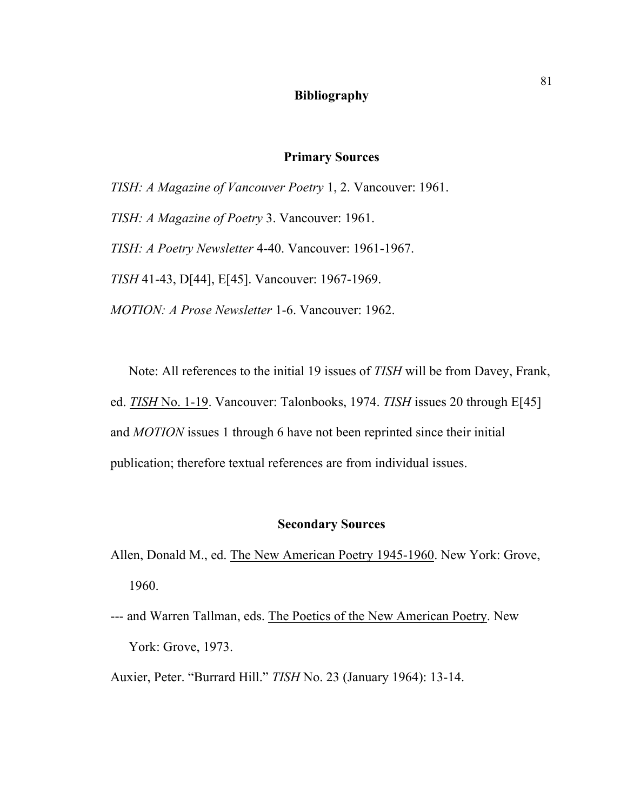#### **Bibliography**

## **Primary Sources**

*TISH: A Magazine of Vancouver Poetry* 1, 2. Vancouver: 1961.

*TISH: A Magazine of Poetry* 3. Vancouver: 1961.

*TISH: A Poetry Newsletter* 4-40. Vancouver: 1961-1967.

*TISH* 41-43, D[44], E[45]. Vancouver: 1967-1969.

*MOTION: A Prose Newsletter* 1-6. Vancouver: 1962.

Note: All references to the initial 19 issues of *TISH* will be from Davey, Frank, ed. *TISH* No. 1-19. Vancouver: Talonbooks, 1974. *TISH* issues 20 through E[45] and *MOTION* issues 1 through 6 have not been reprinted since their initial publication; therefore textual references are from individual issues.

# **Secondary Sources**

- Allen, Donald M., ed. The New American Poetry 1945-1960. New York: Grove, 1960.
- --- and Warren Tallman, eds. The Poetics of the New American Poetry. New York: Grove, 1973.
- Auxier, Peter. "Burrard Hill." *TISH* No. 23 (January 1964): 13-14.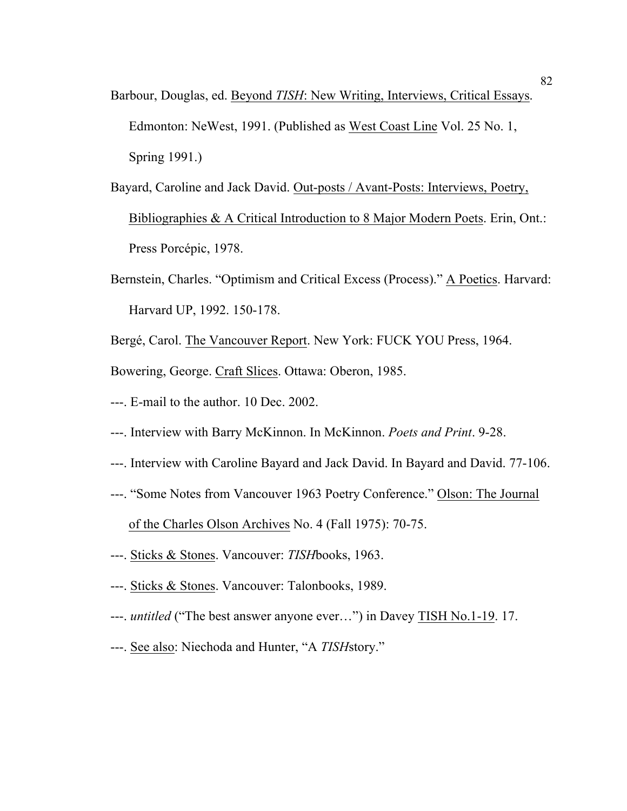- Barbour, Douglas, ed. Beyond *TISH*: New Writing, Interviews, Critical Essays. Edmonton: NeWest, 1991. (Published as West Coast Line Vol. 25 No. 1, Spring 1991.)
- Bayard, Caroline and Jack David. Out-posts / Avant-Posts: Interviews, Poetry, Bibliographies & A Critical Introduction to 8 Major Modern Poets. Erin, Ont.: Press Porcépic, 1978.
- Bernstein, Charles. "Optimism and Critical Excess (Process)." A Poetics. Harvard: Harvard UP, 1992. 150-178.
- Bergé, Carol. The Vancouver Report. New York: FUCK YOU Press, 1964.

Bowering, George. Craft Slices. Ottawa: Oberon, 1985.

- ---. E-mail to the author. 10 Dec. 2002.
- ---. Interview with Barry McKinnon. In McKinnon. *Poets and Print*. 9-28.
- ---. Interview with Caroline Bayard and Jack David. In Bayard and David. 77-106.
- ---. "Some Notes from Vancouver 1963 Poetry Conference." Olson: The Journal of the Charles Olson Archives No. 4 (Fall 1975): 70-75.
- ---. Sticks & Stones. Vancouver: *TISH*books, 1963.
- ---. Sticks & Stones. Vancouver: Talonbooks, 1989.
- ---. *untitled* ("The best answer anyone ever…") in Davey TISH No.1-19. 17.
- ---. See also: Niechoda and Hunter, "A *TISH*story."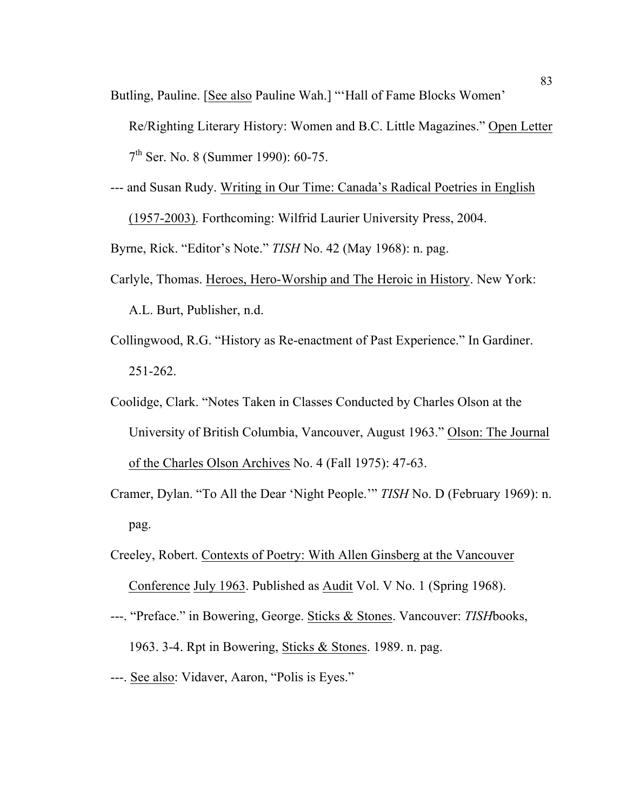Butling, Pauline. [See also Pauline Wah.] "'Hall of Fame Blocks Women'

Re/Righting Literary History: Women and B.C. Little Magazines." Open Letter 7th Ser. No. 8 (Summer 1990): 60-75.

--- and Susan Rudy. Writing in Our Time: Canada's Radical Poetries in English (1957-2003). Forthcoming: Wilfrid Laurier University Press, 2004.

Byrne, Rick. "Editor's Note." *TISH* No. 42 (May 1968): n. pag.

- Carlyle, Thomas. Heroes, Hero-Worship and The Heroic in History. New York: A.L. Burt, Publisher, n.d.
- Collingwood, R.G. "History as Re-enactment of Past Experience." In Gardiner. 251-262.
- Coolidge, Clark. "Notes Taken in Classes Conducted by Charles Olson at the University of British Columbia, Vancouver, August 1963." Olson: The Journal of the Charles Olson Archives No. 4 (Fall 1975): 47-63.
- Cramer, Dylan. "To All the Dear 'Night People.'" *TISH* No. D (February 1969): n. pag.
- Creeley, Robert. Contexts of Poetry: With Allen Ginsberg at the Vancouver Conference July 1963. Published as Audit Vol. V No. 1 (Spring 1968).
- ---. "Preface." in Bowering, George. Sticks & Stones. Vancouver: *TISH*books, 1963. 3-4. Rpt in Bowering, Sticks & Stones. 1989. n. pag.
- ---. See also: Vidaver, Aaron, "Polis is Eyes."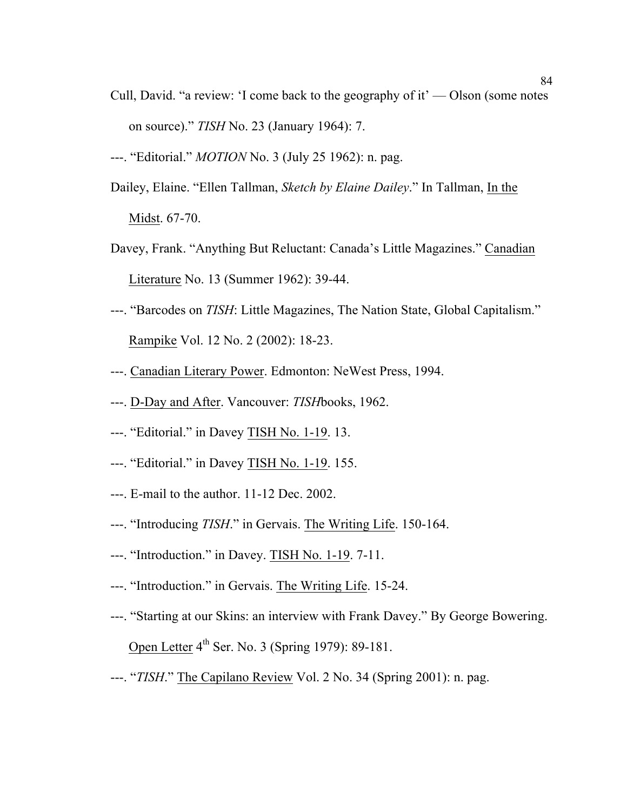- Cull, David. "a review: 'I come back to the geography of it' Olson (some notes on source)." *TISH* No. 23 (January 1964): 7.
- ---. "Editorial." *MOTION* No. 3 (July 25 1962): n. pag.
- Dailey, Elaine. "Ellen Tallman, *Sketch by Elaine Dailey*." In Tallman, In the Midst. 67-70.
- Davey, Frank. "Anything But Reluctant: Canada's Little Magazines." Canadian Literature No. 13 (Summer 1962): 39-44.
- ---. "Barcodes on *TISH*: Little Magazines, The Nation State, Global Capitalism." Rampike Vol. 12 No. 2 (2002): 18-23.
- ---. Canadian Literary Power. Edmonton: NeWest Press, 1994.
- ---. D-Day and After. Vancouver: *TISH*books, 1962.
- ---. "Editorial." in Davey TISH No. 1-19. 13.
- ---. "Editorial." in Davey TISH No. 1-19. 155.
- ---. E-mail to the author. 11-12 Dec. 2002.
- ---. "Introducing *TISH*." in Gervais. The Writing Life. 150-164.
- ---. "Introduction." in Davey. TISH No. 1-19. 7-11.
- ---. "Introduction." in Gervais. The Writing Life. 15-24.
- ---. "Starting at our Skins: an interview with Frank Davey." By George Bowering. Open Letter  $4<sup>th</sup>$  Ser. No. 3 (Spring 1979): 89-181.
- ---. "*TISH*." The Capilano Review Vol. 2 No. 34 (Spring 2001): n. pag.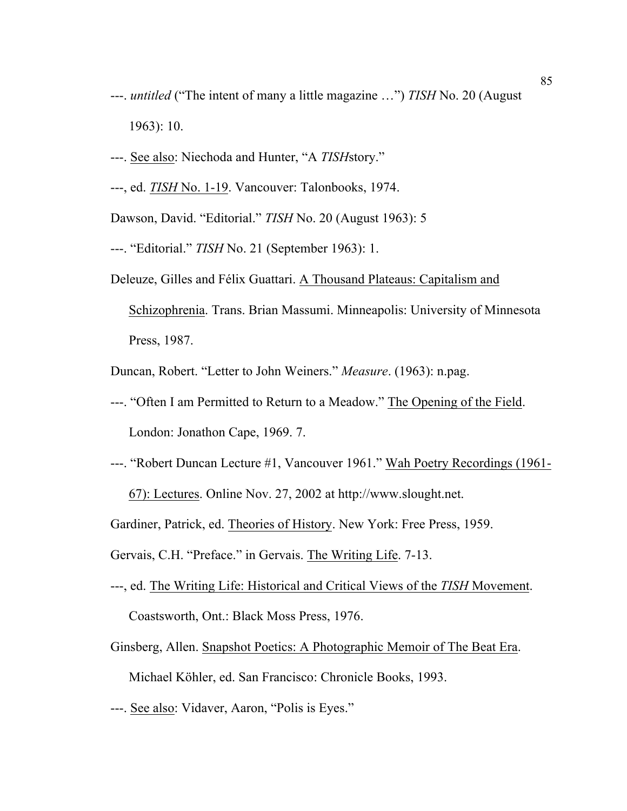- ---. *untitled* ("The intent of many a little magazine …") *TISH* No. 20 (August 1963): 10.
- ---. See also: Niechoda and Hunter, "A *TISH*story."
- ---, ed. *TISH* No. 1-19. Vancouver: Talonbooks, 1974.

Dawson, David. "Editorial." *TISH* No. 20 (August 1963): 5

- ---. "Editorial." *TISH* No. 21 (September 1963): 1.
- Deleuze, Gilles and Félix Guattari. A Thousand Plateaus: Capitalism and Schizophrenia. Trans. Brian Massumi. Minneapolis: University of Minnesota Press, 1987.

Duncan, Robert. "Letter to John Weiners." *Measure*. (1963): n.pag.

- ---. "Often I am Permitted to Return to a Meadow." The Opening of the Field. London: Jonathon Cape, 1969. 7.
- ---. "Robert Duncan Lecture #1, Vancouver 1961." Wah Poetry Recordings (1961- 67): Lectures. Online Nov. 27, 2002 at http://www.slought.net.

Gardiner, Patrick, ed. Theories of History. New York: Free Press, 1959.

Gervais, C.H. "Preface." in Gervais. The Writing Life. 7-13.

- ---, ed. The Writing Life: Historical and Critical Views of the *TISH* Movement. Coastsworth, Ont.: Black Moss Press, 1976.
- Ginsberg, Allen. Snapshot Poetics: A Photographic Memoir of The Beat Era. Michael Köhler, ed. San Francisco: Chronicle Books, 1993.
- ---. See also: Vidaver, Aaron, "Polis is Eyes."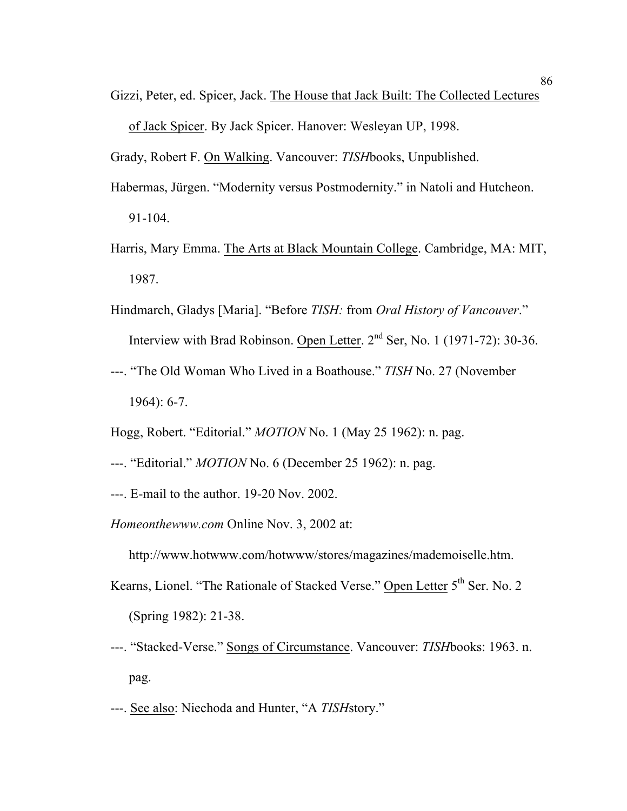Gizzi, Peter, ed. Spicer, Jack. The House that Jack Built: The Collected Lectures of Jack Spicer. By Jack Spicer. Hanover: Wesleyan UP, 1998.

Grady, Robert F. On Walking. Vancouver: *TISH*books, Unpublished.

- Habermas, Jürgen. "Modernity versus Postmodernity." in Natoli and Hutcheon. 91-104.
- Harris, Mary Emma. The Arts at Black Mountain College. Cambridge, MA: MIT, 1987.
- Hindmarch, Gladys [Maria]. "Before *TISH:* from *Oral History of Vancouver*." Interview with Brad Robinson. Open Letter.  $2<sup>nd</sup>$  Ser, No. 1 (1971-72): 30-36.
- ---. "The Old Woman Who Lived in a Boathouse." *TISH* No. 27 (November 1964): 6-7.
- Hogg, Robert. "Editorial." *MOTION* No. 1 (May 25 1962): n. pag.
- ---. "Editorial." *MOTION* No. 6 (December 25 1962): n. pag.
- ---. E-mail to the author. 19-20 Nov. 2002.
- *Homeonthewww.com* Online Nov. 3, 2002 at:
	- http://www.hotwww.com/hotwww/stores/magazines/mademoiselle.htm.
- Kearns, Lionel. "The Rationale of Stacked Verse." Open Letter 5<sup>th</sup> Ser. No. 2 (Spring 1982): 21-38.
- ---. "Stacked-Verse." Songs of Circumstance. Vancouver: *TISH*books: 1963. n. pag.
- ---. See also: Niechoda and Hunter, "A *TISH*story."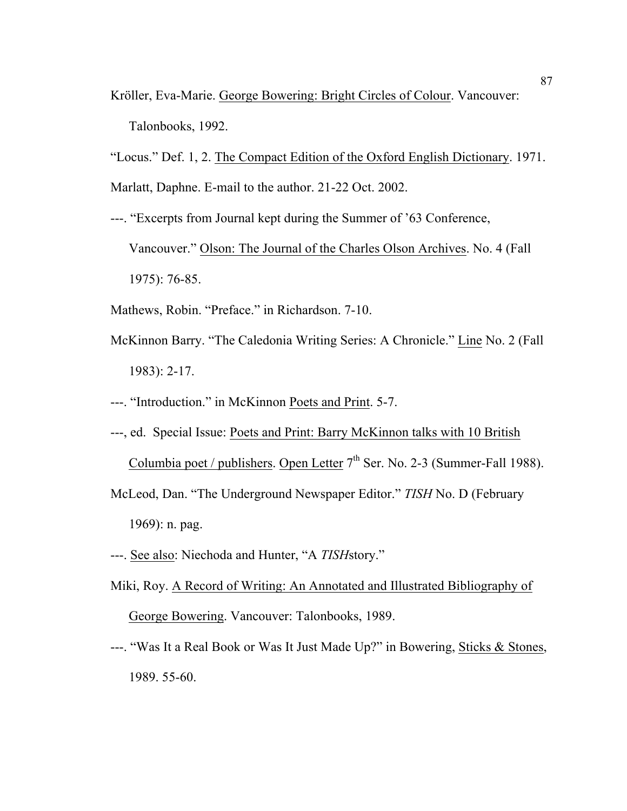- Kröller, Eva-Marie. George Bowering: Bright Circles of Colour. Vancouver: Talonbooks, 1992.
- "Locus." Def. 1, 2. The Compact Edition of the Oxford English Dictionary. 1971.
- Marlatt, Daphne. E-mail to the author. 21-22 Oct. 2002.
- ---. "Excerpts from Journal kept during the Summer of '63 Conference, Vancouver." Olson: The Journal of the Charles Olson Archives. No. 4 (Fall 1975): 76-85.
- Mathews, Robin. "Preface." in Richardson. 7-10.
- McKinnon Barry. "The Caledonia Writing Series: A Chronicle." Line No. 2 (Fall 1983): 2-17.
- ---. "Introduction." in McKinnon Poets and Print. 5-7.
- ---, ed. Special Issue: Poets and Print: Barry McKinnon talks with 10 British Columbia poet / publishers. Open Letter  $7<sup>th</sup>$  Ser. No. 2-3 (Summer-Fall 1988).
- McLeod, Dan. "The Underground Newspaper Editor." *TISH* No. D (February 1969): n. pag.
- ---. See also: Niechoda and Hunter, "A *TISH*story."
- Miki, Roy. A Record of Writing: An Annotated and Illustrated Bibliography of George Bowering. Vancouver: Talonbooks, 1989.
- ---. "Was It a Real Book or Was It Just Made Up?" in Bowering, Sticks & Stones, 1989. 55-60.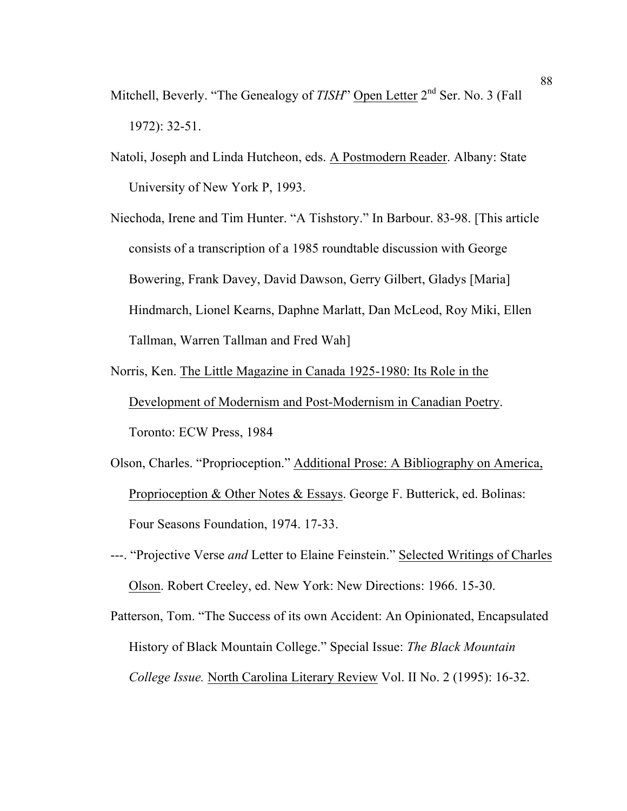- Mitchell, Beverly. "The Genealogy of *TISH*" Open Letter 2<sup>nd</sup> Ser. No. 3 (Fall 1972): 32-51.
- Natoli, Joseph and Linda Hutcheon, eds. A Postmodern Reader. Albany: State University of New York P, 1993.
- Niechoda, Irene and Tim Hunter. "A Tishstory." In Barbour. 83-98. [This article consists of a transcription of a 1985 roundtable discussion with George Bowering, Frank Davey, David Dawson, Gerry Gilbert, Gladys [Maria] Hindmarch, Lionel Kearns, Daphne Marlatt, Dan McLeod, Roy Miki, Ellen Tallman, Warren Tallman and Fred Wah]
- Norris, Ken. The Little Magazine in Canada 1925-1980: Its Role in the Development of Modernism and Post-Modernism in Canadian Poetry. Toronto: ECW Press, 1984
- Olson, Charles. "Proprioception." Additional Prose: A Bibliography on America, Proprioception & Other Notes & Essays. George F. Butterick, ed. Bolinas: Four Seasons Foundation, 1974. 17-33.
- ---. "Projective Verse *and* Letter to Elaine Feinstein." Selected Writings of Charles Olson. Robert Creeley, ed. New York: New Directions: 1966. 15-30.
- Patterson, Tom. "The Success of its own Accident: An Opinionated, Encapsulated History of Black Mountain College." Special Issue: *The Black Mountain College Issue.* North Carolina Literary Review Vol. II No. 2 (1995): 16-32.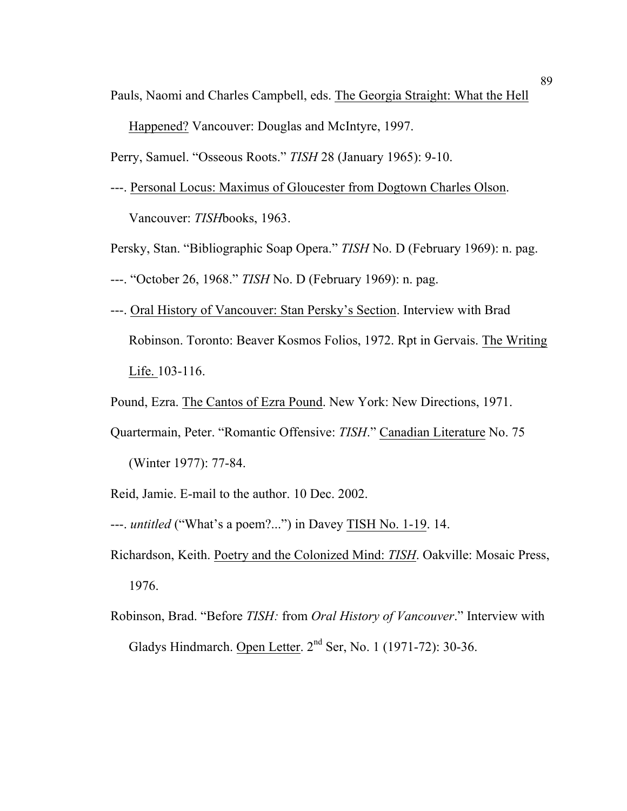Pauls, Naomi and Charles Campbell, eds. The Georgia Straight: What the Hell

Happened? Vancouver: Douglas and McIntyre, 1997.

Perry, Samuel. "Osseous Roots." *TISH* 28 (January 1965): 9-10.

---. Personal Locus: Maximus of Gloucester from Dogtown Charles Olson. Vancouver: *TISH*books, 1963.

Persky, Stan. "Bibliographic Soap Opera." *TISH* No. D (February 1969): n. pag.

- ---. "October 26, 1968." *TISH* No. D (February 1969): n. pag.
- ---. Oral History of Vancouver: Stan Persky's Section. Interview with Brad Robinson. Toronto: Beaver Kosmos Folios, 1972. Rpt in Gervais. The Writing Life. 103-116.
- Pound, Ezra. The Cantos of Ezra Pound. New York: New Directions, 1971.
- Quartermain, Peter. "Romantic Offensive: *TISH*." Canadian Literature No. 75 (Winter 1977): 77-84.
- Reid, Jamie. E-mail to the author. 10 Dec. 2002.
- ---. *untitled* ("What's a poem?...") in Davey TISH No. 1-19. 14.
- Richardson, Keith. Poetry and the Colonized Mind: *TISH*. Oakville: Mosaic Press, 1976.
- Robinson, Brad. "Before *TISH:* from *Oral History of Vancouver*." Interview with Gladys Hindmarch. Open Letter.  $2<sup>nd</sup>$  Ser, No. 1 (1971-72): 30-36.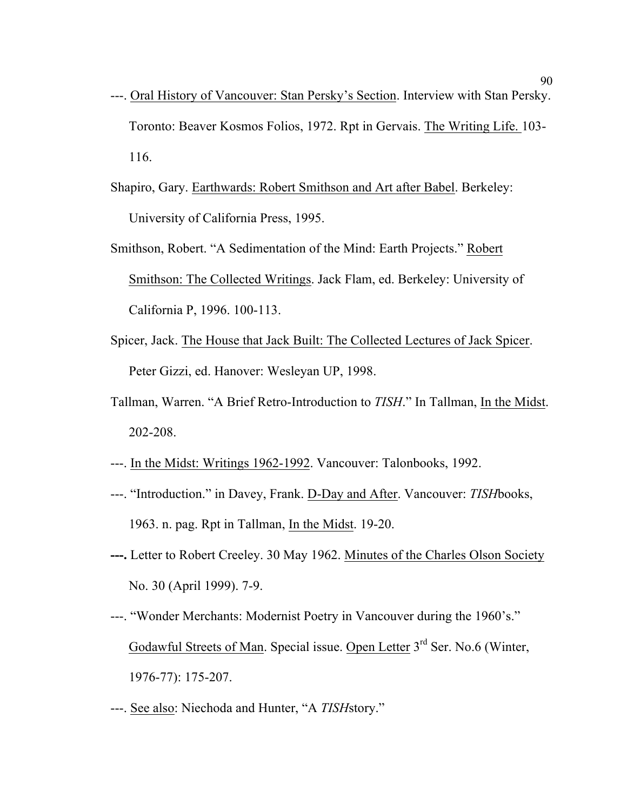- ---. Oral History of Vancouver: Stan Persky's Section. Interview with Stan Persky. Toronto: Beaver Kosmos Folios, 1972. Rpt in Gervais. The Writing Life. 103- 116.
- Shapiro, Gary. Earthwards: Robert Smithson and Art after Babel. Berkeley: University of California Press, 1995.
- Smithson, Robert. "A Sedimentation of the Mind: Earth Projects." Robert Smithson: The Collected Writings. Jack Flam, ed. Berkeley: University of California P, 1996. 100-113.
- Spicer, Jack. The House that Jack Built: The Collected Lectures of Jack Spicer. Peter Gizzi, ed. Hanover: Wesleyan UP, 1998.
- Tallman, Warren. "A Brief Retro-Introduction to *TISH*." In Tallman, In the Midst. 202-208.
- ---. In the Midst: Writings 1962-1992. Vancouver: Talonbooks, 1992.
- ---. "Introduction." in Davey, Frank. D-Day and After. Vancouver: *TISH*books, 1963. n. pag. Rpt in Tallman, In the Midst. 19-20.
- **---.** Letter to Robert Creeley. 30 May 1962. Minutes of the Charles Olson Society No. 30 (April 1999). 7-9.
- ---. "Wonder Merchants: Modernist Poetry in Vancouver during the 1960's." Godawful Streets of Man. Special issue. Open Letter 3<sup>rd</sup> Ser. No.6 (Winter, 1976-77): 175-207.
- ---. See also: Niechoda and Hunter, "A *TISH*story."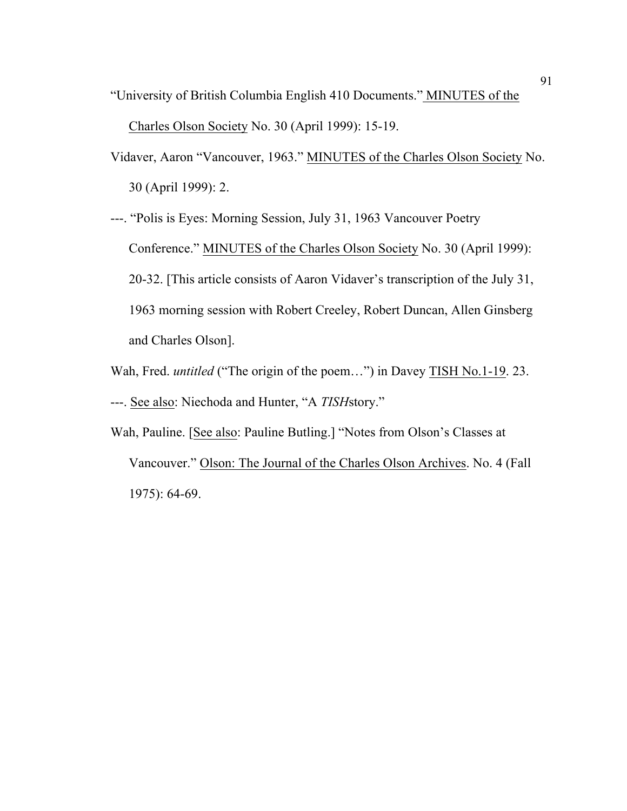- "University of British Columbia English 410 Documents." MINUTES of the Charles Olson Society No. 30 (April 1999): 15-19.
- Vidaver, Aaron "Vancouver, 1963." MINUTES of the Charles Olson Society No. 30 (April 1999): 2.

---. "Polis is Eyes: Morning Session, July 31, 1963 Vancouver Poetry Conference." MINUTES of the Charles Olson Society No. 30 (April 1999): 20-32. [This article consists of Aaron Vidaver's transcription of the July 31, 1963 morning session with Robert Creeley, Robert Duncan, Allen Ginsberg and Charles Olson].

- Wah, Fred. *untitled* ("The origin of the poem…") in Davey TISH No.1-19. 23.
- ---. See also: Niechoda and Hunter, "A *TISH*story."
- Wah, Pauline. [See also: Pauline Butling.] "Notes from Olson's Classes at Vancouver." Olson: The Journal of the Charles Olson Archives. No. 4 (Fall 1975): 64-69.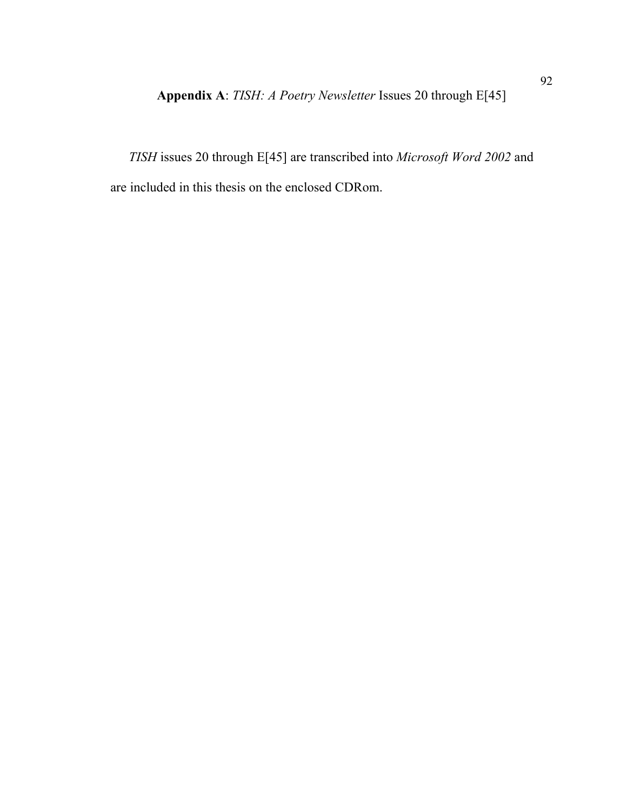*TISH* issues 20 through E[45] are transcribed into *Microsoft Word 2002* and are included in this thesis on the enclosed CDRom.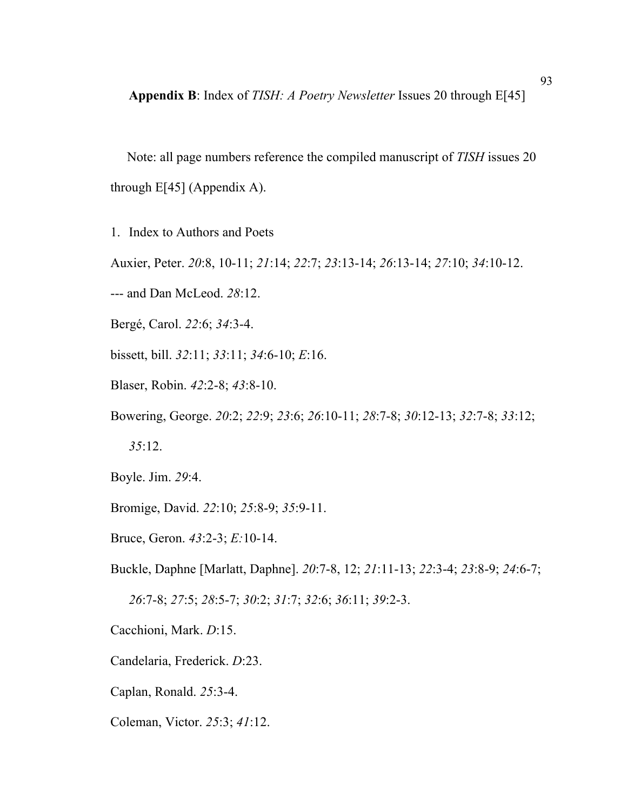**Appendix B**: Index of *TISH: A Poetry Newsletter* Issues 20 through E[45]

 Note: all page numbers reference the compiled manuscript of *TISH* issues 20 through E[45] (Appendix A).

1. Index to Authors and Poets

Auxier, Peter. *20*:8, 10-11; *21*:14; *22*:7; *23*:13-14; *26*:13-14; *27*:10; *34*:10-12.

--- and Dan McLeod. *28*:12.

Bergé, Carol. *22*:6; *34*:3-4.

bissett, bill. *32*:11; *33*:11; *34*:6-10; *E*:16.

Blaser, Robin. *42*:2-8; *43*:8-10.

Bowering, George. *20*:2; *22*:9; *23*:6; *26*:10-11; *28*:7-8; *30*:12-13; *32*:7-8; *33*:12; *35*:12.

Boyle. Jim. *29*:4.

Bromige, David. *22*:10; *25*:8-9; *35*:9-11.

Bruce, Geron. *43*:2-3; *E:*10-14.

Buckle, Daphne [Marlatt, Daphne]. *20*:7-8, 12; *21*:11-13; *22*:3-4; *23*:8-9; *24*:6-7;

*26*:7-8; *27*:5; *28*:5-7; *30*:2; *31*:7; *32*:6; *36*:11; *39*:2-3.

Cacchioni, Mark. *D*:15.

Candelaria, Frederick. *D*:23.

Caplan, Ronald. *25*:3-4.

Coleman, Victor. *25*:3; *41*:12.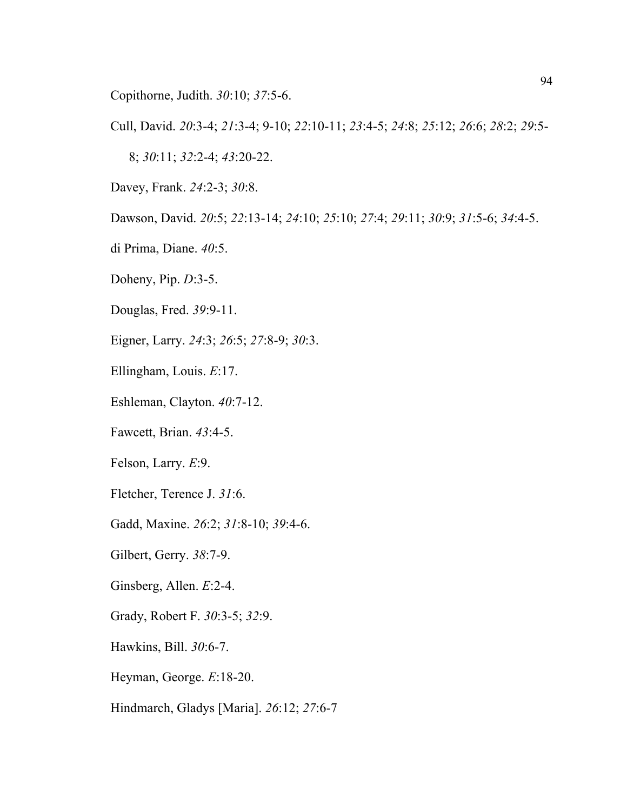Copithorne, Judith. *30*:10; *37*:5-6.

Cull, David. *20*:3-4; *21*:3-4; 9-10; *22*:10-11; *23*:4-5; *24*:8; *25*:12; *26*:6; *28*:2; *29*:5-

8; *30*:11; *32*:2-4; *43*:20-22.

Davey, Frank. *24*:2-3; *30*:8.

Dawson, David. *20*:5; *22*:13-14; *24*:10; *25*:10; *27*:4; *29*:11; *30*:9; *31*:5-6; *34*:4-5.

di Prima, Diane. *40*:5.

Doheny, Pip. *D*:3-5.

Douglas, Fred. *39*:9-11.

Eigner, Larry. *24*:3; *26*:5; *27*:8-9; *30*:3.

Ellingham, Louis. *E*:17.

Eshleman, Clayton. *40*:7-12.

Fawcett, Brian. *43*:4-5.

Felson, Larry. *E*:9.

Fletcher, Terence J. *31*:6.

Gadd, Maxine. *26*:2; *31*:8-10; *39*:4-6.

Gilbert, Gerry. *38*:7-9.

Ginsberg, Allen. *E*:2-4.

Grady, Robert F. *30*:3-5; *32*:9.

Hawkins, Bill. *30*:6-7.

Heyman, George. *E*:18-20.

Hindmarch, Gladys [Maria]. *26*:12; *27*:6-7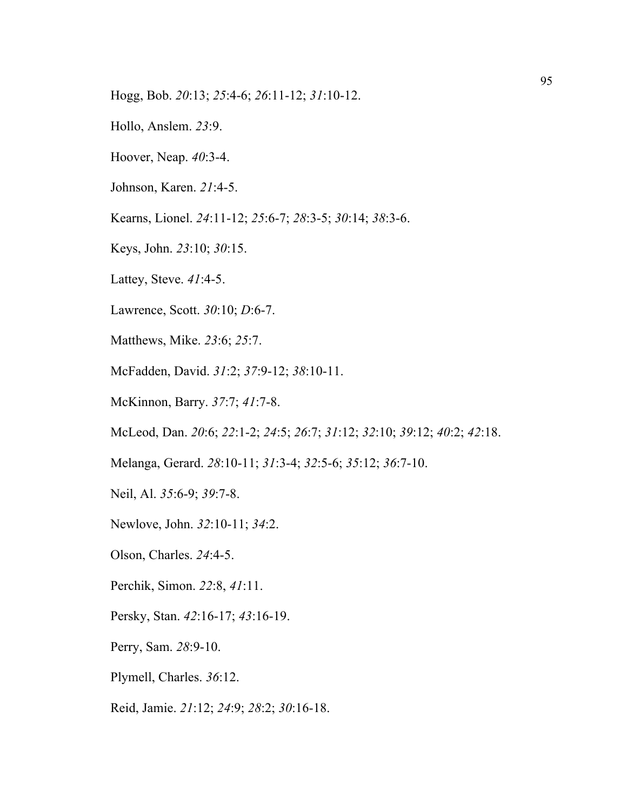- Hogg, Bob. *20*:13; *25*:4-6; *26*:11-12; *31*:10-12.
- Hollo, Anslem. *23*:9.
- Hoover, Neap. *40*:3-4.
- Johnson, Karen. *21*:4-5.
- Kearns, Lionel. *24*:11-12; *25*:6-7; *28*:3-5; *30*:14; *38*:3-6.
- Keys, John. *23*:10; *30*:15.
- Lattey, Steve. *41*:4-5.
- Lawrence, Scott. *30*:10; *D*:6-7.
- Matthews, Mike. *23*:6; *25*:7.
- McFadden, David. *31*:2; *37*:9-12; *38*:10-11.
- McKinnon, Barry. *37*:7; *41*:7-8.
- McLeod, Dan. *20*:6; *22*:1-2; *24*:5; *26*:7; *31*:12; *32*:10; *39*:12; *40*:2; *42*:18.
- Melanga, Gerard. *28*:10-11; *31*:3-4; *32*:5-6; *35*:12; *36*:7-10.
- Neil, Al. *35*:6-9; *39*:7-8.
- Newlove, John. *32*:10-11; *34*:2.
- Olson, Charles. *24*:4-5.
- Perchik, Simon. *22*:8, *41*:11.
- Persky, Stan. *42*:16-17; *43*:16-19.
- Perry, Sam. *28*:9-10.
- Plymell, Charles. *36*:12.
- Reid, Jamie. *21*:12; *24*:9; *28*:2; *30*:16-18.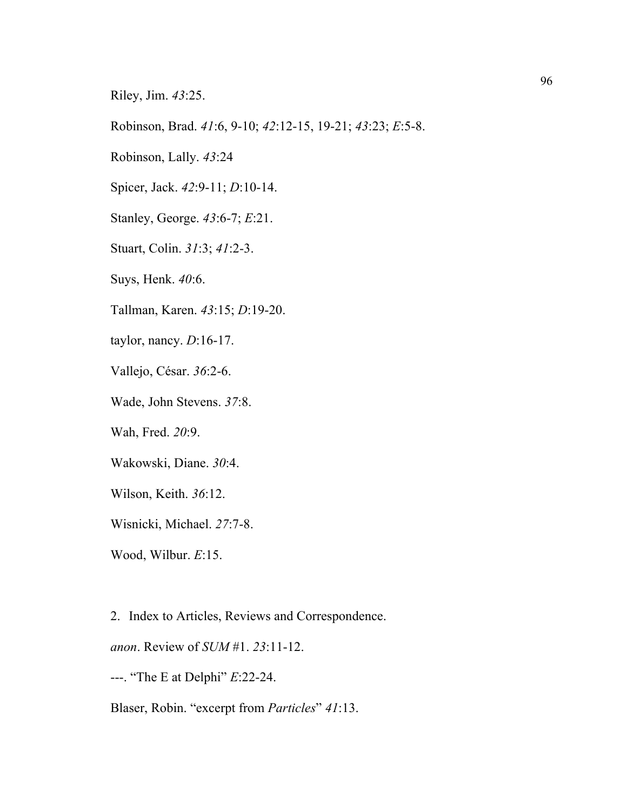Riley, Jim. *43*:25.

Robinson, Brad. *41*:6, 9-10; *42*:12-15, 19-21; *43*:23; *E*:5-8.

Robinson, Lally. *43*:24

Spicer, Jack. *42*:9-11; *D*:10-14.

Stanley, George. *43*:6-7; *E*:21.

Stuart, Colin. *31*:3; *41*:2-3.

Suys, Henk. *40*:6.

Tallman, Karen. *43*:15; *D*:19-20.

taylor, nancy. *D*:16-17.

Vallejo, César. *36*:2-6.

Wade, John Stevens. *37*:8.

Wah, Fred. *20*:9.

Wakowski, Diane. *30*:4.

Wilson, Keith. *36*:12.

Wisnicki, Michael. *27*:7-8.

Wood, Wilbur. *E*:15.

2. Index to Articles, Reviews and Correspondence.

*anon*. Review of *SUM* #1. *23*:11-12.

---. "The E at Delphi" *E*:22-24.

Blaser, Robin. "excerpt from *Particles*" *41*:13.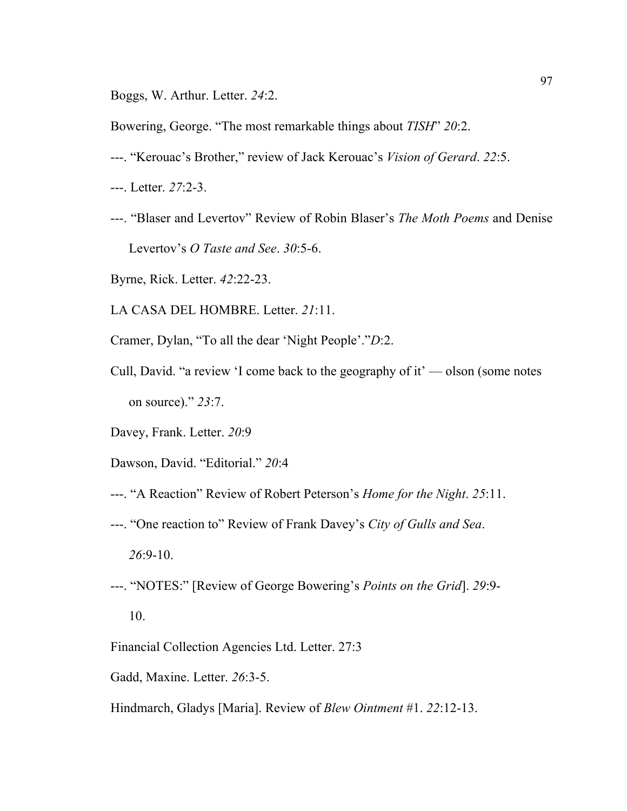Boggs, W. Arthur. Letter. *24*:2.

Bowering, George. "The most remarkable things about *TISH*" *20*:2.

- ---. "Kerouac's Brother," review of Jack Kerouac's *Vision of Gerard*. *22*:5.
- ---. Letter. *27*:2-3.
- ---. "Blaser and Levertov" Review of Robin Blaser's *The Moth Poems* and Denise Levertov's *O Taste and See*. *30*:5-6.
- Byrne, Rick. Letter. *42*:22-23.
- LA CASA DEL HOMBRE. Letter. *21*:11.
- Cramer, Dylan, "To all the dear 'Night People'."*D*:2.
- Cull, David. "a review 'I come back to the geography of it' olson (some notes on source)." *23*:7.
- Davey, Frank. Letter. *20*:9
- Dawson, David. "Editorial." *20*:4
- ---. "A Reaction" Review of Robert Peterson's *Home for the Night*. *25*:11.
- ---. "One reaction to" Review of Frank Davey's *City of Gulls and Sea*. *26*:9-10.
- ---. "NOTES:" [Review of George Bowering's *Points on the Grid*]. *29*:9- 10.
- Financial Collection Agencies Ltd. Letter. 27:3
- Gadd, Maxine. Letter. *26*:3-5.
- Hindmarch, Gladys [Maria]. Review of *Blew Ointment* #1. *22*:12-13.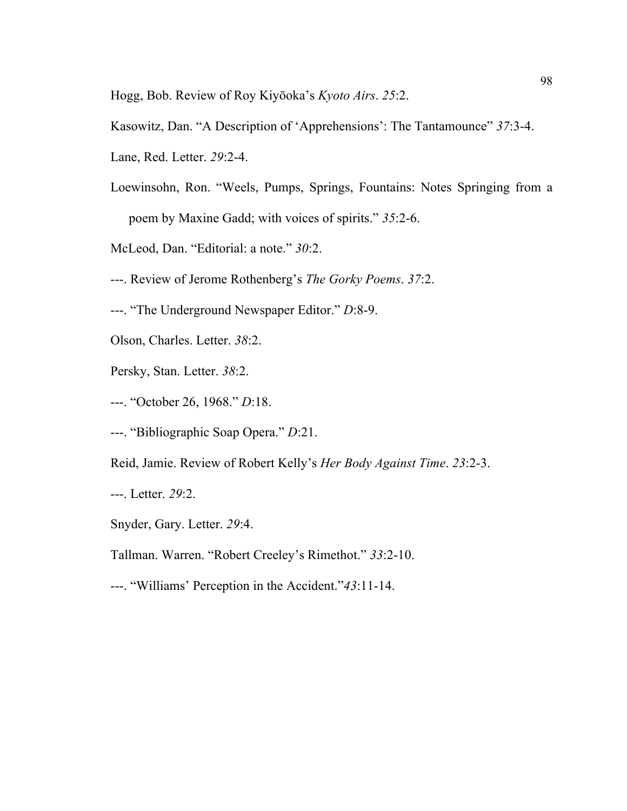Hogg, Bob. Review of Roy Kiyōoka's *Kyoto Airs*. *25*:2.

- Kasowitz, Dan. "A Description of 'Apprehensions': The Tantamounce" *37*:3-4.
- Lane, Red. Letter. *29*:2-4.
- Loewinsohn, Ron. "Weels, Pumps, Springs, Fountains: Notes Springing from a poem by Maxine Gadd; with voices of spirits." *35*:2-6.
- McLeod, Dan. "Editorial: a note." *30*:2.
- ---. Review of Jerome Rothenberg's *The Gorky Poems*. *37*:2.
- ---. "The Underground Newspaper Editor." *D*:8-9.
- Olson, Charles. Letter. *38*:2.
- Persky, Stan. Letter. *38*:2.
- ---. "October 26, 1968." *D*:18.
- ---. "Bibliographic Soap Opera." *D*:21.
- Reid, Jamie. Review of Robert Kelly's *Her Body Against Time*. *23*:2-3.
- ---. Letter. *29*:2.
- Snyder, Gary. Letter. *29*:4.
- Tallman. Warren. "Robert Creeley's Rimethot." *33*:2-10.
- ---. "Williams' Perception in the Accident."*43*:11-14.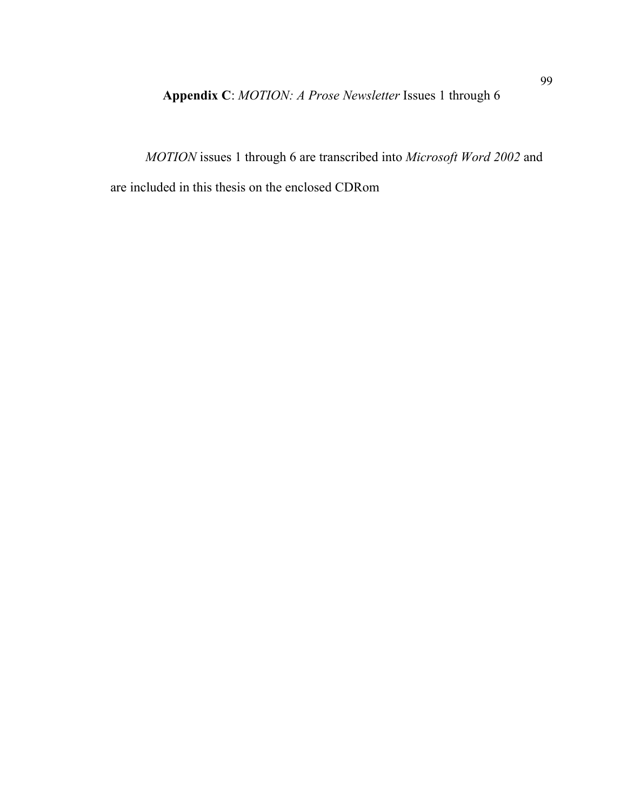**Appendix C**: *MOTION: A Prose Newsletter* Issues 1 through 6

 *MOTION* issues 1 through 6 are transcribed into *Microsoft Word 2002* and are included in this thesis on the enclosed CDRom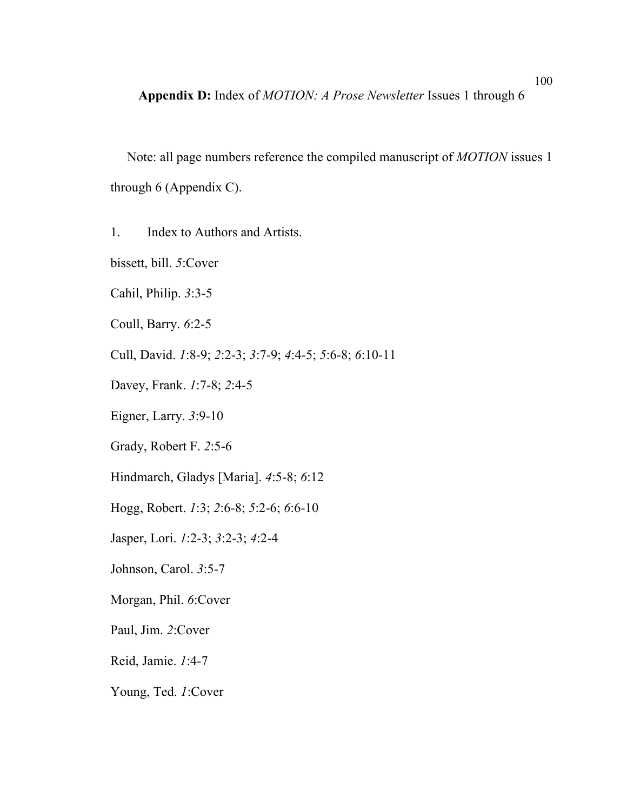Note: all page numbers reference the compiled manuscript of *MOTION* issues 1 through 6 (Appendix C).

1. Index to Authors and Artists.

bissett, bill. *5*:Cover

Cahil, Philip. *3*:3-5

Coull, Barry. *6*:2-5

Cull, David. *1*:8-9; *2*:2-3; *3*:7-9; *4*:4-5; *5*:6-8; *6*:10-11

Davey, Frank. *1*:7-8; *2*:4-5

Eigner, Larry. *3*:9-10

Grady, Robert F. *2*:5-6

Hindmarch, Gladys [Maria]. *4*:5-8; *6*:12

Hogg, Robert. *1*:3; *2*:6-8; *5*:2-6; *6*:6-10

Jasper, Lori. *1*:2-3; *3*:2-3; *4*:2-4

Johnson, Carol. *3*:5-7

Morgan, Phil. *6*:Cover

Paul, Jim. *2*:Cover

Reid, Jamie. *1*:4-7

Young, Ted. *1*:Cover